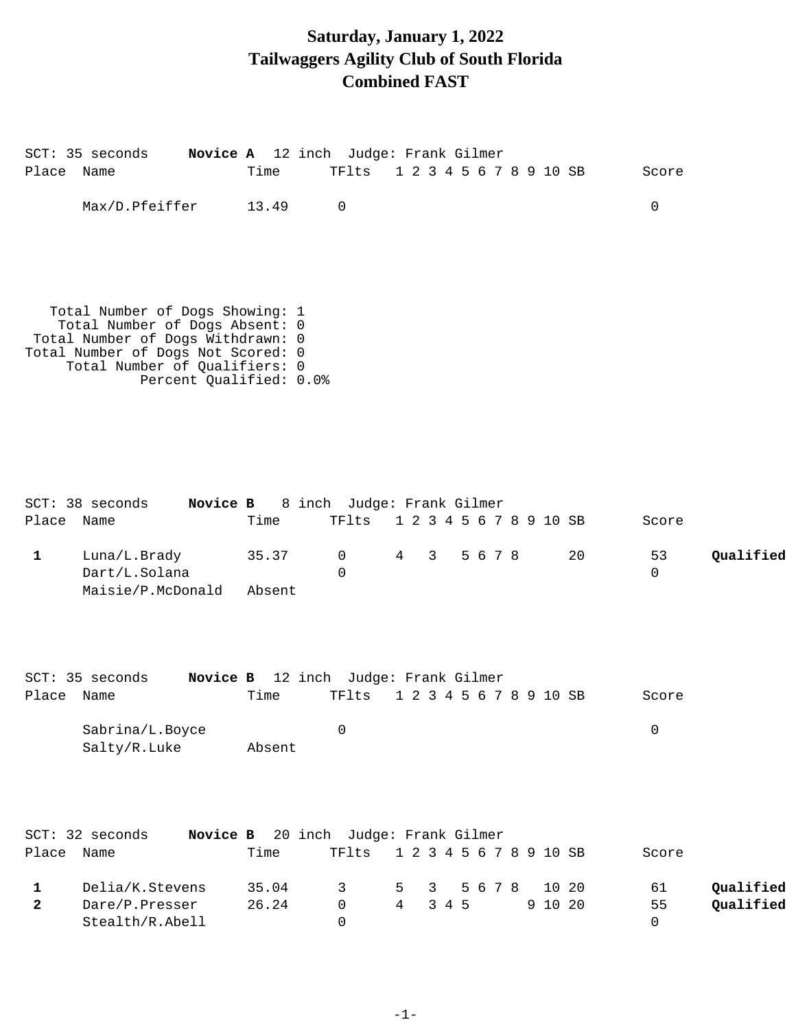## **Saturday, January 1, 2022 Tailwaggers Agility Club of South Florida Combined FAST**

| Place Name                   | SCT: 35 seconds Novice A 12 inch Judge: Frank Gilmer                                                                                                                                                     | Time            | TF1ts 1 2 3 4 5 6 7 8 9 10 SB        |                         |   |       |         |  |                  |    | Score                           |                        |
|------------------------------|----------------------------------------------------------------------------------------------------------------------------------------------------------------------------------------------------------|-----------------|--------------------------------------|-------------------------|---|-------|---------|--|------------------|----|---------------------------------|------------------------|
|                              | Max/D.Pfeiffer                                                                                                                                                                                           | 13.49           | 0                                    |                         |   |       |         |  |                  |    | $\mathbf 0$                     |                        |
|                              | Total Number of Dogs Showing: 1<br>Total Number of Dogs Absent: 0<br>Total Number of Dogs Withdrawn: 0<br>Total Number of Dogs Not Scored: 0<br>Total Number of Qualifiers: 0<br>Percent Qualified: 0.0% |                 |                                      |                         |   |       |         |  |                  |    |                                 |                        |
| Place Name                   | SCT: 38 seconds Novice B 8 inch Judge: Frank Gilmer                                                                                                                                                      | Time            | TF1ts 1 2 3 4 5 6 7 8 9 10 SB        |                         |   |       |         |  |                  |    | Score                           |                        |
| $\mathbf{1}$                 | Luna/L.Brady<br>Dart/L.Solana<br>Maisie/P.McDonald                                                                                                                                                       | 35.37<br>Absent | $\overline{0}$<br>$\Omega$           | 4 3 5 6 7 8             |   |       |         |  |                  | 20 | 53<br>$\mathbf 0$               | Qualified              |
|                              | SCT: 35 seconds Novice B 12 inch Judge: Frank Gilmer                                                                                                                                                     |                 |                                      |                         |   |       |         |  |                  |    |                                 |                        |
| Place Name                   |                                                                                                                                                                                                          | Time            | TF1ts 1 2 3 4 5 6 7 8 9 10 SB        |                         |   |       |         |  |                  |    | Score                           |                        |
|                              | Sabrina/L.Boyce<br>Salty/R.Luke                                                                                                                                                                          | Absent          | 0                                    |                         |   |       |         |  |                  |    | $\overline{0}$                  |                        |
| Place                        | Novice B<br>SCT: 32 seconds<br>Name                                                                                                                                                                      | Time            | 20 inch Judge: Frank Gilmer<br>TFlts | 1 2 3 4 5 6 7 8 9 10 SB |   |       |         |  |                  |    | Score                           |                        |
| $\mathbf{1}$<br>$\mathbf{2}$ | Delia/K.Stevens<br>Dare/P.Presser<br>Stealth/R.Abell                                                                                                                                                     | 35.04<br>26.24  | 3<br>0<br>0                          | 5<br>$\overline{4}$     | 3 | 3 4 5 | 5 6 7 8 |  | 10 20<br>9 10 20 |    | 61<br>55<br>$\mathsf{O}\xspace$ | Qualified<br>Qualified |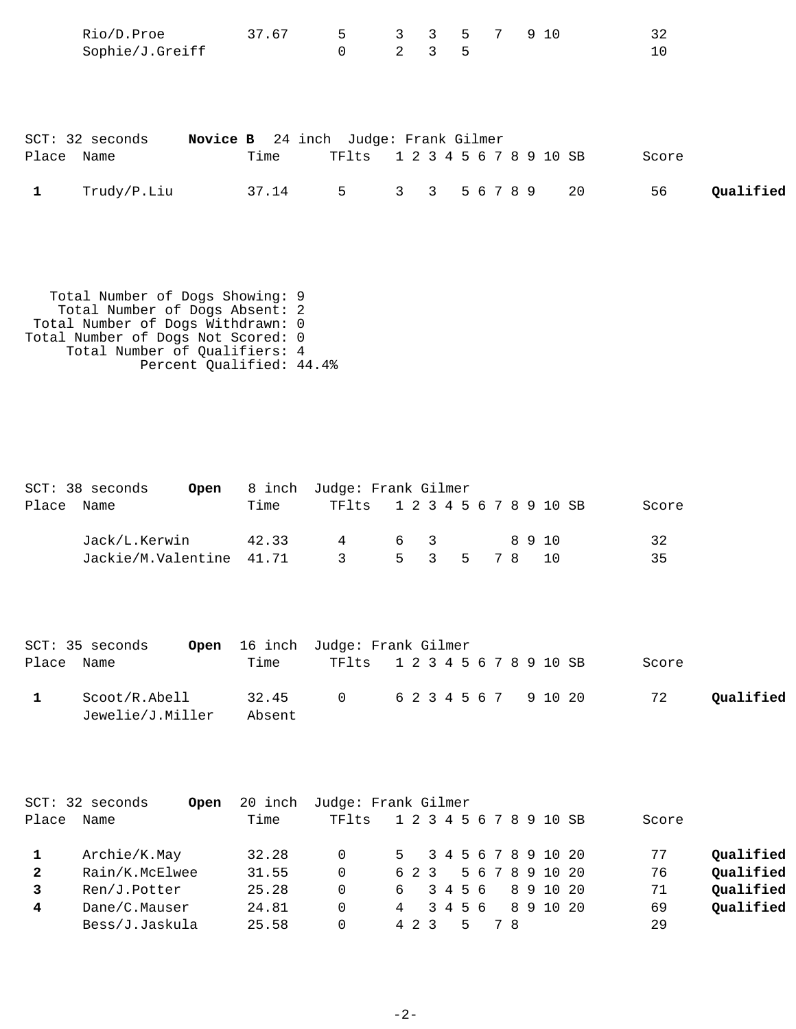|            | Rio/D.Proe<br>Sophie/J.Greiff | 37.67                                        | 5<br>$\mathbf 0$ | $2^{\circ}$ | $3 \quad 5$ |               | 3 3 5 7 9 10            |     | 32<br>10 |           |
|------------|-------------------------------|----------------------------------------------|------------------|-------------|-------------|---------------|-------------------------|-----|----------|-----------|
| Place Name | SCT: 32 seconds               | Novice B 24 inch Judge: Frank Gilmer<br>Time | TFlts            |             |             |               | 1 2 3 4 5 6 7 8 9 10 SB |     | Score    |           |
|            | Trudy/P.Liu                   | 37.14                                        | 5                |             |             | 3 3 5 6 7 8 9 |                         | -20 | 56       | Qualified |

```
 Total Number of Dogs Showing: 9
 Total Number of Dogs Absent: 2
 Total Number of Dogs Withdrawn: 0
Total Number of Dogs Not Scored: 0
 Total Number of Qualifiers: 4
 Percent Qualified: 44.4%
```

| SCT: 38 seconds | Open                     |      | 8 inch Judge: Frank Gilmer    |     |  |              |        |       |  |
|-----------------|--------------------------|------|-------------------------------|-----|--|--------------|--------|-------|--|
| Place Name      |                          | Time | TF1ts 1 2 3 4 5 6 7 8 9 10 SB |     |  |              |        | Score |  |
|                 | Jack/L.Kerwin 42.33      |      | 4                             | 6 3 |  |              | 89 1 O | 32    |  |
|                 | Jackie/M.Valentine 41.71 |      | $\overline{\mathbf{3}}$       |     |  | 5 3 5 7 8 10 |        | 35    |  |
|                 |                          |      |                               |     |  |              |        |       |  |

|            | SCT: 35 seconds                   | <b>Open</b> 16 inch Judge: Frank Gilmer |                               |  |  |       |           |
|------------|-----------------------------------|-----------------------------------------|-------------------------------|--|--|-------|-----------|
| Place Name |                                   | Time                                    | TF1ts 1 2 3 4 5 6 7 8 9 10 SB |  |  | Score |           |
|            | Scoot/R.Abell<br>Jewelie/J.Miller | 32.45<br>Absent                         | 0 6 2 3 4 5 6 7 9 10 20       |  |  | 72    | Oualified |

|              | SCT: 32 seconds<br>Open | 20 inch | Judge: Frank Gilmer |                         |         |  |     |                   |       |           |
|--------------|-------------------------|---------|---------------------|-------------------------|---------|--|-----|-------------------|-------|-----------|
| Place        | Name                    | Time    | TF1ts               | 1 2 3 4 5 6 7 8 9 10 SB |         |  |     |                   | Score |           |
|              | Archie/K.May            | 32.28   | $\Omega$            | 5 3 4 5 6 7 8 9 10 20   |         |  |     |                   | 77    | Qualified |
| $\mathbf{2}$ | Rain/K.McElwee          | 31.55   | 0                   | 623                     |         |  |     | 5 6 7 8 9 10 20   | 76    | Qualified |
|              | Ren/J.Potter            | 25.28   | 0                   | ნ —                     |         |  |     | 3 4 5 6 8 9 10 20 | 71    | Qualified |
| 4            | Dane/C.Mauser           | 24.81   | 0                   | $\overline{4}$          | 3 4 5 6 |  |     | 8 9 10 20         | 69    | Qualified |
|              | Bess/J.Jaskula          | 25.58   |                     | 4 2 3                   |         |  | 7 R |                   | 29    |           |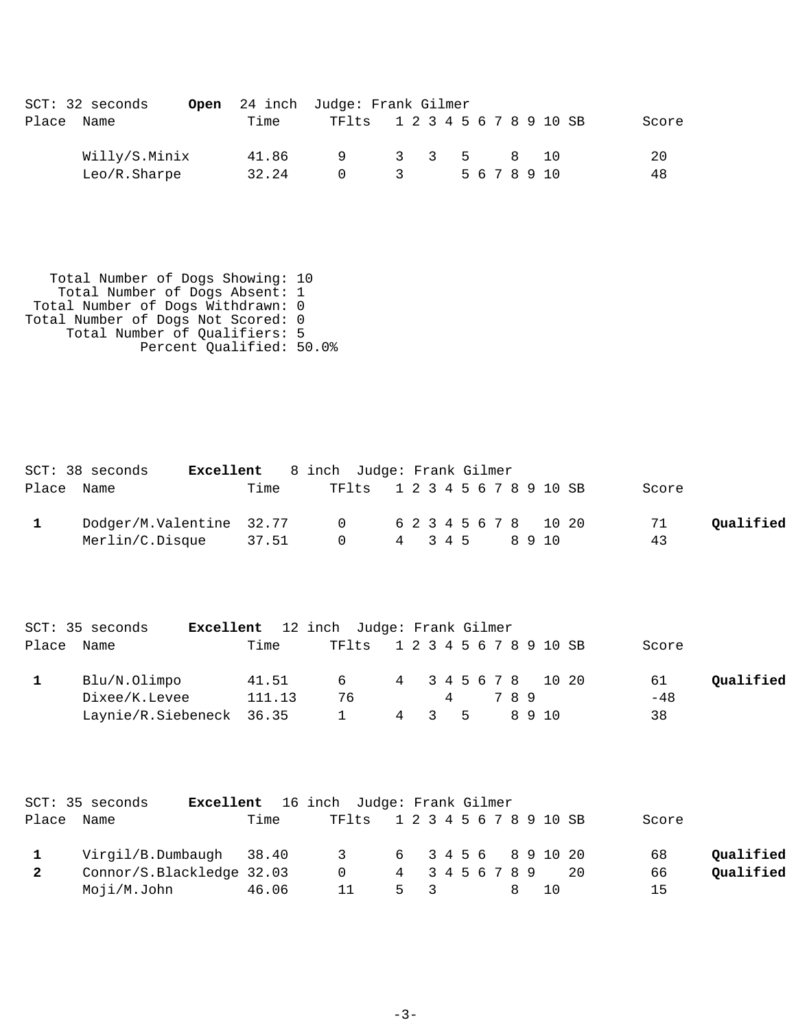|       | $SCT: 32$ seconds |       | <b>Open</b> 24 inch Judge: Frank Gilmer |       |  |              |  |      |  |       |
|-------|-------------------|-------|-----------------------------------------|-------|--|--------------|--|------|--|-------|
| Place | Name              | Time  | TF1ts 1 2 3 4 5 6 7 8 9 10 SB           |       |  |              |  |      |  | Score |
|       | Willy/S.Minix     | 41.86 | $\overline{q}$                          | 3 3 5 |  |              |  | 8 10 |  | 20    |
|       | Leo/R.Sharpe      | 32.24 |                                         | -2    |  | 5 6 7 8 9 10 |  |      |  | 48    |

 Total Number of Dogs Showing: 10 Total Number of Dogs Absent: 1 Total Number of Dogs Withdrawn: 0 Total Number of Dogs Not Scored: 0 Total Number of Qualifiers: 5 Percent Qualified: 50.0%

| SCT: 38 seconds                                  |       | <b>Excellent</b> 8 inch Judge: Frank Gilmer |         |  |        |  |       |           |
|--------------------------------------------------|-------|---------------------------------------------|---------|--|--------|--|-------|-----------|
| Place Name                                       | Time  | TF1ts 1 2 3 4 5 6 7 8 9 10 SB               |         |  |        |  | Score |           |
| Dodger/M.Valentine 32.77 0 6 2 3 4 5 6 7 8 10 20 |       |                                             |         |  |        |  | 71    | Oualified |
| Merlin/C.Disque                                  | 37.51 | $\Omega$                                    | 4 3 4 5 |  | 89 1 N |  | 43    |           |

|            | SCT: 35 seconds          | <b>Excellent</b> 12 inch Judge: Frank Gilmer |        |                               |                     |    |     |        |       |           |
|------------|--------------------------|----------------------------------------------|--------|-------------------------------|---------------------|----|-----|--------|-------|-----------|
| Place Name |                          | Time                                         |        | TF1ts 1 2 3 4 5 6 7 8 9 10 SB |                     |    |     |        | Score |           |
|            | Blu/N.Olimpo             | 41.51                                        |        | 6 —                           | 4 3 4 5 6 7 8 10 20 |    |     |        | 61    | Qualified |
|            | Dixee/K.Levee            |                                              | 111.13 | 76                            |                     |    | 789 |        | $-48$ |           |
|            | Laynie/R.Siebeneck 36.35 |                                              |        | 4                             | $\sim$ 3            | -5 |     | 89 1 O | 38    |           |

|            | SCT: 35 seconds           |       | <b>Excellent</b> 16 inch Judge: Frank Gilmer |     |                 |               |     |       |           |
|------------|---------------------------|-------|----------------------------------------------|-----|-----------------|---------------|-----|-------|-----------|
| Place Name |                           | Time  | TF1ts 1 2 3 4 5 6 7 8 9 10 SB                |     |                 |               |     | Score |           |
|            | Virgil/B.Dumbaugh 38.40   |       | 3 6 3 4 5 6 8 9 10 20                        |     |                 |               |     | 68    | Qualified |
|            | Connor/S.Blackledge 32.03 |       | $\Omega$                                     |     | 4 3 4 5 6 7 8 9 |               | -20 | 66    | Qualified |
|            | Moji/M.John               | 46.06 |                                              | 5 3 |                 | <sup>10</sup> |     | 15    |           |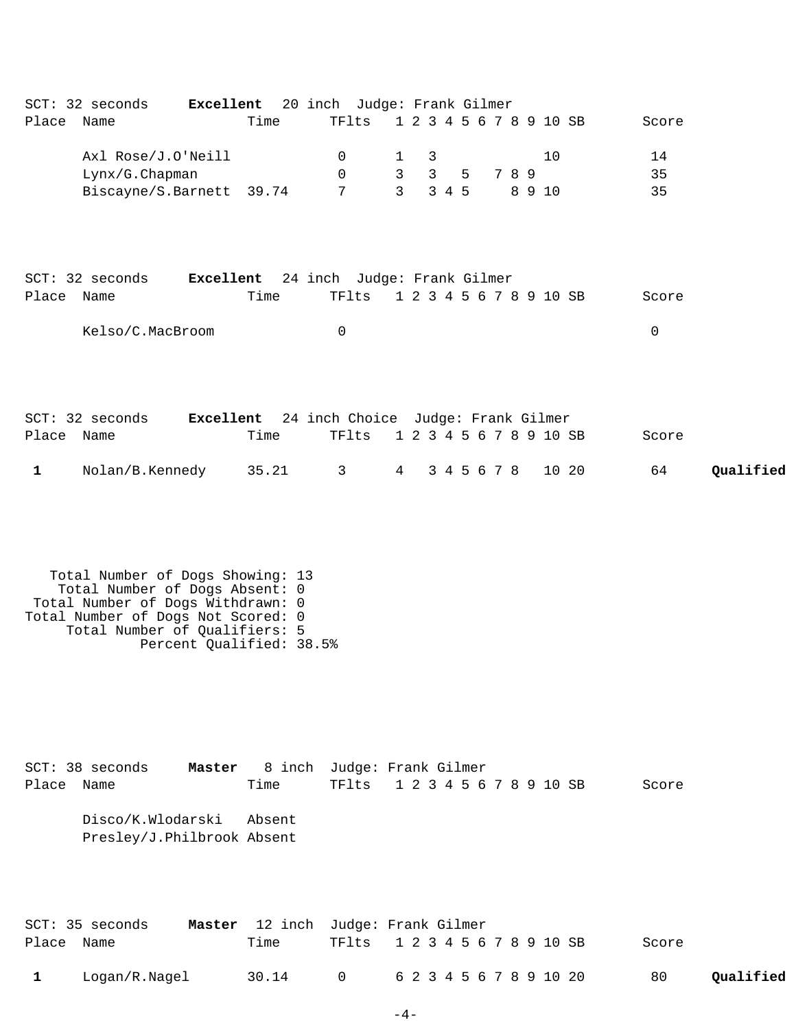| Place Name                 | SCT: 32 seconds <b>Excellent</b> 20 inch Judge: Frank Gilmer                                                                                                                                               | Time                                                          | TFlts                               |                                     | 1 2 3 4 5 6 7 8 9 10 SB                            |             |       |              |       | Score          |           |
|----------------------------|------------------------------------------------------------------------------------------------------------------------------------------------------------------------------------------------------------|---------------------------------------------------------------|-------------------------------------|-------------------------------------|----------------------------------------------------|-------------|-------|--------------|-------|----------------|-----------|
|                            | Axl Rose/J.O'Neill<br>Lynx/G.Chapman<br>Biscayne/S.Barnett 39.74                                                                                                                                           |                                                               | 0<br>$\mathbf 0$<br>7               | 1<br>$\mathbf{3}$<br>$\overline{3}$ | 3<br>$\overline{3}$<br>3 4 5                       | 5           | 7 8 9 | 10<br>8 9 10 |       | 14<br>35<br>35 |           |
| Place Name                 | SCT: 32 seconds <b>Excellent</b> 24 inch Judge: Frank Gilmer<br>Kelso/C.MacBroom                                                                                                                           | Time                                                          | TFlts<br>$\mathbf 0$                |                                     | 1 2 3 4 5 6 7 8 9 10 SB                            |             |       |              |       | Score<br>0     |           |
| Place Name<br>$\mathbf{1}$ | SCT: 32 seconds<br>Nolan/B.Kennedy                                                                                                                                                                         | Excellent 24 inch Choice Judge: Frank Gilmer<br>Time<br>35.21 | TFlts<br>$\mathbf{3}$               | $4\overline{ }$                     | 1 2 3 4 5 6 7 8 9 10 SB                            | 3 4 5 6 7 8 |       |              | 10 20 | Score<br>64    | Qualified |
|                            | Total Number of Dogs Showing: 13<br>Total Number of Dogs Absent: 0<br>Total Number of Dogs Withdrawn: 0<br>Total Number of Dogs Not Scored: 0<br>Total Number of Qualifiers: 5<br>Percent Qualified: 38.5% |                                                               |                                     |                                     |                                                    |             |       |              |       |                |           |
| Place                      | SCT: 38 seconds<br>Master<br>Name<br>Disco/K.Wlodarski<br>Presley/J.Philbrook Absent                                                                                                                       | 8 inch<br>Time<br>Absent                                      | Judge: Frank Gilmer<br><b>TF1ts</b> |                                     | 1 2 3 4 5 6 7 8 9 10 SB                            |             |       |              |       | Score          |           |
| Place<br>$\mathbf{1}$      | SCT: 35 seconds<br>Master<br>Name<br>Logan/R.Nagel                                                                                                                                                         | 12 inch<br>Time<br>30.14                                      | Judge: Frank Gilmer<br>TFlts<br>0   |                                     | 1 2 3 4 5 6 7 8 9 10 SB<br>6 2 3 4 5 6 7 8 9 10 20 |             |       |              |       | Score<br>80    | Qualified |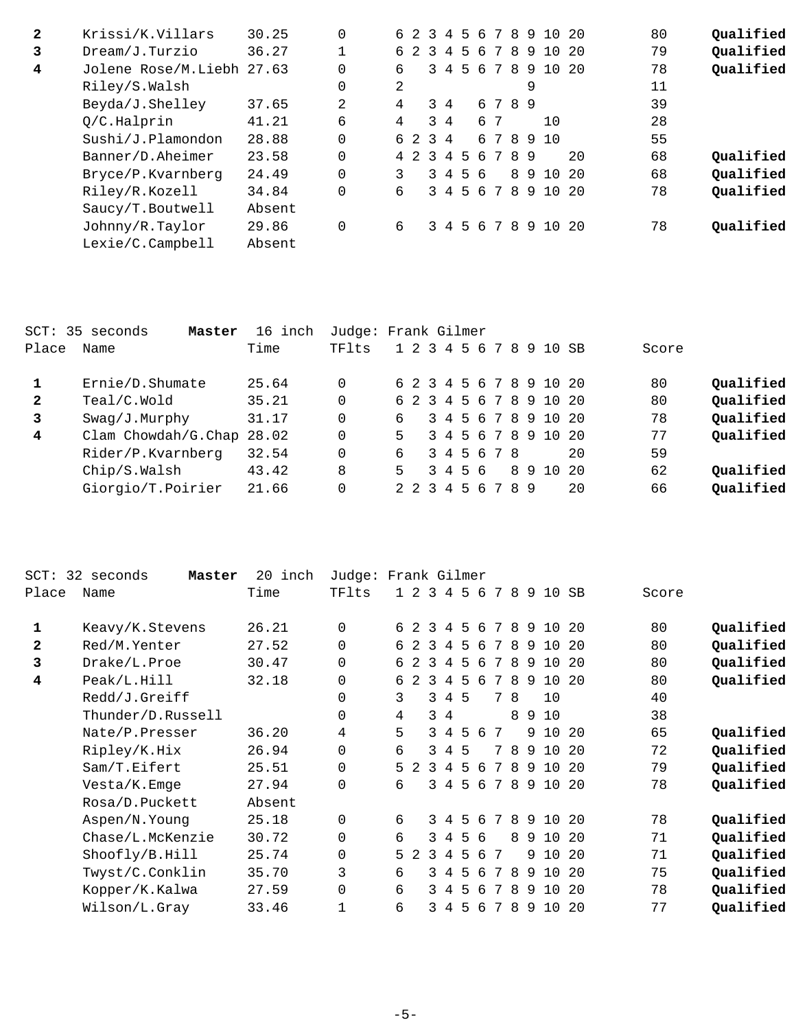| $\mathbf{2}$ | Krissi/K.Villars          | 30.25  |   | 623     |   | $-4$           |         |    |                              |     |    | 5 6 7 8 9 10 | - 20 | 80 | Oualified |
|--------------|---------------------------|--------|---|---------|---|----------------|---------|----|------------------------------|-----|----|--------------|------|----|-----------|
| 3            | Dream/J.Turzio            | 36.27  |   | 6 2     | 3 | $\overline{4}$ | 5       | 6  | 7                            | 8   |    | 9 10         | - 20 | 79 | Qualified |
| 4            | Jolene Rose/M.Liebh 27.63 |        |   | 6       |   | $3 \quad 4$    | $5 -$   | 6  |                              | 78  |    | 9 10         | - 20 | 78 | Qualified |
|              | Riley/S.Walsh             |        |   | 2       |   |                |         |    |                              |     | 9  |              |      | 11 |           |
|              | Beyda/J.Shelley           | 37.65  | 2 | 4       |   | 3 4            |         |    | 6 7 8 9                      |     |    |              |      | 39 |           |
|              | Q/C.Halprin               | 41.21  | 6 | 4       |   | $3 \quad 4$    |         |    | 67                           |     |    | 10           |      | 28 |           |
|              | Sushi/J.Plamondon         | 28.88  |   | 6 2 3 4 |   |                |         |    |                              |     |    | 678910       |      | 55 |           |
|              | Banner/D.Aheimer          | 23.58  |   | 4 2 3 4 |   |                |         | 56 |                              | 789 |    |              | 20   | 68 | Qualified |
|              | Bryce/P.Kvarnberg         | 24.49  |   | 3       |   |                | 3 4 5 6 |    |                              |     | 89 | 10           | - 20 | 68 | Qualified |
|              | Riley/R.Kozell            | 34.84  |   | 6       |   |                | 3 4 5 6 |    | $7\phantom{.0}\phantom{.0}7$ | 8   |    | 9 10         | 2.0  | 78 | Qualified |
|              | Saucy/T.Boutwell          | Absent |   |         |   |                |         |    |                              |     |    |              |      |    |           |
|              | Johnny/R.Taylor           | 29.86  |   | 6       |   | 34             |         |    |                              |     |    | 5 6 7 8 9 10 | - 20 | 78 | Oualified |
|              | Lexie/C.Campbell          | Absent |   |         |   |                |         |    |                              |     |    |              |      |    |           |

|              | SCT: 35 seconds<br>Master | 16 inch | Judge: Frank Gilmer |    |  |         |                   |  |                         |    |       |           |
|--------------|---------------------------|---------|---------------------|----|--|---------|-------------------|--|-------------------------|----|-------|-----------|
| Place        | Name                      | Time    | TFlts               |    |  |         |                   |  | 1 2 3 4 5 6 7 8 9 10 SB |    | Score |           |
|              | Ernie/D.Shumate           | 25.64   | $\Omega$            |    |  |         |                   |  | 6 2 3 4 5 6 7 8 9 10 20 |    | 80    | Qualified |
| $\mathbf{2}$ | Teal/C.Wold               | 35.21   | $\Omega$            |    |  |         |                   |  | 6 2 3 4 5 6 7 8 9 10 20 |    | 80    | Qualified |
| 3            | $Swaq/J$ . Murphy         | 31.17   | $\Omega$            | б. |  |         |                   |  | 3 4 5 6 7 8 9 10 20     |    | 78    | Oualified |
| 4            | Clam Chowdah/G.Chap 28.02 |         | $\Omega$            | 5. |  |         |                   |  | 3 4 5 6 7 8 9 10 20     |    | 77    | Qualified |
|              | Rider/P.Kvarnberg         | 32.54   | $\Omega$            | б. |  |         | 3 4 5 6 7 8       |  |                         | 20 | 59    |           |
|              | Chip/S.Walsh              | 43.42   | 8                   | 5. |  | 3 4 5 6 |                   |  | 8 9 10 20               |    | 62    | Qualified |
|              | Giorgio/T.Poirier         | 21.66   | 0                   |    |  |         | 2 2 3 4 5 6 7 8 9 |  |                         | 20 | 66    | Qualified |

| $_{\rm SCT}$ :<br>32 | seconds<br>Master | 20<br>inch | Judge:   | Frank Gilmer |                |                         |                |                 |     |   |   |   |         |      |       |           |
|----------------------|-------------------|------------|----------|--------------|----------------|-------------------------|----------------|-----------------|-----|---|---|---|---------|------|-------|-----------|
| Place                | Name              | Time       | TFlts    |              | $1\quad2$      | $\overline{\mathbf{3}}$ |                | 4 5             | 6   | 7 | 8 |   | 9 10    | SB   | Score |           |
| 1                    | Keavy/K.Stevens   | 26.21      | 0        | 6            | -2.            | 3                       | 4              | 5               | 6   | 7 | 8 |   | 9 10    | - 20 | 80    | Qualified |
| 2                    | Red/M.Yenter      | 27.52      | $\Omega$ | б.           | $\overline{2}$ | 3                       | $\overline{4}$ | 5               | 6   | 7 | 8 |   | 9 10 20 |      | 80    | Qualified |
| 3                    | Drake/L.Proe      | 30.47      | 0        | б.           | $\mathcal{L}$  | 3                       | $\overline{4}$ | $5\overline{)}$ | 6   | 7 | 8 |   | 9 10    | - 20 | 80    | Qualified |
| 4                    | Peak/L.Hill       | 32.18      | $\Omega$ | 6            | $\mathcal{L}$  | 3                       | 4              | 5               | 6   | 7 | 8 | 9 | 10 20   |      | 80    | Qualified |
|                      | Redd/J.Greiff     |            | $\Omega$ | ζ            |                | 3.                      |                | 4 5             |     | 7 | 8 |   | 10      |      | 40    |           |
|                      | Thunder/D.Russell |            | $\Omega$ | 4            |                | 3                       | 4              |                 |     |   | 8 | 9 | 10      |      | 38    |           |
|                      | Nate/P.Presser    | 36.20      | 4        | 5            |                | 3.                      | $\overline{4}$ | 5               | -6  | 7 |   | 9 | 10      | 20   | 65    | Qualified |
|                      | Ripley/K.Hix      | 26.94      | 0        | 6            |                | 3                       | $\overline{4}$ | 5               |     | 7 | 8 | 9 | 10      | 20   | 72    | Qualified |
|                      | Sam/T.Eifert      | 25.51      | $\Omega$ | 5.           | 2              | २                       | $\overline{4}$ | 5               | -6  | 7 | 8 |   | 9 10    | -20  | 79    | Qualified |
|                      | Vesta/K.Emge      | 27.94      | 0        | б            |                | 3.                      | 4              | 5               | 6   | 7 | 8 |   | 9 10 20 |      | 78    | Qualified |
|                      | Rosa/D.Puckett    | Absent     |          |              |                |                         |                |                 |     |   |   |   |         |      |       |           |
|                      | Aspen/N.Young     | 25.18      | 0        | 6            |                |                         | 3 4            | 5               | 6   | 7 | 8 |   | 9 10 20 |      | 78    | Qualified |
|                      | Chase/L.McKenzie  | 30.72      | $\Omega$ | 6            |                | 3.                      | $\overline{4}$ |                 | 5 6 |   | 8 |   | 9 10 20 |      | 71    | Qualified |
|                      | Shoofly/B.Hill    | 25.74      | $\Omega$ | 5            | -2             | $\mathcal{L}$           | 4              | 5               | 6   | 7 |   | 9 | 10      | 20   | 71    | Qualified |
|                      | Twyst/C.Conklin   | 35.70      | 3        | 6            |                | 3                       | 4              | 5               | 6   | 7 | 8 | 9 | 10      | 20   | 75    | Qualified |
|                      | Kopper/K.Kalwa    | 27.59      | 0        | 6            |                | 3                       | -4             | 5               | 6   | 7 | 8 | 9 | 10      | 20   | 78    | Qualified |
|                      | Wilson/L.Gray     | 33.46      |          | 6            |                | 3.                      | 4              | 5               | 6   | 7 | 8 | 9 | 10      | -20  | 77    | Qualified |
|                      |                   |            |          |              |                |                         |                |                 |     |   |   |   |         |      |       |           |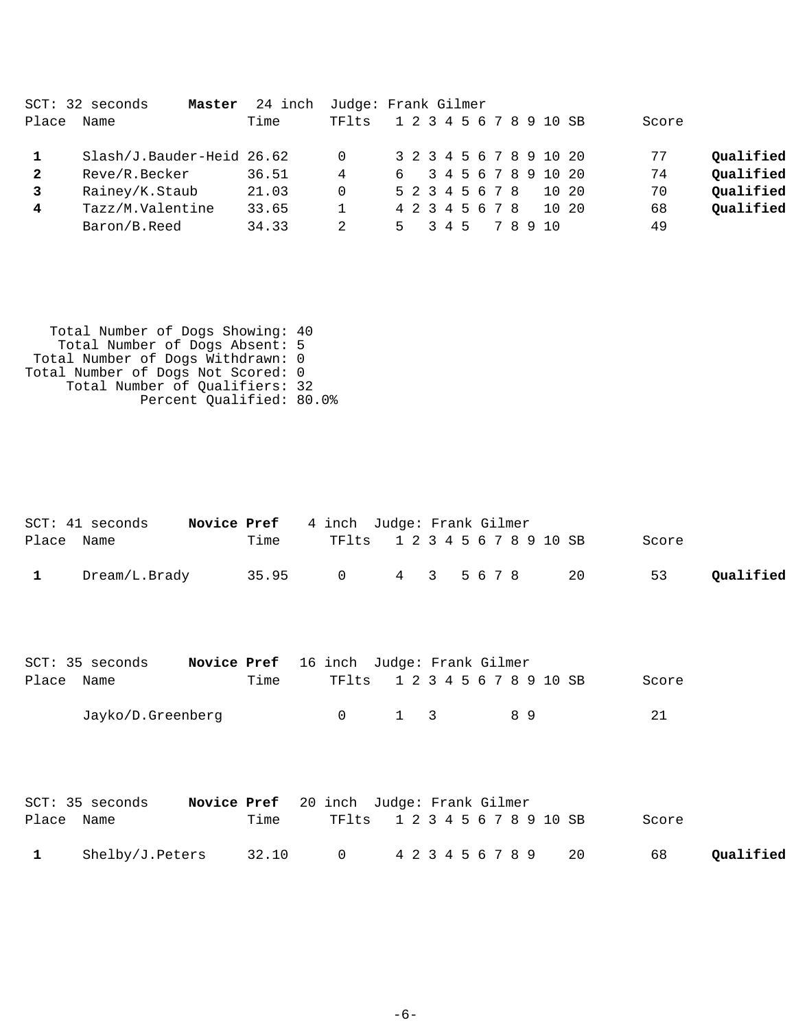|              | SCT: 32 seconds<br>Master | 24 inch | Judge: Frank Gilmer |    |  |  |     |                 |  |       |                         |       |           |
|--------------|---------------------------|---------|---------------------|----|--|--|-----|-----------------|--|-------|-------------------------|-------|-----------|
| Place        | Name                      | Time    | TFlts               |    |  |  |     |                 |  |       | 1 2 3 4 5 6 7 8 9 10 SB | Score |           |
| $\mathbf{1}$ | Slash/J.Bauder-Heid 26.62 |         | 0                   |    |  |  |     |                 |  |       | 3 2 3 4 5 6 7 8 9 10 20 | 77    | Qualified |
| $\mathbf{2}$ | Reve/R.Becker             | 36.51   | 4                   |    |  |  |     |                 |  |       | 6 3 4 5 6 7 8 9 10 20   | 74    | Qualified |
|              | Rainey/K.Staub            | 21.03   | 0                   |    |  |  |     | 5 2 3 4 5 6 7 8 |  |       | 10 20                   | 70    | Qualified |
| 4            | Tazz/M.Valentine          | 33.65   |                     |    |  |  |     | 4 2 3 4 5 6 7 8 |  |       | 10 20                   | 68    | Qualified |
|              | Baron/B.Reed              | 34.33   |                     | 5. |  |  | 345 |                 |  | 78910 |                         | 49    |           |

| Total Number of Dogs Showing: 40   |  |
|------------------------------------|--|
| Total Number of Dogs Absent: 5     |  |
| Total Number of Dogs Withdrawn: 0  |  |
| Total Number of Dogs Not Scored: 0 |  |
| Total Number of Qualifiers: 32     |  |
| Percent Qualified: 80.0%           |  |
|                                    |  |

|       | SCT: 41 seconds               | Novice Pref                                    |       | 4 inch Judge: Frank Gilmer |                         |   |           |  |    |  |    |       |           |
|-------|-------------------------------|------------------------------------------------|-------|----------------------------|-------------------------|---|-----------|--|----|--|----|-------|-----------|
| Place | Name                          |                                                | Time  | TFlts                      | 1 2 3 4 5 6 7 8 9 10 SB |   |           |  |    |  |    | Score |           |
| 1     | Dream/L.Brady                 |                                                | 35.95 | $\mathsf{O}$               | $4\overline{ }$         |   | 3 5 6 7 8 |  |    |  | 20 | 53    | Qualified |
|       | SCT: 35 seconds               | <b>Novice Pref</b> 16 inch Judge: Frank Gilmer |       |                            |                         |   |           |  |    |  |    |       |           |
|       | Place Name                    |                                                | Time  | TFlts                      | 1 2 3 4 5 6 7 8 9 10 SB |   |           |  |    |  |    | Score |           |
|       | Jayko/D.Greenberg             |                                                |       | $\mathsf{O}$               | 1                       | 3 |           |  | 89 |  |    | 21    |           |
|       | SCT: 35 seconds<br>Place Name | Novice Pref 20 inch Judge: Frank Gilmer        | Time  | TFlts                      | 1 2 3 4 5 6 7 8 9 10 SB |   |           |  |    |  |    | Score |           |
| 1     | Shelby/J.Peters               |                                                | 32.10 | 0                          | 4 2 3 4 5 6 7 8 9       |   |           |  |    |  | 20 | 68    | Qualified |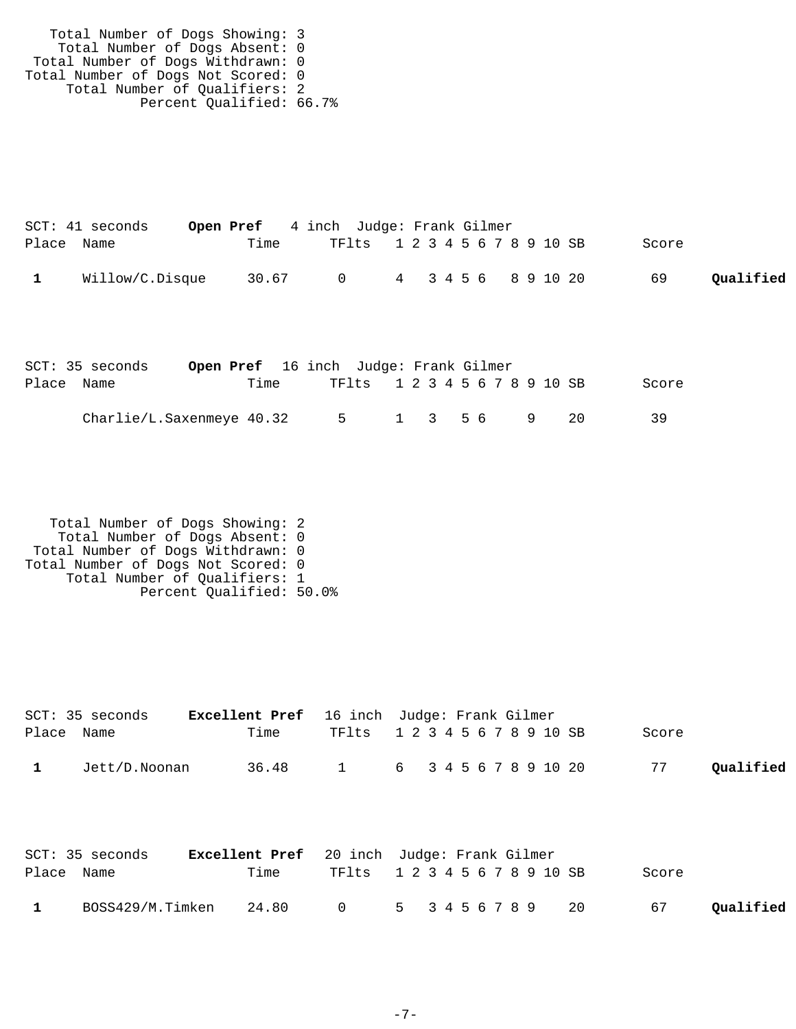Total Number of Dogs Showing: 3 Total Number of Dogs Absent: 0 Total Number of Dogs Withdrawn: 0 Total Number of Dogs Not Scored: 0 Total Number of Qualifiers: 2 Percent Qualified: 66.7%

|            | SCT: 41 seconds | <b>Open Pref</b> 4 inch Judge: Frank Gilmer |                               |  |  |  |  |       |           |
|------------|-----------------|---------------------------------------------|-------------------------------|--|--|--|--|-------|-----------|
| Place Name |                 | Time                                        | TF1ts 1 2 3 4 5 6 7 8 9 10 SB |  |  |  |  | Score |           |
|            | Willow/C.Disque | 30.67                                       | 0 4 3 4 5 6 8 9 10 20         |  |  |  |  | 69    | Qualified |

|            | SCT: 35 seconds           | <b>Open Pref</b> 16 inch Judge: Frank Gilmer |      |      |                               |                                     |  |  |           |       |
|------------|---------------------------|----------------------------------------------|------|------|-------------------------------|-------------------------------------|--|--|-----------|-------|
| Place Name |                           |                                              | Time |      | TF1ts 1 2 3 4 5 6 7 8 9 10 SB |                                     |  |  |           | Score |
|            | Charlie/L.Saxenmeye 40.32 |                                              |      | $-5$ |                               | $1 \quad 3 \quad 5 \quad 6 \quad 9$ |  |  | $\sim$ 20 | 3 Q   |

 Total Number of Dogs Showing: 2 Total Number of Dogs Absent: 0 Total Number of Dogs Withdrawn: 0 Total Number of Dogs Not Scored: 0 Total Number of Qualifiers: 1 Percent Qualified: 50.0%

|       | SCT: 35 seconds         | <b>Excellent Pref</b> 16 inch Judge: Frank Gilmer |       |              |                         |               |  |  |  |    |       |           |
|-------|-------------------------|---------------------------------------------------|-------|--------------|-------------------------|---------------|--|--|--|----|-------|-----------|
| Place | Name                    |                                                   | Time  | TFlts        | 1 2 3 4 5 6 7 8 9 10 SB |               |  |  |  |    | Score |           |
| 1     | Jett/D.Noonan           |                                                   | 36.48 | $\mathbf{1}$ | 6 3 4 5 6 7 8 9 10 20   |               |  |  |  |    | 77    | Qualified |
| Place | SCT: 35 seconds<br>Name | <b>Excellent Pref</b> 20 inch Judge: Frank Gilmer | Time  | TFlts        | 1 2 3 4 5 6 7 8 9 10 SB |               |  |  |  |    | Score |           |
|       | BOSS429/M.Timken        |                                                   | 24.80 |              | $5 -$                   | 3 4 5 6 7 8 9 |  |  |  | 20 | 67    | Oualified |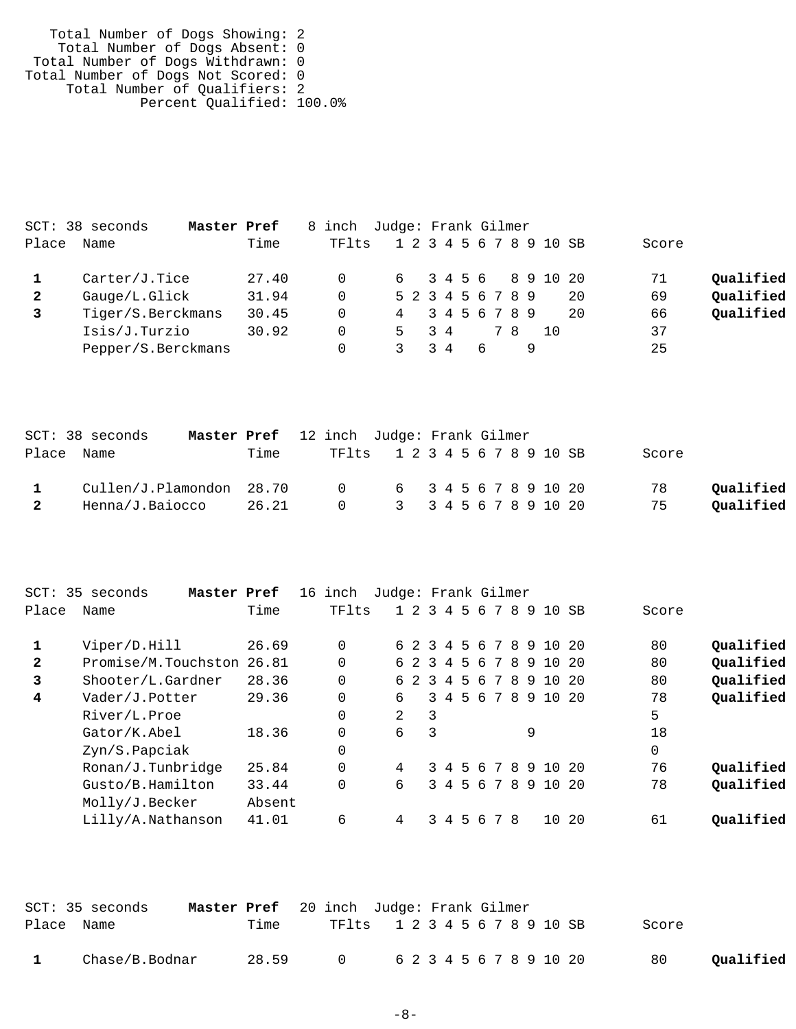Total Number of Dogs Showing: 2 Total Number of Dogs Absent: 0 Total Number of Dogs Withdrawn: 0 Total Number of Dogs Not Scored: 0 Total Number of Qualifiers: 2 Percent Qualified: 100.0%

|       | SCT: 38 seconds<br>Master Pref |       | 8 inch Judge: Frank Gilmer |     |    |                   |                         |                 |
|-------|--------------------------------|-------|----------------------------|-----|----|-------------------|-------------------------|-----------------|
| Place | Name                           | Time  | TF1ts                      |     |    |                   | 1 2 3 4 5 6 7 8 9 10 SB | Score           |
|       | Carter/J.Tice                  | 27.40 | 0                          |     |    |                   | 6 3 4 5 6 8 9 10 20     | Qualified<br>71 |
| 2     | Gauge/L.Glick                  | 31.94 | 0                          |     |    | 5 2 3 4 5 6 7 8 9 | 20                      | Qualified<br>69 |
|       | Tiger/S.Berckmans              | 30.45 | 0                          |     |    | 4 3 4 5 6 7 8 9   | 20                      | Qualified<br>66 |
|       | Isis/J.Turzio                  | 30.92 | 0                          | 5 - | 34 | 78                | 1 O                     | 37              |
|       | Pepper/S.Berckmans             |       |                            |     | 34 | 6                 |                         | 25              |

|                | $SCT: 38$ seconds        | Master Pref 12 inch Judge: Frank Gilmer |       |                               |                         |  |  |  |  |  |       |           |
|----------------|--------------------------|-----------------------------------------|-------|-------------------------------|-------------------------|--|--|--|--|--|-------|-----------|
|                | Place Name               |                                         | Time  | TF1ts 1 2 3 4 5 6 7 8 9 10 SB |                         |  |  |  |  |  | Score |           |
|                | Cullen/J.Plamondon 28.70 |                                         |       | 0 6 3 4 5 6 7 8 9 10 20       |                         |  |  |  |  |  | 78    | Oualified |
| $\overline{2}$ | Henna/J.Baiocco          |                                         | 26.21 |                               | 0 3 3 4 5 6 7 8 9 10 20 |  |  |  |  |  | 75    | Qualified |

| $SCT$ :      | 35 seconds<br>Master Pref |        | 16 | inch  | Judge: Frank Gilmer |     |               |                |           |    |     |    |     |                         |      |          |           |
|--------------|---------------------------|--------|----|-------|---------------------|-----|---------------|----------------|-----------|----|-----|----|-----|-------------------------|------|----------|-----------|
| Place        | Name                      | Time   |    | TFlts |                     |     | $1\ 2\ 3\ 4$  |                | 5         | 6  |     | 78 |     | 9 10                    | - SB | Score    |           |
|              | Viper/D.Hill              | 26.69  |    |       |                     |     |               |                |           |    |     |    |     | 6 2 3 4 5 6 7 8 9 10 20 |      | 80       | Qualified |
| $\mathbf{2}$ | Promise/M.Touchston       | 26.81  |    |       |                     | 62  | $\mathcal{R}$ |                | 4 5 6 7 8 |    |     |    |     | 9 10                    | - 20 | 80       | Qualified |
| 3            | Shooter/L.Gardner         | 28.36  |    |       |                     | 6 2 | $\mathcal{R}$ | $\overline{4}$ | 5         |    | 678 |    | - 9 | 10                      | - 20 | 80       | Qualified |
| 4            | Vader/J.Potter            | 29.36  |    |       | 6                   |     |               |                |           |    |     |    |     | 3 4 5 6 7 8 9 10 20     |      | 78       | Qualified |
|              | River/L.Proe              |        |    |       | 2                   |     | 3             |                |           |    |     |    |     |                         |      | 5        |           |
|              | Gator/K.Abel              | 18.36  |    |       | 6                   |     | 3             |                |           |    |     |    | 9   |                         |      | 18       |           |
|              | Zyn/S.Papciak             |        |    |       |                     |     |               |                |           |    |     |    |     |                         |      | $\Omega$ |           |
|              | Ronan/J.Tunbridge         | 25.84  |    |       | 4                   |     |               | 34             |           |    |     |    |     | 5 6 7 8 9 10 20         |      | 76       | Qualified |
|              | Gusto/B.Hamilton          | 33.44  |    |       | 6                   |     |               |                | 3 4 5 6   |    |     |    |     | 7 8 9 10 20             |      | 78       | Qualified |
|              | Molly/J.Becker            | Absent |    |       |                     |     |               |                |           |    |     |    |     |                         |      |          |           |
|              | Lilly/A.Nathanson         | 41.01  |    | 6     | 4                   |     | 3             | 4              | .5        | -6 |     | 78 |     | 10                      | -20  | 61       | Oualified |
|              |                           |        |    |       |                     |     |               |                |           |    |     |    |     |                         |      |          |           |

|            | SCT: 35 seconds |       | <b>Master Pref</b> 20 inch Judge: Frank Gilmer |  |                               |       |           |
|------------|-----------------|-------|------------------------------------------------|--|-------------------------------|-------|-----------|
| Place Name |                 | Time  |                                                |  | TF1ts 1 2 3 4 5 6 7 8 9 10 SB | Score |           |
|            | Chase/B.Bodnar  | 28.59 |                                                |  | 0 6 2 3 4 5 6 7 8 9 10 20     | 80    | Oualified |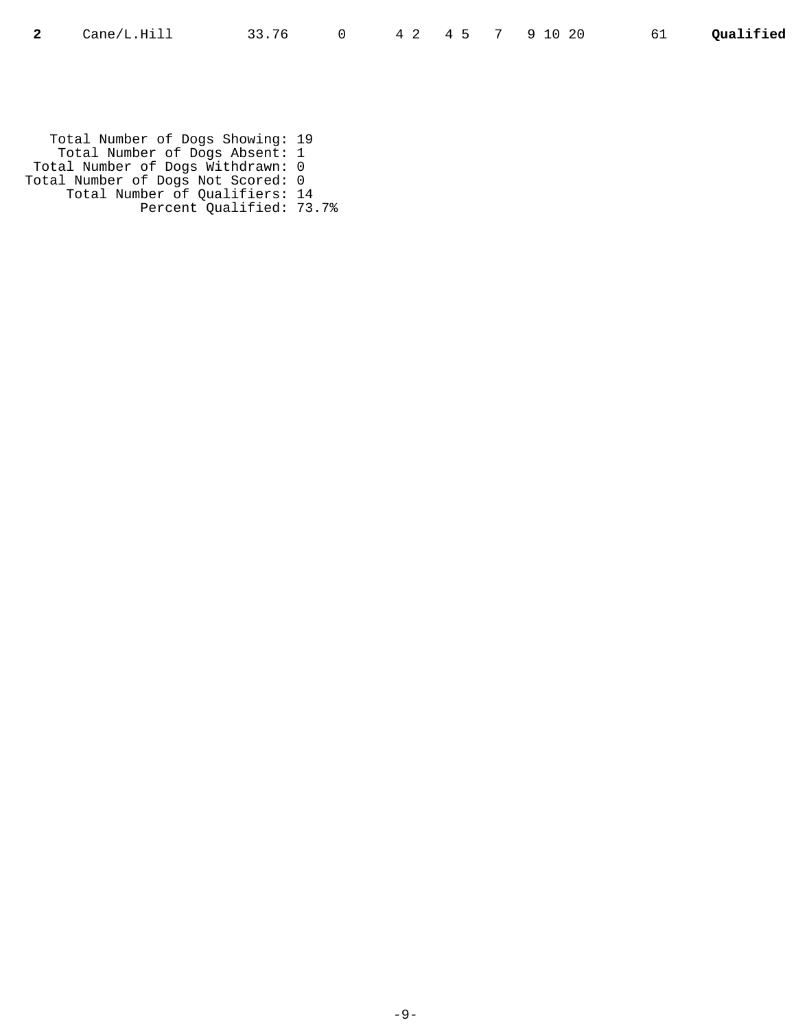Total Number of Dogs Showing: 19 Total Number of Dogs Absent: 1 Total Number of Dogs Withdrawn: 0 Total Number of Dogs Not Scored: 0 Total Number of Qualifiers: 14 Percent Qualified: 73.7%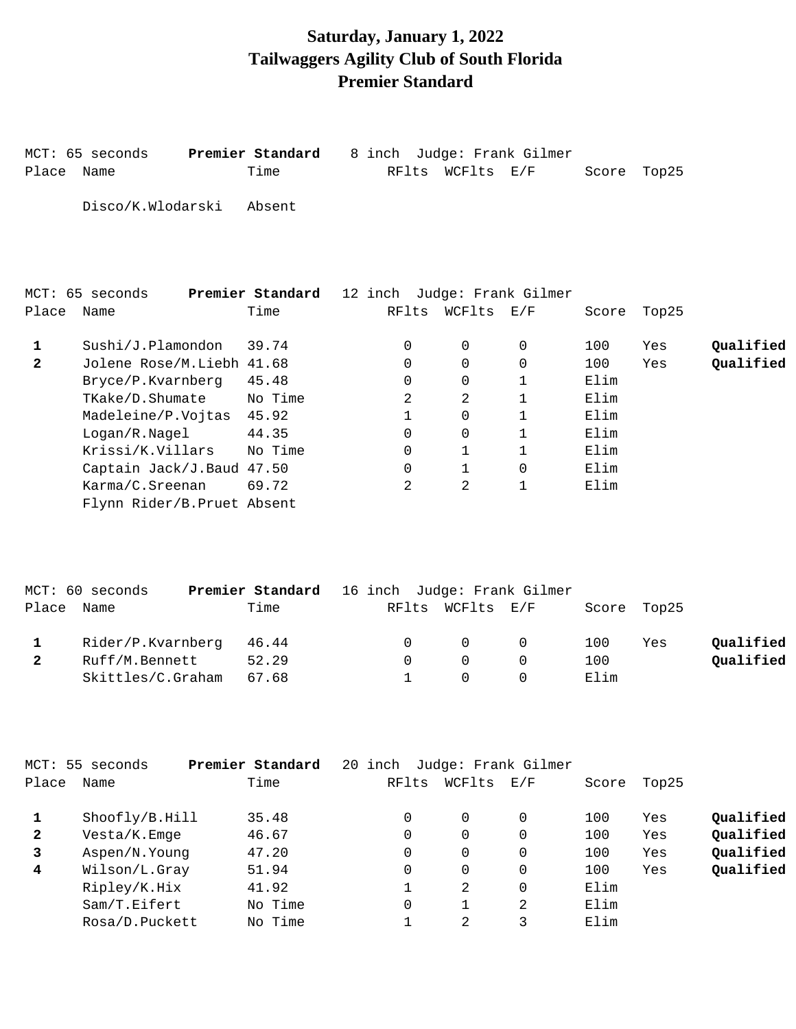## **Saturday, January 1, 2022 Tailwaggers Agility Club of South Florida Premier Standard**

|              | MCT: 65 seconds             | Premier Standard | 8 inch                      |              | Judge: Frank Gilmer |       |       |           |
|--------------|-----------------------------|------------------|-----------------------------|--------------|---------------------|-------|-------|-----------|
| Place        | Name                        | Time             | RFlts                       | WCFlts       | $\rm E$ / $\rm F$   | Score | Top25 |           |
|              | Disco/K.Wlodarski           | Absent           |                             |              |                     |       |       |           |
|              | MCT: 65 seconds             | Premier Standard | 12 inch Judge: Frank Gilmer |              |                     |       |       |           |
| Place        | Name                        | Time             | RFlts                       | WCFlts E/F   |                     | Score | Top25 |           |
| 1            | Sushi/J.Plamondon           | 39.74            | $\Omega$                    | 0            | 0                   | 100   | Yes   | Qualified |
| $\mathbf{2}$ | Jolene Rose/M.Liebh 41.68   |                  | 0                           | $\mathbf 0$  | $\Omega$            | 100   | Yes   | Qualified |
|              | Bryce/P.Kvarnberg           | 45.48            | $\Omega$                    | $\mathbf 0$  | 1                   | Elim  |       |           |
|              | TKake/D.Shumate             | No Time          | $\mathcal{L}$               | 2            | $\mathbf{1}$        | Elim  |       |           |
|              | Madeleine/P.Vojtas          | 45.92            | 1                           | $\Omega$     | $\mathbf{1}$        | Elim  |       |           |
|              | Logan/R.Nagel               | 44.35            | 0                           | $\mathbf 0$  | 1                   | Elim  |       |           |
|              | Krissi/K.Villars            | No Time          | 0                           | 1            | 1                   | Elim  |       |           |
|              | Captain Jack/J.Baud 47.50   |                  | $\Omega$                    | $\mathbf{1}$ | $\Omega$            | Elim  |       |           |
|              | Karma/C.Sreenan             | 69.72            | 2                           | 2            | 1                   | Elim  |       |           |
|              | Flynn Rider/B. Pruet Absent |                  |                             |              |                     |       |       |           |

|            | MCT: 60 seconds   | Premier Standard 16 inch Judge: Frank Gilmer |        |                                     |      |             |           |
|------------|-------------------|----------------------------------------------|--------|-------------------------------------|------|-------------|-----------|
| Place Name |                   | Time                                         |        | RFlts WCFlts E/F                    |      | Score Top25 |           |
|            | Rider/P.Kvarnberg | 46.44                                        |        | $\begin{matrix} 0 & 0 \end{matrix}$ | 100  | Yes         | Qualified |
|            | Ruff/M.Bennett    | 52.29                                        | $\cap$ | $\Omega$                            | 100  |             | Qualified |
|            | Skittles/C.Graham | 67.68                                        |        |                                     | Elim |             |           |

| MCT: 55      | seconds        | Premier Standard | 20 inch |          | Judge: Frank Gilmer |       |       |           |
|--------------|----------------|------------------|---------|----------|---------------------|-------|-------|-----------|
| Place        | Name           | Time             | RFlts   | WCFlts   | E/F                 | Score | Top25 |           |
|              | Shoofly/B.Hill | 35.48            | 0       | 0        | 0                   | 100   | Yes   | Qualified |
| $\mathbf{2}$ | Vesta/K.Emge   | 46.67            | 0       | 0        | 0                   | 100   | Yes   | Qualified |
| 3            | Aspen/N.Young  | 47.20            | 0       | $\Omega$ | 0                   | 100   | Yes   | Qualified |
| 4            | Wilson/L.Gray  | 51.94            | 0       | $\Omega$ | 0                   | 100   | Yes   | Qualified |
|              | Ripley/K.Hix   | 41.92            |         | 2        | $\Omega$            | Elim  |       |           |
|              | Sam/T.Eifert   | No Time          | 0       |          | 2                   | Elim  |       |           |
|              | Rosa/D.Puckett | No Time          |         | 2.       | 3                   | Elim  |       |           |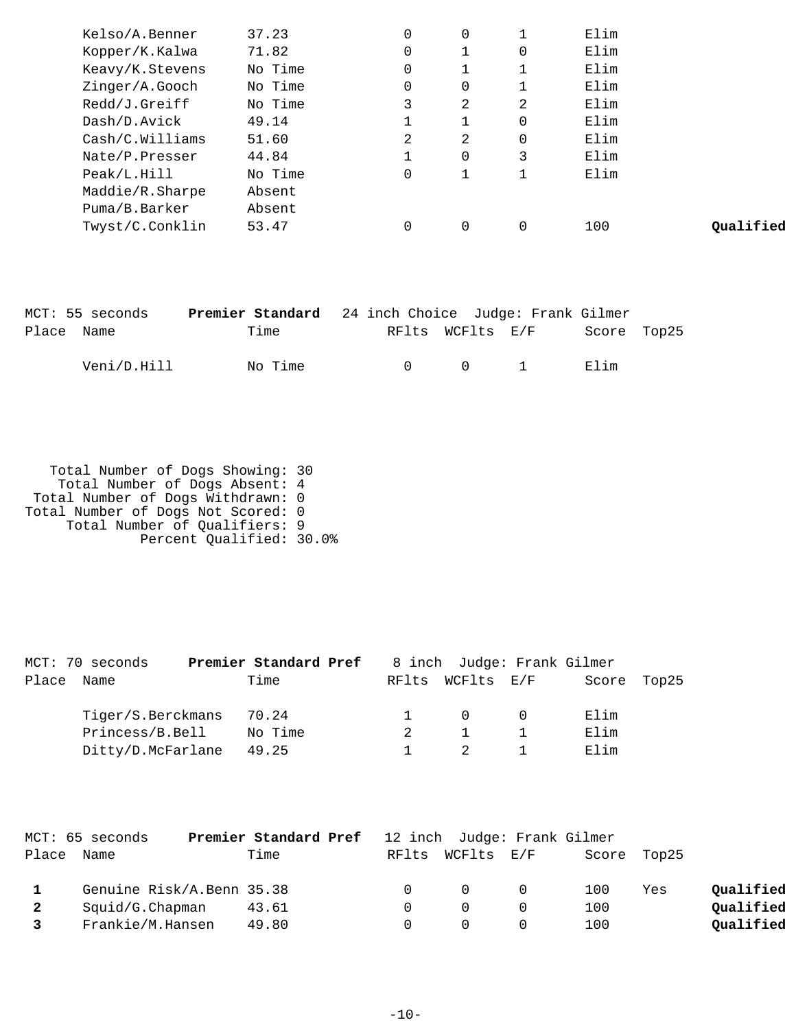| Kelso/A.Benner  | 37.23   | $\Omega$    | $\mathbf 0$ |          | Elim |           |
|-----------------|---------|-------------|-------------|----------|------|-----------|
| Kopper/K.Kalwa  | 71.82   | 0           |             | 0        | Elim |           |
| Keavy/K.Stevens | No Time | 0           |             |          | Elim |           |
| Zinger/A.Gooch  | No Time | $\mathbf 0$ | 0           |          | Elim |           |
| Redd/J.Greiff   | No Time | 3           | 2           | 2        | Elim |           |
| Dash/D.Avick    | 49.14   |             |             | $\Omega$ | Elim |           |
| Cash/C.Willians | 51.60   | 2           | 2           | 0        | Elim |           |
| Nate/P.Presser  | 44.84   |             | $\Omega$    | 3        | Elim |           |
| Peak/L.Hill     | No Time | $\Omega$    |             |          | Elim |           |
| Maddie/R.Sharpe | Absent  |             |             |          |      |           |
| Puma/B.Barker   | Absent  |             |             |          |      |           |
| Twyst/C.Conklin | 53.47   | 0           | 0           |          | 100  | Oualified |
|                 |         |             |             |          |      |           |

| MCT: 55 seconds | <b>Premier Standard</b> 24 inch Choice Judge: Frank Gilmer |        |                                              |             |  |
|-----------------|------------------------------------------------------------|--------|----------------------------------------------|-------------|--|
| Place Name      | Time                                                       |        | RFlts WCFlts E/F                             | Score Top25 |  |
| Veni/D.Hill     | No Time                                                    | $\cap$ | $\begin{array}{ccc} & & 0 & & 1 \end{array}$ | Elim        |  |

 Total Number of Dogs Showing: 30 Total Number of Dogs Absent: 4 Total Number of Dogs Withdrawn: 0 Total Number of Dogs Not Scored: 0 Total Number of Qualifiers: 9 Percent Qualified: 30.0%

|       | MCT: 70 seconds   | Premier Standard Pref |  | 8 inch Judge: Frank Gilmer |       |       |
|-------|-------------------|-----------------------|--|----------------------------|-------|-------|
| Place | Name              | Time                  |  | RFlts WCFlts E/F           | Score | Top25 |
|       | Tiger/S.Berckmans | 70.24                 |  | $\Omega$                   | Elim  |       |
|       | Princess/B.Bell   | No Time               |  |                            | Elim  |       |
|       | Ditty/D.McFarlane | 49.25                 |  |                            | Elim  |       |

|            | MCT: 65 seconds           | <b>Premier Standard Pref</b> 12 inch Judge: Frank Gilmer |        |                  |                |     |             |           |
|------------|---------------------------|----------------------------------------------------------|--------|------------------|----------------|-----|-------------|-----------|
| Place Name |                           | Time                                                     |        | RFlts WCFlts E/F |                |     | Score Top25 |           |
|            | Genuine Risk/A.Benn 35.38 |                                                          | $\cap$ | $\overline{0}$   | $\overline{0}$ | 100 | Yes         | Oualified |
|            | Squid/G.Chapman           | 43.61                                                    |        |                  |                | 100 |             | Qualified |
|            | Frankie/M.Hansen          | 49.80                                                    |        |                  |                | 100 |             | Qualified |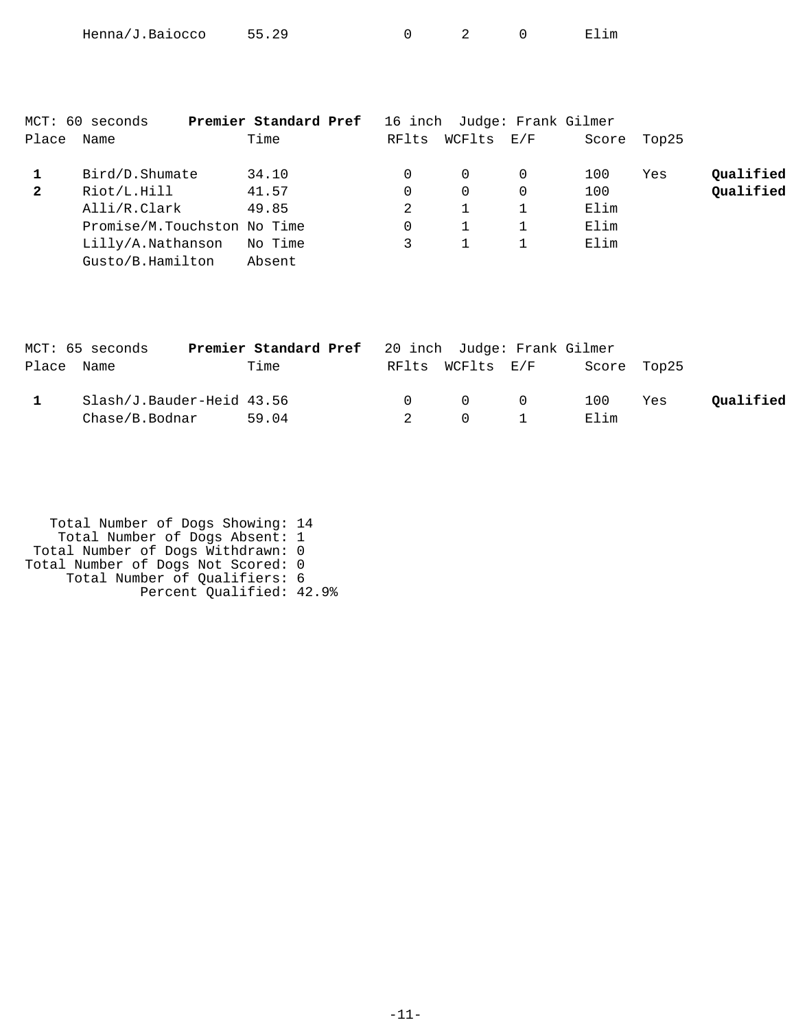| Henna/J.Baiocco | 55.29 |  |  |  | Elım |
|-----------------|-------|--|--|--|------|
|-----------------|-------|--|--|--|------|

| Place        | MCT: 60 seconds<br>Name     | Premier Standard Pref<br>Time | RFlts | WCFlts   | 16 inch Judge: Frank Gilmer<br>$\rm E$ / $\rm F$ | Score | Top25 |           |
|--------------|-----------------------------|-------------------------------|-------|----------|--------------------------------------------------|-------|-------|-----------|
|              | Bird/D.Shumate              | 34.10                         | 0     | $\Omega$ |                                                  | 100   | Yes   | Qualified |
| $\mathbf{2}$ | Riot/L.Hill                 | 41.57                         | 0     | $\Omega$ |                                                  | 100   |       | Qualified |
|              | Alli/R.Clark                | 49.85                         | 2     |          |                                                  | Elim  |       |           |
|              | Promise/M.Touchston No Time |                               | 0     |          |                                                  | Elim  |       |           |
|              | Lilly/A.Nathanson           | No Time                       |       |          |                                                  | Elim  |       |           |
|              | Gusto/B.Hamilton            | Absent                        |       |          |                                                  |       |       |           |

| MCT: 65 seconds           | Premier Standard Pref 20 inch Judge: Frank Gilmer |                |                                         |             |     |           |
|---------------------------|---------------------------------------------------|----------------|-----------------------------------------|-------------|-----|-----------|
| Place Name                | Time                                              |                | RFlts WCFlts E/F                        | Score Top25 |     |           |
| Slash/J.Bauder-Heid 43.56 |                                                   |                | $\begin{matrix} 0 & 0 & 0 \end{matrix}$ | 100         | Yes | Qualified |
| Chase/B.Bodnar            | 59.04                                             | $\overline{2}$ | $\begin{array}{ccc} 0 & 1 \end{array}$  | Elim        |     |           |

| Total Number of Dogs Showing: 14   |
|------------------------------------|
| Total Number of Dogs Absent: 1     |
| Total Number of Dogs Withdrawn: 0  |
| Total Number of Dogs Not Scored: 0 |
| Total Number of Qualifiers: 6      |
| Percent Qualified: 42.9%           |
|                                    |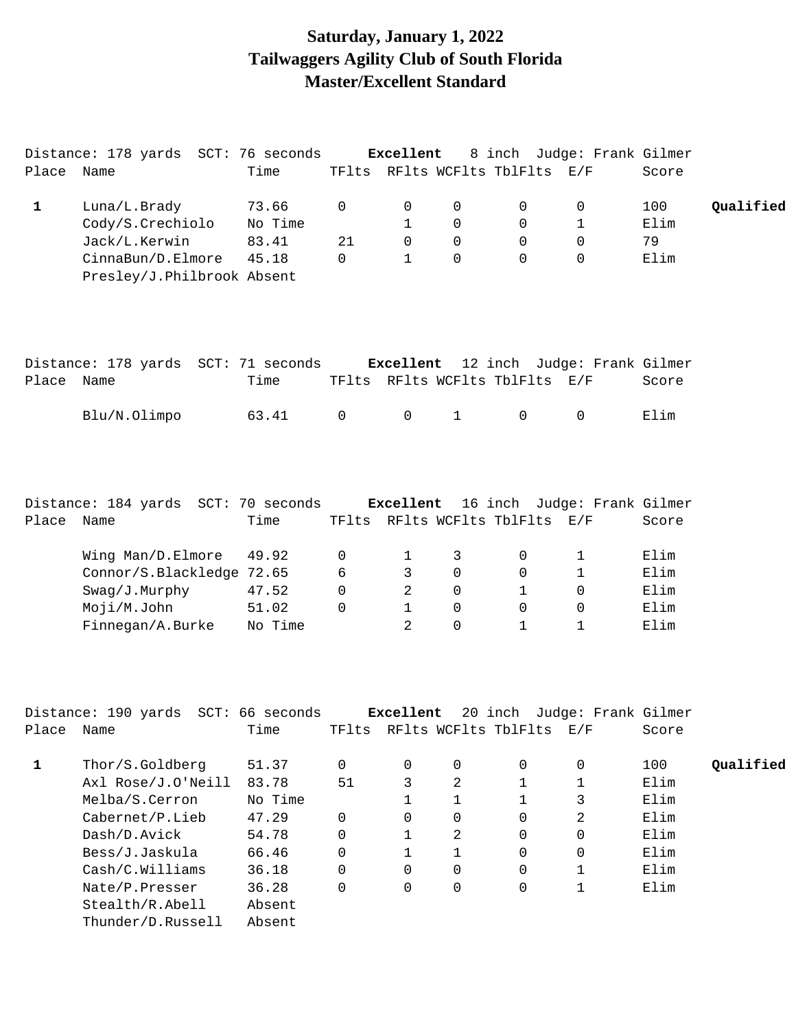## **Saturday, January 1, 2022 Tailwaggers Agility Club of South Florida Master/Excellent Standard**

| Place        | Distance: 178 yards SCT: 76 seconds<br>Name     | Time    |          | Excellent    |              | TFlts RFlts WCFlts TblFlts E/F | 8 inch Judge: Frank Gilmer  | Score |           |
|--------------|-------------------------------------------------|---------|----------|--------------|--------------|--------------------------------|-----------------------------|-------|-----------|
| $\mathbf{1}$ | Luna/L.Brady                                    | 73.66   | 0        | 0            | 0            | 0                              | 0                           | 100   | Qualified |
|              | Cody/S.Crechiolo                                | No Time |          | $\mathbf{1}$ | 0            | 0                              | 1                           | Elim  |           |
|              | Jack/L.Kerwin                                   | 83.41   | 21       | $\mathbf 0$  | 0            | 0                              | 0                           | 79    |           |
|              | CinnaBun/D.Elmore<br>Presley/J.Philbrook Absent | 45.18   | 0        | $\mathbf{1}$ | $\mathbf 0$  | $\Omega$                       | $\Omega$                    | Elim  |           |
|              |                                                 |         |          |              |              |                                |                             |       |           |
|              | Distance: 178 yards SCT: 71 seconds             |         |          | Excellent    |              |                                | 12 inch Judge: Frank Gilmer |       |           |
| Place Name   |                                                 | Time    |          |              |              | TFlts RFlts WCFlts TblFlts E/F |                             | Score |           |
|              | Blu/N.Olimpo                                    | 63.41   | 0        | $\mathbf 0$  | $\mathbf{1}$ | 0                              | $\mathbf 0$                 | Elim  |           |
|              |                                                 |         |          |              |              |                                |                             |       |           |
|              | Distance: 184 yards SCT: 70 seconds             |         |          | Excellent    |              |                                | 16 inch Judge: Frank Gilmer |       |           |
| Place Name   |                                                 | Time    |          |              |              | TFlts RFlts WCFlts TblFlts E/F |                             | Score |           |
|              | Wing Man/D.Elmore                               | 49.92   | 0        | 1            | 3            | 0                              | 1                           | Elim  |           |
|              | Connor/S.Blackledge 72.65                       |         | 6        | 3            | 0            | 0                              | 1                           | Elim  |           |
|              | Swag/J.Murphy                                   | 47.52   | $\Omega$ | 2            | $\Omega$     | 1                              | 0                           | Elim  |           |
|              | Moji/M.John                                     | 51.02   | $\Omega$ | $\mathbf{1}$ | 0            | 0                              | 0                           | Elim  |           |
|              | Finnegan/A.Burke                                | No Time |          | 2            | 0            | $\mathbf{1}$                   | 1                           | Elim  |           |
|              |                                                 |         |          |              |              |                                |                             |       |           |
|              | Distance: 190 yards SCT: 66 seconds             |         |          | Excellent    |              |                                | 20 inch Judge: Frank Gilmer |       |           |
| Place        | Name                                            | Time    | TFlts    |              |              | RFlts WCFlts TblFlts           | E/F                         | Score |           |
| $\mathbf{1}$ | Thor/S.Goldberg                                 | 51.37   | 0        | 0            | 0            | 0                              | 0                           | 100   | Qualified |
|              | Axl Rose/J.O'Neill                              | 83.78   | 51       | 3            | 2            | $\mathbf{1}$                   | 1                           | Elim  |           |
|              | Melba/S.Cerron                                  | No Time |          | $\mathbf{1}$ | 1            | $\mathbf{1}$                   | 3                           | Elim  |           |
|              | Cabernet/P.Lieb                                 | 47.29   | 0        | 0            | 0            | 0                              | 2                           | Elim  |           |
|              | Dash/D.Avick                                    | 54.78   | 0        | $\mathbf{1}$ | 2            | 0                              | 0                           | Elim  |           |
|              | Bess/J.Jaskula                                  | 66.46   | 0        | $\mathbf 1$  | 1            | $\Omega$                       | 0                           | Elim  |           |
|              | Cash/C.Williams                                 | 36.18   | 0        | $\Omega$     | 0            | 0                              | 1                           | Elim  |           |
|              | Nate/P.Presser                                  | 36.28   | 0        | 0            | 0            | 0                              | 1                           | Elim  |           |
|              | Stealth/R.Abell                                 | Absent  |          |              |              |                                |                             |       |           |
|              | Thunder/D.Russell                               | Absent  |          |              |              |                                |                             |       |           |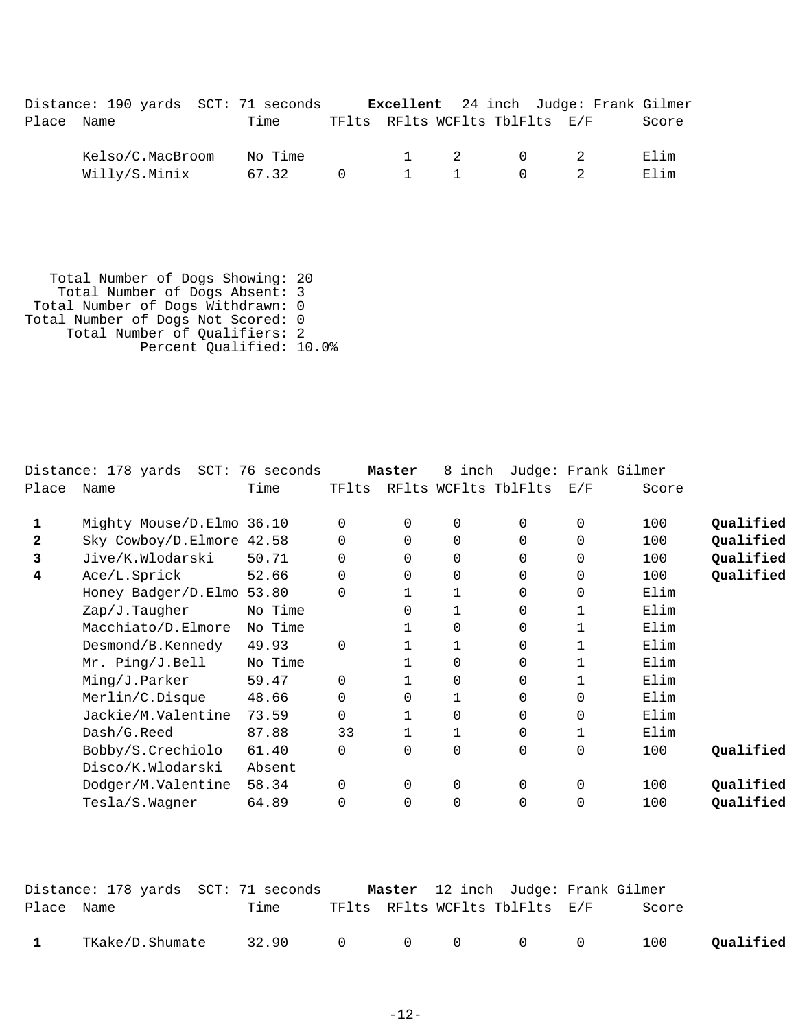|            | Distance: 190 yards SCT: 71 seconds |         |          |         | <b>Excellent</b> 24 inch Judge: Frank Gilmer |       |
|------------|-------------------------------------|---------|----------|---------|----------------------------------------------|-------|
| Place Name |                                     | Time    |          |         | TFlts RFlts WCFlts TblFlts E/F               | Score |
|            | Kelso/C.MacBroom                    | No Time |          | 1 2 0 2 |                                              | Elim  |
|            | Willy/S.Minix                       | 67.32   | $\Omega$ | 1 1     | $\cap$ $\cap$                                | Elim  |

 Total Number of Dogs Showing: 20 Total Number of Dogs Absent: 3 Total Number of Dogs Withdrawn: 0 Total Number of Dogs Not Scored: 0 Total Number of Qualifiers: 2 Percent Qualified: 10.0%

|              | Distance: 178 yards SCT: 76 seconds |         |          | Master   | 8 inch         |                      |             | Judge: Frank Gilmer |           |
|--------------|-------------------------------------|---------|----------|----------|----------------|----------------------|-------------|---------------------|-----------|
| Place        | Name                                | Time    | TFlts    |          |                | RFlts WCFlts TblFlts | E/F         | Score               |           |
| 1            | Mighty Mouse/D.Elmo 36.10           |         | 0        | 0        | $\mathbf 0$    | $\Omega$             | $\mathbf 0$ | 100                 | Qualified |
| $\mathbf{2}$ | Sky Cowboy/D.Elmore 42.58           |         | 0        | 0        | $\mathbf 0$    | 0                    | $\Omega$    | 100                 | Qualified |
| 3            | Jive/K.Wlodarski                    | 50.71   | 0        | $\Omega$ | $\mathbf 0$    | $\Omega$             | $\Omega$    | 100                 | Qualified |
| 4            | Ace/L.Sprick                        | 52.66   | $\Omega$ | 0        | $\mathbf 0$    | 0                    | 0           | 100                 | Qualified |
|              | Honey Badger/D.Elmo 53.80           |         | $\Omega$ |          |                | $\Omega$             | 0           | Elim                |           |
|              | Zap/J.Taugher                       | No Time |          | $\Omega$ |                | $\Omega$             | 1           | Elim                |           |
|              | Macchiato/D.Elmore                  | No Time |          |          | $\mathbf 0$    | $\Omega$             | 1           | Elim                |           |
|              | Desmond/B.Kennedy                   | 49.93   | $\Omega$ |          |                | $\Omega$             | 1           | Elim                |           |
|              | Mr. Ping/J.Bell                     | No Time |          |          | $\mathbf 0$    | $\Omega$             | 1           | Elim                |           |
|              | Ming/J.Parker                       | 59.47   | $\Omega$ |          | $\mathbf 0$    | $\Omega$             | 1           | Elim                |           |
|              | Merlin/C.Disque                     | 48.66   | 0        | 0        | 1              | $\Omega$             | 0           | Elim                |           |
|              | Jackie/M.Valentine                  | 73.59   | 0        |          | $\mathbf 0$    | $\Omega$             | 0           | Elim                |           |
|              | Dash/G.Reed                         | 87.88   | 33       |          |                | $\Omega$             | 1           | Elim                |           |
|              | Bobby/S.Crechiolo                   | 61.40   | $\Omega$ | $\Omega$ | $\mathbf 0$    | $\Omega$             | 0           | 100                 | Qualified |
|              | Disco/K.Wlodarski                   | Absent  |          |          |                |                      |             |                     |           |
|              | Dodger/M.Valentine                  | 58.34   | 0        | $\Omega$ | $\mathbf 0$    | $\Omega$             | $\Omega$    | 100                 | Qualified |
|              | Tesla/S.Wagner                      | 64.89   | $\Omega$ | 0        | $\overline{0}$ | $\Omega$             | $\Omega$    | 100                 | Qualified |
|              |                                     |         |          |          |                |                      |             |                     |           |

|            | Distance: 178 yards  SCT: 71 seconds |                 |  | Master 12 inch Judge: Frank Gilmer |       |           |
|------------|--------------------------------------|-----------------|--|------------------------------------|-------|-----------|
| Place Name |                                      | Time            |  | TFlts RFlts WCFlts TblFlts E/F     | Score |           |
|            |                                      |                 |  |                                    |       |           |
|            | TKake/D.Shumate                      | 32.90 0 0 0 0 0 |  |                                    | 100   | Oualified |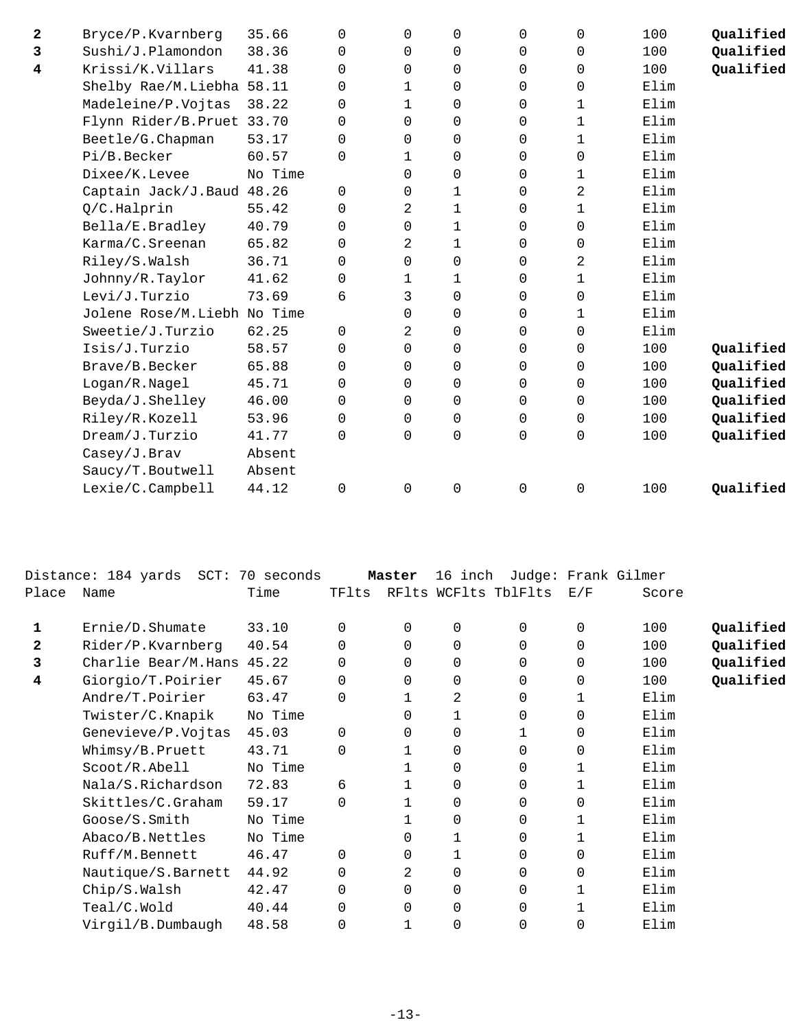| $\mathbf{2}$ | Bryce/P.Kvarnberg           | 35.66   | $\Omega$    | 0           | $\mathbf 0$  | 0           | $\mathbf 0$ | 100  | Qualified |
|--------------|-----------------------------|---------|-------------|-------------|--------------|-------------|-------------|------|-----------|
| 3            | Sushi/J.Plamondon           | 38.36   | 0           | 0           | $\mathbf 0$  | 0           | $\mathbf 0$ | 100  | Qualified |
| 4            | Krissi/K.Villars            | 41.38   | 0           | $\Omega$    | $\mathbf 0$  | 0           | $\mathbf 0$ | 100  | Qualified |
|              | Shelby Rae/M.Liebha         | 58.11   | 0           | 1           | $\Omega$     | 0           | $\mathbf 0$ | Elim |           |
|              | Madeleine/P.Vojtas          | 38.22   | 0           | 1           | 0            | 0           | 1           | Elim |           |
|              | Flynn Rider/B.Pruet 33.70   |         | $\Omega$    | $\Omega$    | $\mathbf 0$  | 0           | 1           | Elim |           |
|              | Beetle/G.Chapman            | 53.17   | $\Omega$    | 0           | $\mathbf 0$  | 0           | 1           | Elim |           |
|              | Pi/B.Becker                 | 60.57   | $\Omega$    | 1           | $\mathbf 0$  | 0           | $\mathsf 0$ | Elim |           |
|              | Dixee/K.Levee               | No Time |             | $\Omega$    | $\mathbf 0$  | 0           | 1           | Elim |           |
|              | Captain Jack/J.Baud         | 48.26   | $\Omega$    | $\Omega$    | 1            | 0           | 2           | Elim |           |
|              | Q/C.Halprin                 | 55.42   | 0           | 2           | 1            | 0           | 1           | Elim |           |
|              | Bella/E.Bradley             | 40.79   | 0           | 0           | 1            | 0           | 0           | Elim |           |
|              | Karma/C.Sreenan             | 65.82   | $\Omega$    | 2           | $\mathbf{1}$ | 0           | 0           | Elim |           |
|              | Riley/S.Walsh               | 36.71   | 0           | $\Omega$    | $\mathbf 0$  | 0           | 2           | Elim |           |
|              | Johnny/R.Taylor             | 41.62   | 0           | $\mathbf 1$ | 1            | 0           | 1           | Elim |           |
|              | Levi/J.Turzio               | 73.69   | 6           | 3           | $\mathbf 0$  | 0           | $\mathbf 0$ | Elim |           |
|              | Jolene Rose/M.Liebh No Time |         |             | $\Omega$    | $\mathbf 0$  | 0           | $\mathbf 1$ | Elim |           |
|              | Sweetie/J.Turzio            | 62.25   | $\Omega$    | 2           | $\Omega$     | 0           | $\mathbf 0$ | Elim |           |
|              | Isis/J.Turzio               | 58.57   | $\Omega$    | $\Omega$    | 0            | 0           | 0           | 100  | Qualified |
|              | Brave/B.Becker              | 65.88   | $\Omega$    | $\Omega$    | $\mathbf 0$  | 0           | $\mathbf 0$ | 100  | Qualified |
|              | Logan/R.Nagel               | 45.71   | 0           | $\Omega$    | $\mathbf 0$  | 0           | $\mathbf 0$ | 100  | Qualified |
|              | Beyda/J.Shelley             | 46.00   | $\Omega$    | $\Omega$    | $\mathbf 0$  | 0           | $\mathbf 0$ | 100  | Qualified |
|              | Riley/R.Kozell              | 53.96   | 0           | $\Omega$    | 0            | 0           | 0           | 100  | Qualified |
|              | Dream/J.Turzio              | 41.77   | $\Omega$    | $\Omega$    | $\Omega$     | 0           | 0           | 100  | Qualified |
|              | Casey/J.Brav                | Absent  |             |             |              |             |             |      |           |
|              | Saucy/T. Boutwell           | Absent  |             |             |              |             |             |      |           |
|              | Lexie/C.Campbell            | 44.12   | $\mathbf 0$ | $\mathbf 0$ | $\mathbf 0$  | $\mathbf 0$ | $\mathbf 0$ | 100  | Qualified |
|              |                             |         |             |             |              |             |             |      |           |

|       | Distance: 184 yards SCT:  | 70 seconds |          | Master   | 16 inch     |                      |             | Judge: Frank Gilmer |           |
|-------|---------------------------|------------|----------|----------|-------------|----------------------|-------------|---------------------|-----------|
| Place | Name                      | Time       | TFlts    |          |             | RFlts WCFlts TblFlts | E/F         | Score               |           |
|       | Ernie/D.Shumate           | 33.10      | 0        | 0        | 0           | 0                    | $\mathbf 0$ | 100                 | Qualified |
| 2     | Rider/P.Kvarnberg         | 40.54      | $\Omega$ | $\Omega$ | $\Omega$    | 0                    | $\Omega$    | 100                 | Qualified |
| 3     | Charlie Bear/M.Hans 45.22 |            | $\Omega$ | $\Omega$ | 0           | 0                    | $\mathbf 0$ | 100                 | Qualified |
| 4     | Giorgio/T.Poirier         | 45.67      | 0        | $\Omega$ | 0           | 0                    | 0           | 100                 | Qualified |
|       | Andre/T.Poirier           | 63.47      | $\Omega$ |          | 2           | 0                    | 1           | Elim                |           |
|       | Twister/C.Knapik          | No Time    |          | $\Omega$ | 1           | 0                    | $\mathbf 0$ | Elim                |           |
|       | Genevieve/P.Vojtas        | 45.03      | $\Omega$ | 0        | 0           |                      | $\mathbf 0$ | Elim                |           |
|       | Whimsy/B.Pruett           | 43.71      | 0        |          | 0           | 0                    | $\mathbf 0$ | Elim                |           |
|       | Scoot/R.Abell             | No Time    |          |          | $\Omega$    | 0                    |             | Elim                |           |
|       | Nala/S.Richardson         | 72.83      | 6        |          | $\Omega$    | 0                    |             | Elim                |           |
|       | Skittles/C.Graham         | 59.17      | $\Omega$ |          | 0           | 0                    | 0           | Elim                |           |
|       | Goose/S.Smith             | No Time    |          |          | 0           | 0                    |             | Elim                |           |
|       | Abaco/B.Nettles           | No Time    |          | 0        | 1           | 0                    |             | Elim                |           |
|       | Ruff/M.Bennett            | 46.47      | $\Omega$ | 0        |             | 0                    | $\mathbf 0$ | Elim                |           |
|       | Nautique/S.Barnett        | 44.92      | 0        | 2        | 0           | 0                    | $\mathbf 0$ | Elim                |           |
|       | Chip/S.Walsh              | 42.47      | $\Omega$ | $\Omega$ | $\Omega$    | 0                    |             | Elim                |           |
|       | Teal/C.Wold               | 40.44      | $\Omega$ | $\Omega$ | $\Omega$    | 0                    |             | Elim                |           |
|       | Virgil/B.Dumbaugh         | 48.58      | 0        |          | $\mathbf 0$ | 0                    | 0           | Elim                |           |
|       |                           |            |          |          |             |                      |             |                     |           |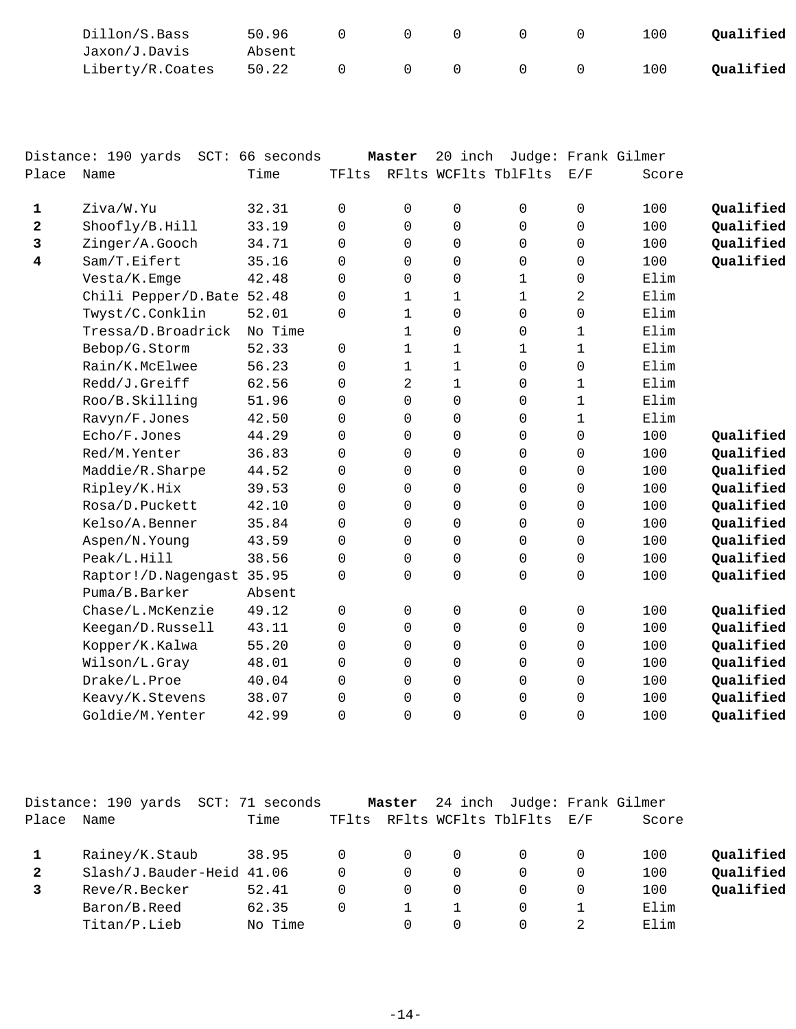| Dillon/S.Bass    | 50.96  |  |  | 100 | Qualified |
|------------------|--------|--|--|-----|-----------|
| Jaxon/J.Davis    | Absent |  |  |     |           |
| Liberty/R.Coates | 50.22  |  |  | 100 | Oualified |

|              | Distance: 190 yards       | SCT: 66 seconds |       | Master       | 20 inch      | Judge: Frank Gilmer  |             |       |           |
|--------------|---------------------------|-----------------|-------|--------------|--------------|----------------------|-------------|-------|-----------|
| Place        | Name                      | Time            | TFlts |              |              | RFlts WCFlts TblFlts | E/F         | Score |           |
| $\mathbf{1}$ | Ziva/W.Yu                 | 32.31           | 0     | 0            | 0            | 0                    | 0           | 100   | Qualified |
| $\mathbf{2}$ | Shoofly/B.Hill            | 33.19           | 0     | 0            | 0            | $\mathbf 0$          | $\Omega$    | 100   | Qualified |
| 3            | Zinger/A.Gooch            | 34.71           | 0     | 0            | $\Omega$     | $\Omega$             | $\Omega$    | 100   | Qualified |
| 4            | Sam/T.Eifert              | 35.16           | 0     | 0            | $\Omega$     | $\Omega$             | $\Omega$    | 100   | Qualified |
|              | Vesta/K.Emge              | 42.48           | 0     | 0            | $\Omega$     | $\mathbf 1$          | $\Omega$    | Elim  |           |
|              | Chili Pepper/D.Bate 52.48 |                 | 0     | 1            | 1            | $\mathbf 1$          | 2           | Elim  |           |
|              | Twyst/C.Conklin           | 52.01           | 0     | $\mathbf 1$  | $\Omega$     | $\Omega$             | $\Omega$    | Elim  |           |
|              | Tressa/D.Broadrick        | No Time         |       | $\mathbf{1}$ | 0            | $\mathbf 0$          | 1           | Elim  |           |
|              | Bebop/G.Storm             | 52.33           | 0     | $\mathbf{1}$ | 1            | $\mathbf{1}$         | $\mathbf 1$ | Elim  |           |
|              | Rain/K.McElwee            | 56.23           | 0     | 1            | 1            | $\mathbf 0$          | 0           | Elim  |           |
|              | Redd/J.Greiff             | 62.56           | 0     | 2            | $\mathbf{1}$ | $\Omega$             | $\mathbf 1$ | Elim  |           |
|              | Roo/B.Skilling            | 51.96           | 0     | 0            | $\Omega$     | $\Omega$             | 1           | Elim  |           |
|              | Ravyn/F.Jones             | 42.50           | 0     | 0            | $\Omega$     | $\Omega$             | $\mathbf 1$ | Elim  |           |
|              | Echo/F.Jones              | 44.29           | 0     | 0            | 0            | $\mathbf 0$          | $\mathbf 0$ | 100   | Qualified |
|              | Red/M.Yenter              | 36.83           | 0     | 0            | 0            | $\Omega$             | 0           | 100   | Qualified |
|              | Maddie/R.Sharpe           | 44.52           | 0     | 0            | 0            | $\Omega$             | 0           | 100   | Qualified |
|              | Ripley/K.Hix              | 39.53           | 0     | 0            | $\Omega$     | $\Omega$             | $\Omega$    | 100   | Qualified |
|              | Rosa/D.Puckett            | 42.10           | 0     | 0            | $\Omega$     | $\Omega$             | $\Omega$    | 100   | Qualified |
|              | Kelso/A.Benner            | 35.84           | 0     | 0            | $\Omega$     | $\Omega$             | $\Omega$    | 100   | Qualified |
|              | Aspen/N.Young             | 43.59           | 0     | 0            | $\Omega$     | $\Omega$             | $\Omega$    | 100   | Qualified |
|              | Peak/L.Hill               | 38.56           | 0     | 0            | 0            | $\mathbf 0$          | 0           | 100   | Qualified |
|              | Raptor!/D.Nagengast 35.95 |                 | 0     | 0            | 0            | 0                    | 0           | 100   | Qualified |
|              | Puma/B.Barker             | Absent          |       |              |              |                      |             |       |           |
|              | Chase/L.McKenzie          | 49.12           | 0     | $\mathbf 0$  | $\Omega$     | $\Omega$             | $\mathbf 0$ | 100   | Qualified |
|              | Keegan/D.Russell          | 43.11           | 0     | 0            | $\Omega$     | $\Omega$             | $\Omega$    | 100   | Qualified |
|              | Kopper/K.Kalwa            | 55.20           | 0     | 0            | $\Omega$     | $\Omega$             | $\mathbf 0$ | 100   | Qualified |
|              | Wilson/L.Gray             | 48.01           | 0     | 0            | $\Omega$     | $\Omega$             | $\Omega$    | 100   | Qualified |
|              | Drake/L.Proe              | 40.04           | 0     | 0            | $\Omega$     | $\Omega$             | 0           | 100   | Qualified |
|              | Keavy/K.Stevens           | 38.07           | 0     | 0            | 0            | $\Omega$             | $\Omega$    | 100   | Qualified |
|              | Goldie/M. Yenter          | 42.99           | 0     | 0            | 0            | $\Omega$             | $\Omega$    | 100   | Qualified |

|       | Distance: 190 yards       | SCT: 71 seconds |       | Master   |   | 24 inch Judge: Frank Gilmer |          |       |           |
|-------|---------------------------|-----------------|-------|----------|---|-----------------------------|----------|-------|-----------|
| Place | Name                      | Time            | TFlts |          |   | RFlts WCFlts TblFlts        | E/F      | Score |           |
| 1     | Rainey/K.Staub            | 38.95           |       | $\Omega$ | 0 | 0                           | $\Omega$ | 100   | Qualified |
| 2     | Slash/J.Bauder-Heid 41.06 |                 |       | 0        | 0 | 0                           | $\Omega$ | 100   | Qualified |
| 3     | Reve/R.Becker             | 52.41           |       | 0        | 0 | 0                           | $\Omega$ | 100   | Qualified |
|       | Baron/B.Reed              | 62.35           |       |          |   | 0                           |          | Elim  |           |
|       | Titan/P.Lieb              | No Time         |       | 0        |   |                             | ⌒        | Elim  |           |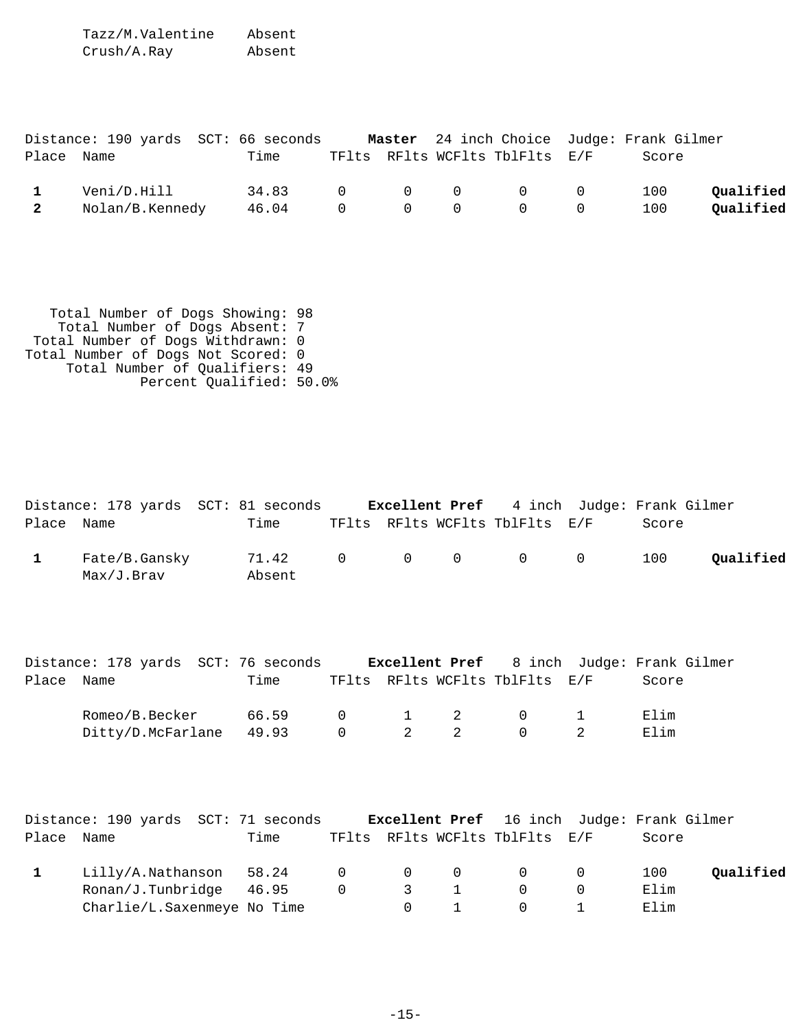Tazz/M.Valentine Absent Crush/A.Ray Absent

|            |                   | Distance: 190 yards SCT: 66 seconds |  |                                | Master 24 inch Choice Judge: Frank Gilmer |           |
|------------|-------------------|-------------------------------------|--|--------------------------------|-------------------------------------------|-----------|
| Place Name |                   | Time                                |  | TFlts RFlts WCFlts TblFlts E/F | Score                                     |           |
|            | Veni/D.Hill       | $34.83$ 0 0 0 0 0                   |  |                                | 100                                       | Oualified |
|            | 2 Nolan/B.Kennedy | 46.04 0 0 0 0 0                     |  |                                | 100                                       | Qualified |

| Total Number of Dogs Showing: 98   |  |
|------------------------------------|--|
| Total Number of Dogs Absent: 7     |  |
| Total Number of Dogs Withdrawn: 0  |  |
| Total Number of Dogs Not Scored: 0 |  |
| Total Number of Qualifiers: 49     |  |
| Percent Oualified: 50.0%           |  |
|                                    |  |

| Place Name   | Distance: 178 yards SCT: 81 seconds Excellent Pref                             | Time            |             |                |              | TFlts RFlts WCFlts TblFlts E/F | 4 inch Judge: Frank Gilmer | Score |           |
|--------------|--------------------------------------------------------------------------------|-----------------|-------------|----------------|--------------|--------------------------------|----------------------------|-------|-----------|
| $\mathbf{1}$ | Fate/B.Gansky<br>Max/J.Brav                                                    | 71.42<br>Absent | $\mathbf 0$ | $\Omega$       | $\mathbf 0$  | $\Omega$                       | $\mathbf 0$                | 100   | Qualified |
|              | Distance: 178 yards SCT: 76 seconds Excellent Pref                             |                 |             |                |              |                                | 8 inch Judge: Frank Gilmer |       |           |
| Place Name   |                                                                                | Time            |             |                |              | TFlts RFlts WCFlts TblFlts E/F |                            | Score |           |
|              | Romeo/B.Becker                                                                 | 66.59           | $\Omega$    | $\mathbf{1}$   | 2            | 0                              | 1                          | Elim  |           |
|              | Ditty/D.McFarlane                                                              | 49.93           | 0           | $\overline{a}$ | 2            | $\Omega$                       | 2                          | Elim  |           |
|              | Distance: 190 yards SCT: 71 seconds Excellent Pref 16 inch Judge: Frank Gilmer |                 |             |                |              |                                |                            |       |           |
| Place        | Name                                                                           | Time            |             |                |              | TFlts RFlts WCFlts TblFlts     | E/F                        | Score |           |
| $\mathbf{1}$ | Lilly/A.Nathanson                                                              | 58.24           | $\mathbf 0$ | 0              | $\mathbf 0$  | 0                              | 0                          | 100   | Qualified |
|              | Ronan/J.Tunbridge                                                              | 46.95           | 0           | 3              | $\mathbf{1}$ | 0                              | 0                          | Elim  |           |
|              | Charlie/L. Saxenmeye No Time                                                   |                 |             | $\Omega$       | $\mathbf{1}$ | $\Omega$                       | $\mathbf{1}$               | Elim  |           |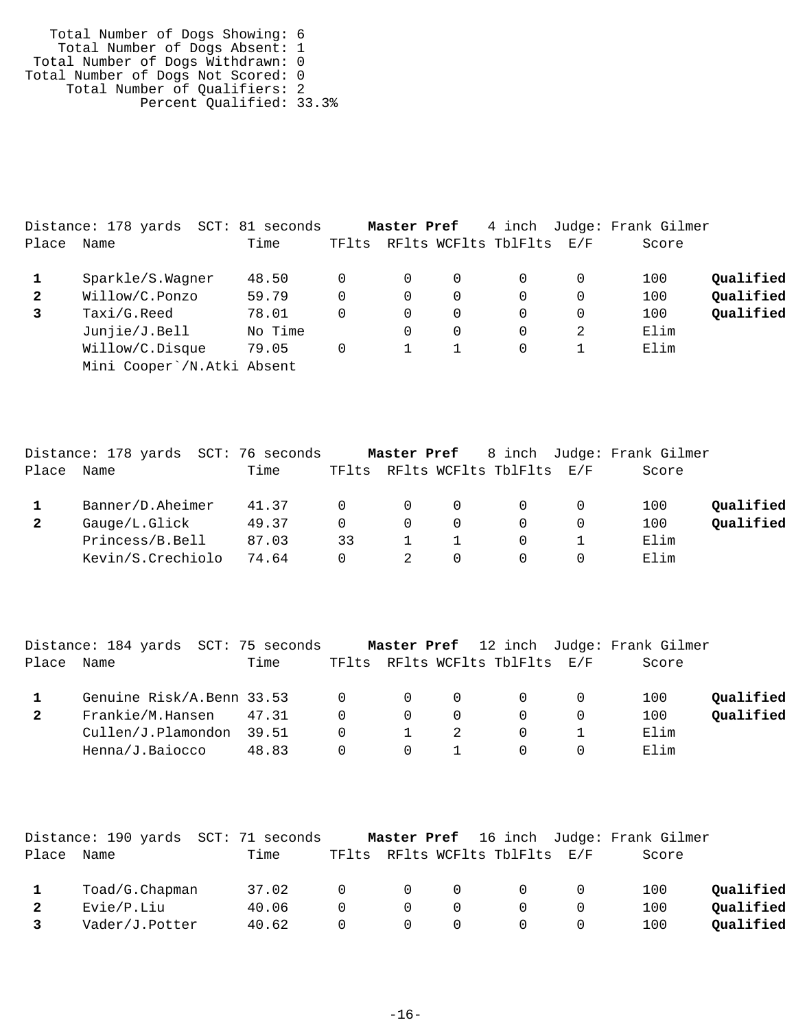Total Number of Dogs Showing: 6 Total Number of Dogs Absent: 1 Total Number of Dogs Withdrawn: 0 Total Number of Dogs Not Scored: 0 Total Number of Qualifiers: 2 Percent Qualified: 33.3%

|              | Distance: 178 yards<br>SCT: | 81 seconds |       | Master Pref |          | 4 inch               |           | Judge: Frank Gilmer |           |
|--------------|-----------------------------|------------|-------|-------------|----------|----------------------|-----------|---------------------|-----------|
| Place        | Name                        | Time       | TFlts |             |          | RFlts WCFlts TblFlts | $\rm E/F$ | Score               |           |
|              | Sparkle/S.Wagner            | 48.50      | 0     |             | 0        |                      |           | 100                 | Qualified |
| $\mathbf{2}$ | Willow/C.Ponzo              | 59.79      | 0     | 0           | $\Omega$ |                      |           | 100                 | Qualified |
|              | Taxi/G.Reed                 | 78.01      | 0     | 0           | $\Omega$ | $\Omega$             | $\Omega$  | 100                 | Qualified |
|              | Junjie/J.Bell               | No Time    |       |             | 0        |                      | 2         | Elim                |           |
|              | Willow/C.Disque             | 79.05      | 0     |             |          |                      |           | Elim                |           |
|              | Mini Cooper /N.Atki Absent  |            |       |             |          |                      |           |                     |           |

|       | Distance: 178 yards  SCT: 76 seconds |       |       | Master Pref |          |                      |     | 8 inch Judge: Frank Gilmer |           |
|-------|--------------------------------------|-------|-------|-------------|----------|----------------------|-----|----------------------------|-----------|
| Place | Name                                 | Time  | TFlts |             |          | RFlts WCFlts TblFlts | E/F | Score                      |           |
|       | Banner/D.Aheimer                     | 41.37 |       | $\Omega$    | $\Omega$ |                      |     | 100                        | Qualified |
|       | Gauge/L.Glick                        | 49.37 |       | $\Omega$    | $\Omega$ |                      |     | 100                        | Qualified |
|       | Princess/B.Bell                      | 87.03 | 33    |             |          |                      |     | Elim                       |           |
|       | Kevin/S.Crechiolo                    | 74.64 |       |             |          |                      |     | Elim                       |           |

|       | Distance: 184 yards  SCT: 75 seconds |       |                |                |          |                                |                | Master Pref 12 inch Judge: Frank Gilmer |           |
|-------|--------------------------------------|-------|----------------|----------------|----------|--------------------------------|----------------|-----------------------------------------|-----------|
| Place | Name                                 | Time  |                |                |          | TFlts RFlts WCFlts TblFlts E/F |                | Score                                   |           |
|       | Genuine $Risk/A.Benn 33.53 0 0$      |       |                |                | $\Omega$ | $\overline{0}$                 | $\overline{0}$ | 100                                     | Oualified |
|       | Frankie/M.Hansen 47.31               |       | $\Omega$       | $\overline{0}$ | $\Omega$ |                                |                | 100                                     | Qualified |
|       | Cullen/J.Plamondon 39.51             |       | $\overline{0}$ | 1              | - 2      | $\Omega$                       |                | Elim                                    |           |
|       | Henna/J.Baiocco                      | 48.83 | 0              |                |          |                                |                | Elim                                    |           |

|              | Distance: 190 yards SCT: 71 seconds |       |          |          |          |                      |     | <b>Master Pref</b> 16 inch Judge: Frank Gilmer |           |
|--------------|-------------------------------------|-------|----------|----------|----------|----------------------|-----|------------------------------------------------|-----------|
| Place        | Name                                | Time  | TFlts    |          |          | RFlts WCFlts TblFlts | E/F | Score                                          |           |
|              | Toad/G.Chapman                      | 37.02 | $\Omega$ | $\Omega$ | $\Omega$ |                      |     | 100                                            | Qualified |
| $\mathbf{2}$ | Evie/P.Liu                          | 40.06 | $\cap$   | $\Omega$ | $\Omega$ |                      |     | 100                                            | Qualified |
|              | Vader/J.Potter                      | 40.62 | 0        | $\Omega$ | $\Omega$ |                      |     | 100                                            | Oualified |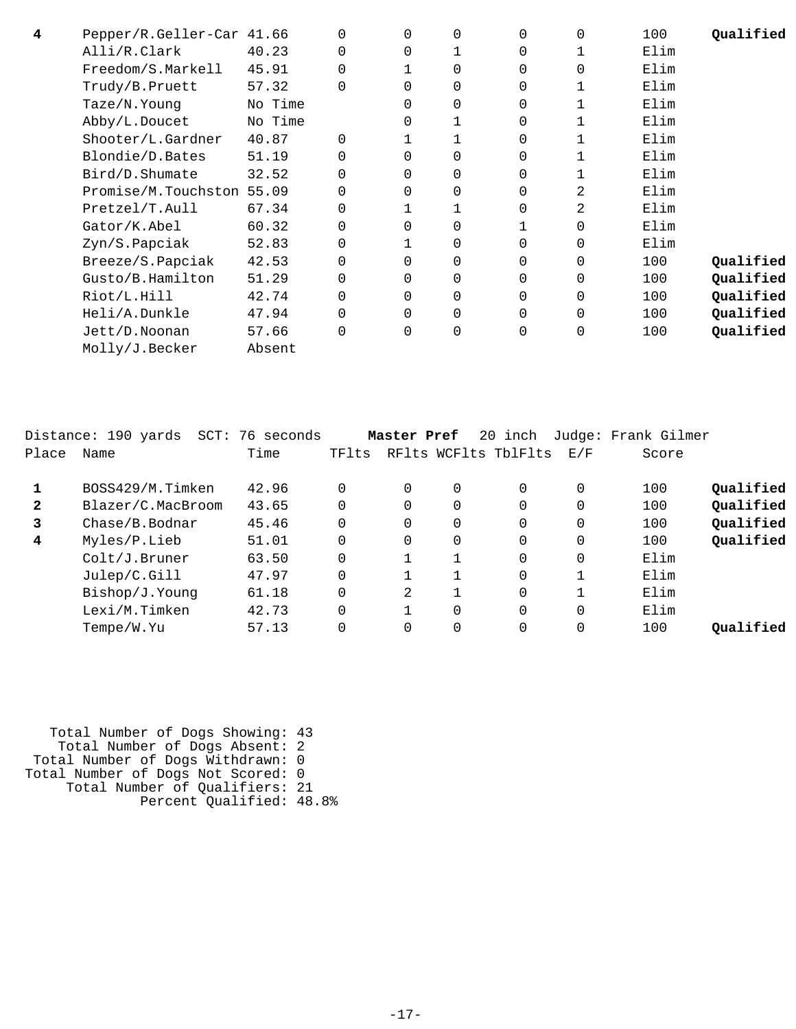| 4 | Pepper/R.Geller-Car 41.66 |         | 0        | 0        | $\overline{0}$ | $\Omega$ | 0        | 100  | Oualified |
|---|---------------------------|---------|----------|----------|----------------|----------|----------|------|-----------|
|   | Alli/R.Clark              | 40.23   | 0        | 0        |                | 0        | 1        | Elim |           |
|   | Freedom/S.Markell         | 45.91   | 0        |          | $\overline{0}$ | $\Omega$ | 0        | Elim |           |
|   | Trudy/B.Pruett            | 57.32   | $\Omega$ | $\Omega$ | $\Omega$       | $\Omega$ | 1        | Elim |           |
|   | Taze/N.Young              | No Time |          | 0        | $\mathbf 0$    | $\Omega$ | 1        | Elim |           |
|   | Abby/L.Doucet             | No Time |          | 0        |                | $\Omega$ | 1        | Elim |           |
|   | Shooter/L.Gardner         | 40.87   | $\Omega$ |          |                | 0        |          | Elim |           |
|   | Blondie/D.Bates           | 51.19   | $\Omega$ | $\Omega$ | $\mathbf 0$    | 0        |          | Elim |           |
|   | Bird/D.Shumate            | 32.52   | 0        | 0        | $\mathbf 0$    | $\Omega$ |          | Elim |           |
|   | Promise/M.Touchston 55.09 |         | $\Omega$ | 0        | $\mathbf 0$    | $\Omega$ | 2        | Elim |           |
|   | Pretzel/T.Aull            | 67.34   | 0        |          |                | $\Omega$ | 2        | Elim |           |
|   | Gator/K.Abel              | 60.32   | 0        | 0        | $\Omega$       |          | $\Omega$ | Elim |           |
|   | Zyn/S.Papciak             | 52.83   | 0        |          | $\mathbf 0$    | $\Omega$ | $\Omega$ | Elim |           |
|   | Breeze/S.Papciak          | 42.53   | 0        | 0        | $\mathbf 0$    | $\Omega$ | $\Omega$ | 100  | Qualified |
|   | Gusto/B.Hamilton          | 51.29   | 0        | 0        | $\mathbf 0$    | $\Omega$ | 0        | 100  | Qualified |
|   | Riot/L.Hill               | 42.74   | 0        | 0        | $\mathbf 0$    | 0        | 0        | 100  | Qualified |
|   | Heli/A.Dunkle             | 47.94   | 0        | 0        | $\mathbf 0$    | 0        | 0        | 100  | Qualified |
|   | Jett/D.Noonan             | 57.66   | 0        | 0        | $\mathbf 0$    | 0        | 0        | 100  | Qualified |
|   | Molly/J.Becker            | Absent  |          |          |                |          |          |      |           |

|              | Distance: 190 yards SCT: 76 seconds |       |          | Master Pref |   | 20 inch              |          | Judge: Frank Gilmer |           |
|--------------|-------------------------------------|-------|----------|-------------|---|----------------------|----------|---------------------|-----------|
| Place        | Name                                | Time  | TFlts    |             |   | RFlts WCFlts TblFlts | E/F      | Score               |           |
|              | BOSS429/M.Timken                    | 42.96 | $\Omega$ | $\Omega$    | 0 | $\Omega$             | 0        | 100                 | Oualified |
| $\mathbf{2}$ | Blazer/C.MacBroom                   | 43.65 | $\Omega$ | $\Omega$    | 0 | $\Omega$             | $\Omega$ | 100                 | Qualified |
| 3            | Chase/B.Bodnar                      | 45.46 | $\Omega$ | $\Omega$    | 0 | $\Omega$             | 0        | 100                 | Qualified |
| 4            | Myles/P.Lieb                        | 51.01 | $\Omega$ | $\Omega$    | 0 | $\Omega$             | 0        | 100                 | Qualified |
|              | Colt/J.Bruner                       | 63.50 | $\Omega$ |             |   | $\Omega$             | $\Omega$ | Elim                |           |
|              | Julep/C.Gill                        | 47.97 | $\Omega$ |             |   | $\Omega$             |          | Elim                |           |
|              | Bishop/J.Younq                      | 61.18 | $\Omega$ | 2           |   | $\Omega$             |          | Elim                |           |
|              | Lexi/M.Timken                       | 42.73 | $\Omega$ |             | 0 | $\Omega$             | $\Omega$ | Elim                |           |
|              | Tempe/W.Yu                          | 57.13 | $\Omega$ |             |   | $\Omega$             | 0        | 100                 | Oualified |
|              |                                     |       |          |             |   |                      |          |                     |           |

 Total Number of Dogs Showing: 43 Total Number of Dogs Absent: 2 Total Number of Dogs Withdrawn: 0 Total Number of Dogs Not Scored: 0 Total Number of Qualifiers: 21 Percent Qualified: 48.8%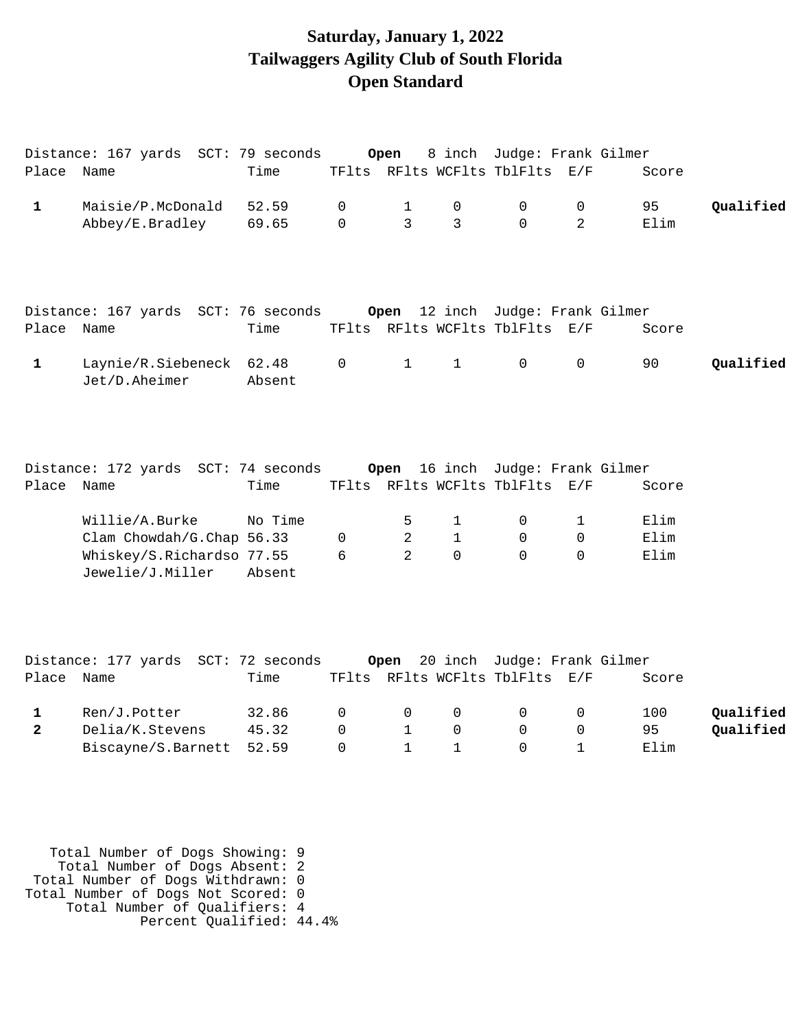### **Saturday, January 1, 2022 Tailwaggers Agility Club of South Florida Open Standard**

|                | Distance: 167 yards SCT: 79 seconds           |                 |             | Open           |              | 8 inch Judge: Frank Gilmer                                         |                |       |           |
|----------------|-----------------------------------------------|-----------------|-------------|----------------|--------------|--------------------------------------------------------------------|----------------|-------|-----------|
| Place Name     |                                               | Time            |             |                |              | TFlts RFlts WCFlts TblFlts E/F                                     |                | Score |           |
| $\mathbf{1}$   | Maisie/P.McDonald                             | 52.59           | $\mathbf 0$ | $\mathbf{1}$   | 0            | $\mathbf 0$                                                        | $\mathbf 0$    | 95    | Qualified |
|                | Abbey/E.Bradley                               | 69.65           | $\Omega$    | $\overline{3}$ | 3            | $\Omega$                                                           | $\overline{2}$ | Elim  |           |
|                | Distance: 167 yards SCT: 76 seconds           | Time            |             |                |              | Open 12 inch Judge: Frank Gilmer<br>TFlts RFlts WCFlts TblFlts E/F |                |       |           |
| Place Name     |                                               |                 |             |                |              |                                                                    |                | Score |           |
| $\mathbf{1}$   | Laynie/R.Siebeneck<br>Jet/D.Aheimer           | 62.48<br>Absent | 0           | $\mathbf{1}$   | $\mathbf{1}$ | $\mathbf 0$                                                        | $\mathbf 0$    | 90    | Qualified |
| Place Name     | Distance: 172 yards SCT: 74 seconds           | Time            |             | Open           |              | 16 inch Judge: Frank Gilmer<br>TFlts RFlts WCFlts TblFlts E/F      |                | Score |           |
|                | Willie/A.Burke                                | No Time         |             | 5              | 1            | 0                                                                  | 1              | Elim  |           |
|                | Clam Chowdah/G.Chap 56.33                     |                 | 0           | $\overline{2}$ | $\mathbf{1}$ | 0                                                                  | $\Omega$       | Elim  |           |
|                | Whiskey/S.Richardso 77.55<br>Jewelie/J.Miller | Absent          | 6           | $\mathfrak{D}$ | $\Omega$     | $\Omega$                                                           | $\Omega$       | Elim  |           |
| Place Name     | Distance: 177 yards SCT: 72 seconds           | Time            |             | Open           |              | 20 inch Judge: Frank Gilmer<br>TFlts RFlts WCFlts TblFlts E/F      |                | Score |           |
|                |                                               |                 |             |                |              |                                                                    |                |       |           |
| 1              | Ren/J.Potter                                  | 32.86           | 0           | 0              | 0            | 0                                                                  | 0              | 100   | Qualified |
| $\overline{2}$ | Delia/K.Stevens                               | 45.32           | $\Omega$    | $\mathbf{1}$   | 0            | $\mathbf 0$                                                        | 0              | 95    | Qualified |
|                | Biscayne/S.Barnett                            | 52.59           | $\Omega$    | $\mathbf{1}$   | 1            | $\Omega$                                                           | $\mathbf{1}$   | Elim  |           |
|                |                                               |                 |             |                |              |                                                                    |                |       |           |

 Total Number of Dogs Showing: 9 Total Number of Dogs Absent: 2 Total Number of Dogs Withdrawn: 0 Total Number of Dogs Not Scored: 0 Total Number of Qualifiers: 4 Percent Qualified: 44.4%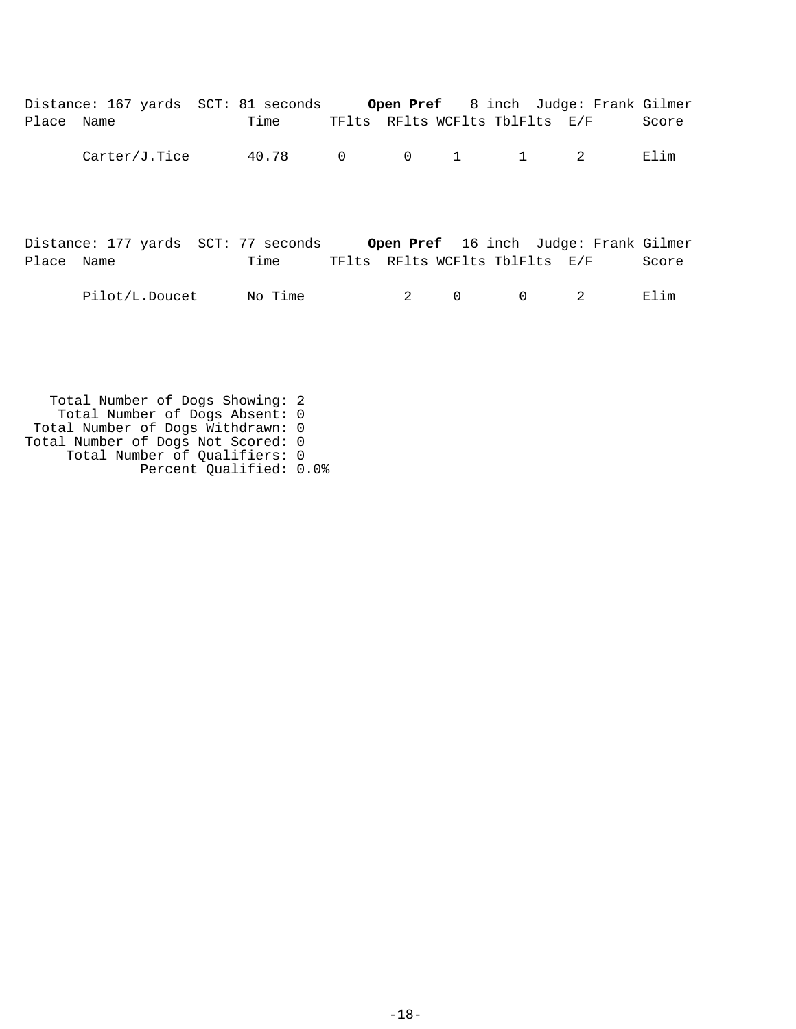|            | Distance: 167 yards SCT: 81 seconds Open Pref 8 inch Judge: Frank Gilmer  |         |                                         |   |          |                                |       |
|------------|---------------------------------------------------------------------------|---------|-----------------------------------------|---|----------|--------------------------------|-------|
| Place Name |                                                                           | Time    |                                         |   |          | TFlts RFlts WCFlts TblFlts E/F | Score |
|            | Carter/J.Tice                                                             | 40.78   | $0 \qquad 0 \qquad 1 \qquad 1 \qquad 2$ |   |          |                                | Elim  |
| Place Name | Distance: 177 yards SCT: 77 seconds Open Pref 16 inch Judge: Frank Gilmer | Time    |                                         |   |          | TFlts RFlts WCFlts TblFlts E/F | Score |
|            | Pilot/L.Doucet                                                            | No Time | 2                                       | 0 | $\Omega$ | 2                              | Elim  |

 Total Number of Dogs Showing: 2 Total Number of Dogs Absent: 0 Total Number of Dogs Withdrawn: 0 Total Number of Dogs Not Scored: 0 Total Number of Qualifiers: 0 Percent Qualified: 0.0%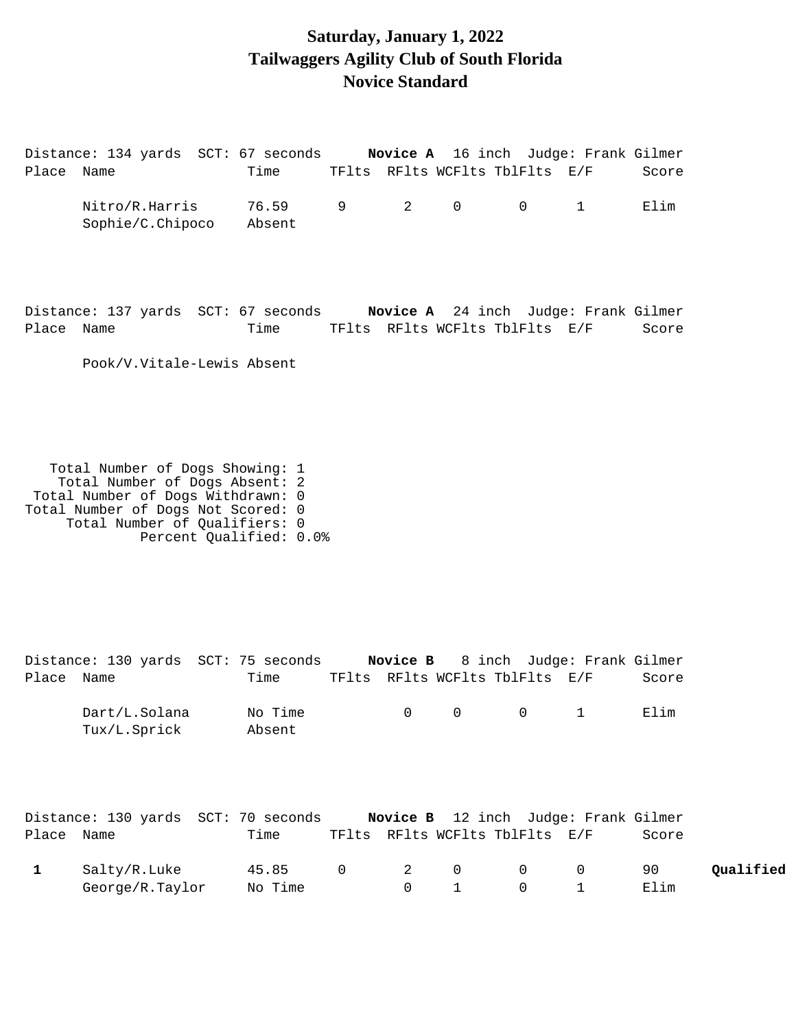### **Saturday, January 1, 2022 Tailwaggers Agility Club of South Florida Novice Standard**

Distance: 134 yards SCT: 67 seconds **Novice A** 16 inch Judge: Frank Gilmer Place Name Time TFlts RFlts WCFlts TblFlts E/F Score Nitro/R.Harris 76.59 9 2 0 0 1 Elim Sophie/C.Chipoco Absent

Distance: 137 yards SCT: 67 seconds **Novice A** 24 inch Judge: Frank Gilmer Place Name Time TFlts RFlts WCFlts TblFlts E/F Score

Pook/V.Vitale-Lewis Absent

 Total Number of Dogs Showing: 1 Total Number of Dogs Absent: 2 Total Number of Dogs Withdrawn: 0 Total Number of Dogs Not Scored: 0 Total Number of Qualifiers: 0 Percent Qualified: 0.0%

| Place Name | Distance: 130 yards SCT: 75 seconds Novice B 8 inch Judge: Frank Gilmer | Time               |                                |              | TFlts RFlts WCFlts TblFlts E/F   |                | Score                                |           |
|------------|-------------------------------------------------------------------------|--------------------|--------------------------------|--------------|----------------------------------|----------------|--------------------------------------|-----------|
|            | Dart/L.Solana                                                           | No Time            | $\overline{0}$                 | $\mathsf{O}$ | $\overline{0}$                   |                | Elim                                 |           |
|            | Tux/L.Sprick                                                            | Absent             |                                |              |                                  |                |                                      |           |
|            | Distance: 130 yards SCT: 70 seconds                                     |                    |                                |              |                                  |                | Novice B 12 inch Judge: Frank Gilmer |           |
| Place Name |                                                                         | Time               |                                |              | TFlts RFlts WCFlts TblFlts E/F   |                | Score                                |           |
|            | Salty/R.Luke<br>George/R.Taylor                                         | 45.85 0<br>No Time | $\mathbf{2}$<br>$\overline{0}$ | $\mathbf 0$  | $\overline{0}$<br>$\overline{0}$ | $\overline{0}$ | 90<br>Elim                           | Qualified |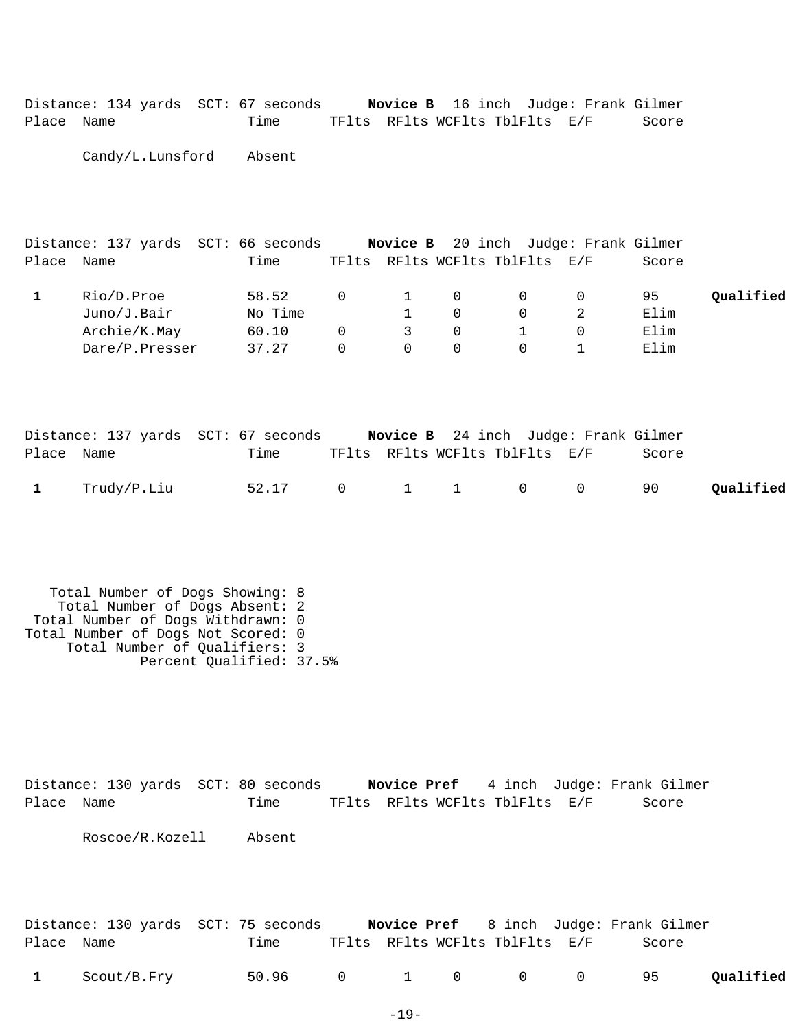|            | Distance: 134 yards SCT: 67 seconds |                                |  | <b>Novice B</b> 16 inch Judge: Frank Gilmer |
|------------|-------------------------------------|--------------------------------|--|---------------------------------------------|
| Place Name | Time                                | TFlts RFlts WCFlts TblFlts E/F |  | Score                                       |

Candy/L.Lunsford Absent

|       |                | Distance: 137 yards SCT: 66 seconds |          |                |          |                                | <b>Novice B</b> 20 inch Judge: Frank Gilmer |           |
|-------|----------------|-------------------------------------|----------|----------------|----------|--------------------------------|---------------------------------------------|-----------|
| Place | Name           | Time                                |          |                |          | TFlts RFlts WCFlts TblFlts E/F | Score                                       |           |
|       | Rio/D.Proe     | 58.52                               | 0        |                | $\Omega$ |                                | 95                                          | Qualified |
|       | Juno/J.Bair    | No Time                             |          |                |          |                                | Elim                                        |           |
|       | Archie/K.May   | 60.10                               | $\Omega$ | $\overline{3}$ | $\Omega$ |                                | Elim                                        |           |
|       | Dare/P.Presser | 37.27                               | 0        |                |          |                                | Elim                                        |           |

|            |                 | Distance: 137 yards SCT: 67 seconds |  | <b>Novice B</b> 24 inch Judge: Frank Gilmer |       |           |
|------------|-----------------|-------------------------------------|--|---------------------------------------------|-------|-----------|
| Place Name |                 | Time                                |  | TFlts RFlts WCFlts TblFlts E/F              | Score |           |
|            | $1$ Trudy/P.Liu | 52.17 0 1 1 0 0                     |  |                                             | 90    | Oualified |

 Total Number of Dogs Showing: 8 Total Number of Dogs Absent: 2 Total Number of Dogs Withdrawn: 0 Total Number of Dogs Not Scored: 0 Total Number of Qualifiers: 3 Percent Qualified: 37.5%

Distance: 130 yards SCT: 80 seconds **Novice Pref** 4 inch Judge: Frank Gilmer Place Name Time TFlts RFlts WCFlts TblFlts E/F Score Roscoe/R.Kozell Absent

|            |               | Distance: 130 yards SCT: 75 seconds |  |                                | <b>Novice Pref</b> 8 inch Judge: Frank Gilmer |           |
|------------|---------------|-------------------------------------|--|--------------------------------|-----------------------------------------------|-----------|
| Place Name |               | Time                                |  | TFlts RFlts WCFlts TblFlts E/F | Score                                         |           |
|            | 1 Scout/B.Fry | 50.96 0 1 0 0 0                     |  |                                | 95                                            | Qualified |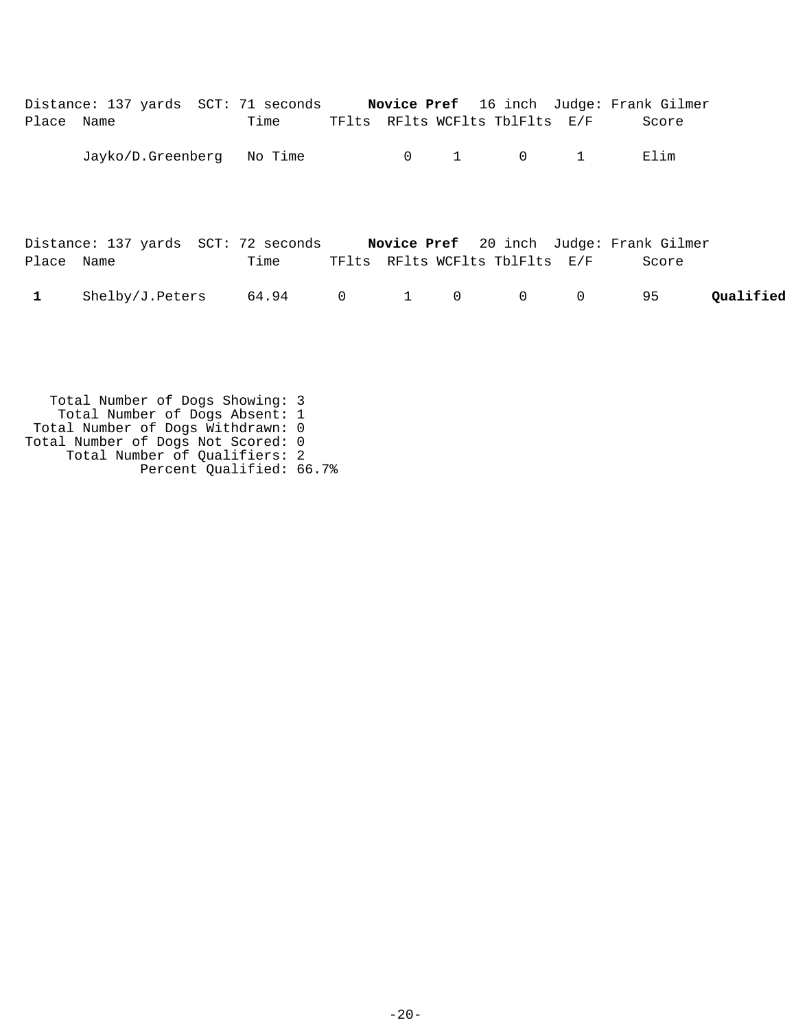| Place Name | Distance: 137 yards SCT: 71 seconds Novice Pref 16 inch Judge: Frank Gilmer | Time |  |                     | TFlts RFlts WCFlts TblFlts E/F |                | Score |           |
|------------|-----------------------------------------------------------------------------|------|--|---------------------|--------------------------------|----------------|-------|-----------|
|            | Jayko/D.Greenberg No Time                                                   |      |  | $0 \qquad \qquad 1$ | $\overline{0}$                 | 1              | Elim  |           |
| Place Name | Distance: 137 yards SCT: 72 seconds Novice Pref 20 inch Judge: Frank Gilmer | Time |  |                     | TFlts RFlts WCFlts TblFlts E/F |                | Score |           |
| 1          | Shelby/J.Peters 64.94 0                                                     |      |  | $1 \qquad \qquad 0$ | $\overline{0}$                 | $\overline{0}$ | 95    | Oualified |
|            |                                                                             |      |  |                     |                                |                |       |           |

 Total Number of Dogs Showing: 3 Total Number of Dogs Absent: 1 Total Number of Dogs Withdrawn: 0 Total Number of Dogs Not Scored: 0 Total Number of Qualifiers: 2 Percent Qualified: 66.7%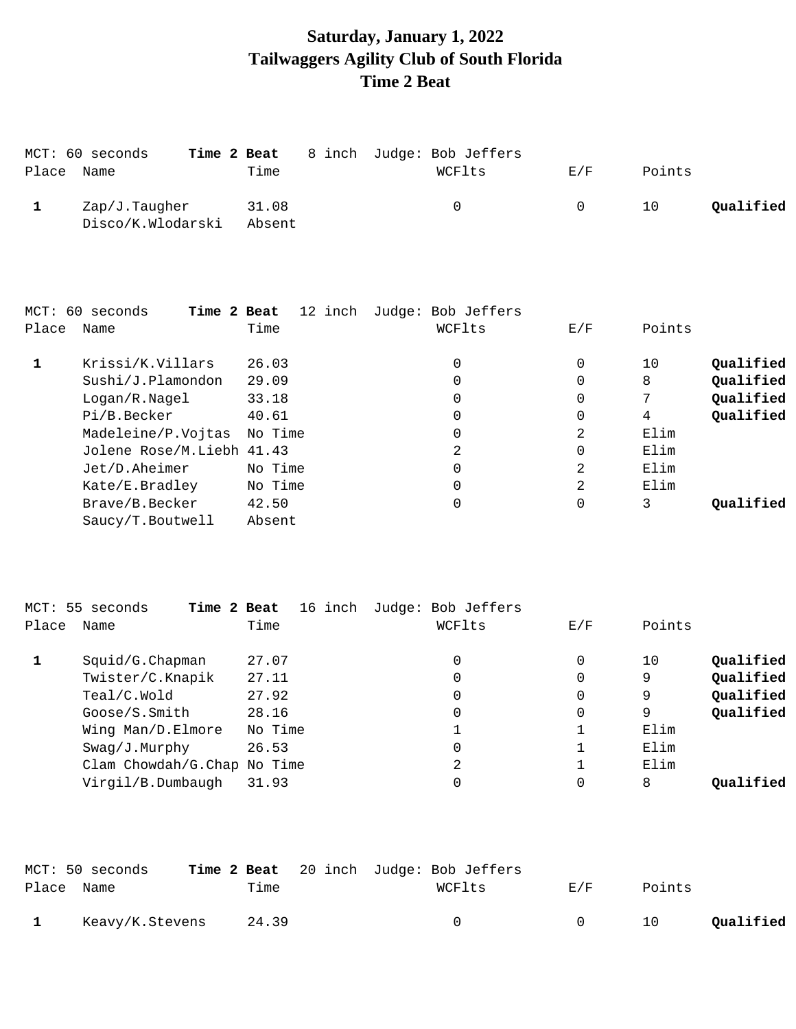# **Saturday, January 1, 2022 Tailwaggers Agility Club of South Florida Time 2 Beat**

|            | MCT: 60 seconds                    |                 | Time 2 Beat 8 inch Judge: Bob Jeffers |          |        |           |
|------------|------------------------------------|-----------------|---------------------------------------|----------|--------|-----------|
| Place Name |                                    | Time            | WCFlts                                | E/F      | Points |           |
|            | Zap/J.Taugher<br>Disco/K.Wlodarski | 31.08<br>Absent | $\Omega$                              | $\Omega$ | 10     | Qualified |

|       | MCT: 60 seconds<br>Time 2 Beat | 12 inch | Judge: Bob Jeffers |     |        |           |
|-------|--------------------------------|---------|--------------------|-----|--------|-----------|
| Place | Name                           | Time    | WCFlts             | E/F | Points |           |
|       | Krissi/K.Villars               | 26.03   | 0                  | 0   | 10     | Qualified |
|       | Sushi/J.Plamondon              | 29.09   | 0                  | 0   | 8      | Qualified |
|       | Logan/R.Nagel                  | 33.18   | 0                  | 0   | 7      | Qualified |
|       | Pi/B.Becker                    | 40.61   | 0                  | 0   | 4      | Qualified |
|       | Madeleine/P.Vojtas             | No Time | 0                  | 2   | Elim   |           |
|       | Jolene Rose/M.Liebh 41.43      |         | 2                  | 0   | Elim   |           |
|       | Jet/D.Aheimer                  | No Time | 0                  | 2   | Elim   |           |
|       | Kate/E.Bradley                 | No Time | 0                  | 2   | Elim   |           |
|       | Brave/B.Becker                 | 42.50   | 0                  | 0   | 3      | Oualified |
|       | Saucy/T. Boutwell              | Absent  |                    |     |        |           |

|       | MCT: 55 seconds<br>Time 2 Beat | 16 inch | Judge: Bob Jeffers |     |        |           |
|-------|--------------------------------|---------|--------------------|-----|--------|-----------|
| Place | Name                           | Time    | WCFlts             | E/F | Points |           |
|       | $Squid/G.C$ hapman             | 27.07   | 0                  | 0   | 10     | Qualified |
|       | Twister/C.Knapik               | 27.11   | 0                  | 0   | 9      | Qualified |
|       | Teal/C.Wold                    | 27.92   | 0                  | 0   | 9      | Qualified |
|       | Google/S.Smith                 | 28.16   | 0                  | 0   | 9      | Qualified |
|       | Wing Man/D.Elmore              | No Time |                    |     | Elim   |           |
|       | Swag/J.Murphy                  | 26.53   | 0                  |     | Elim   |           |
|       | Clam Chowdah/G.Chap No Time    |         | 2                  |     | Elim   |           |
|       | Virgil/B.Dumbaugh              | 31.93   | 0                  | 0   | 8      | Oualified |
|       |                                |         |                    |     |        |           |

|            | MCT: 50 seconds |       | <b>Time 2 Beat</b> 20 inch Judge: Bob Jeffers |        |        |           |
|------------|-----------------|-------|-----------------------------------------------|--------|--------|-----------|
| Place Name |                 | Time  | WCFlts                                        | E/F    | Points |           |
|            | Keavy/K.Stevens | 24.39 |                                               | $\cap$ | 10     | Qualified |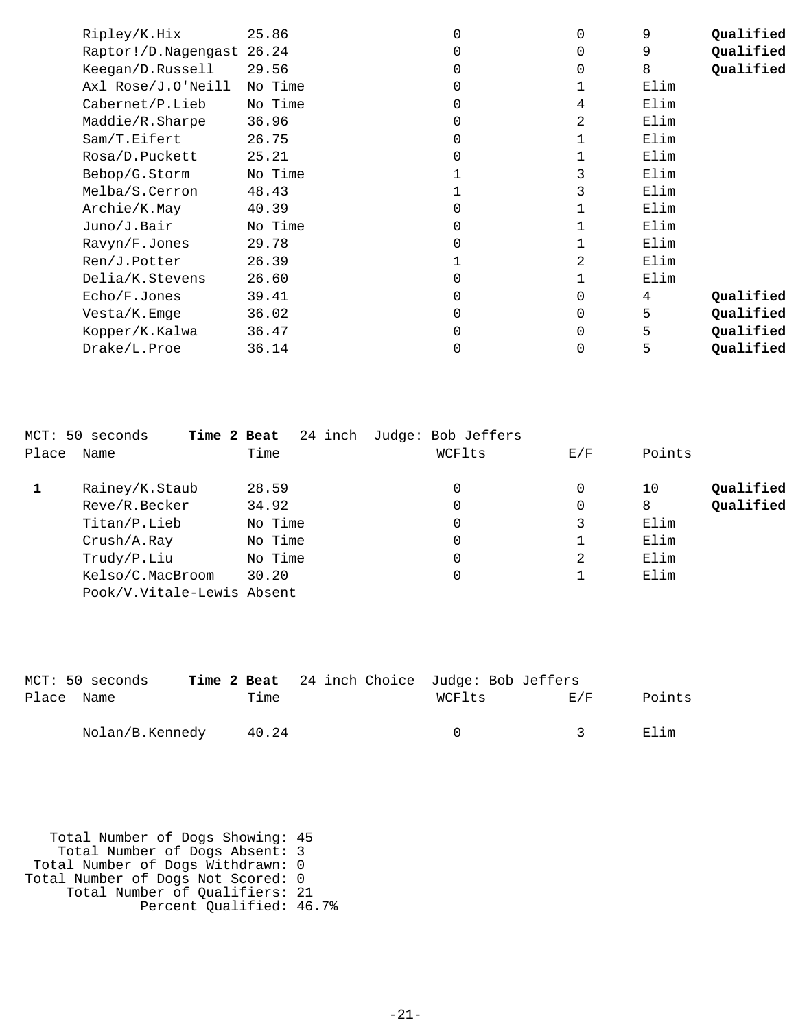| Ripley/K.Hix              | 25.86   |   | $\Omega$    | 9    | Qualified |
|---------------------------|---------|---|-------------|------|-----------|
| Raptor!/D.Nagengast 26.24 |         |   | $\Omega$    | 9    | Qualified |
| Keegan/D.Russell          | 29.56   |   | $\Omega$    | 8    | Qualified |
| Axl Rose/J.O'Neill        | No Time |   |             | Elim |           |
| Cabernet/P.Lieb           | No Time |   | 4           | Elim |           |
| Maddie/R.Sharpe           | 36.96   |   | 2           | Elim |           |
| Sam/T.Eifert              | 26.75   |   |             | Elim |           |
| Rosa/D.Puckett            | 25.21   |   |             | Elim |           |
| Bebop/G.Storm             | No Time |   | 3           | Elim |           |
| Melba/S.Cerron            | 48.43   |   | 3           | Elim |           |
| Archie/K.May              | 40.39   |   |             | Elim |           |
| Juno/J.Bair               | No Time |   |             | Elim |           |
| Ravyn/F.Jones             | 29.78   | U |             | Elim |           |
| Ren/J.Potter              | 26.39   |   | 2           | Elim |           |
| Delia/K.Stevens           | 26.60   | 0 |             | Elim |           |
| Echo/F.Jones              | 39.41   | U | 0           | 4    | Qualified |
| Vesta/K.Emge              | 36.02   | 0 | 0           | 5    | Qualified |
| Kopper/K.Kalwa            | 36.47   | U | $\mathbf 0$ | 5    | Qualified |
| Drake/L.Proe              | 36.14   | 0 | 0           | 5    | Qualified |

|       | MCT: 50 seconds<br>Time 2 Beat | 24 inch | Judge: Bob Jeffers |     |                 |
|-------|--------------------------------|---------|--------------------|-----|-----------------|
| Place | Name                           | Time    | WCFlts             | E/F | Points          |
|       | Rainey/K.Staub                 | 28.59   | 0                  | 0   | Oualified<br>10 |
|       | Reve/R.Becker                  | 34.92   | 0                  | 0   | Qualified<br>8  |
|       | Titan/P.Lieb                   | No Time | 0                  | 3   | Elim            |
|       | Crush/A.Ray                    | No Time | 0                  |     | Elim            |
|       | Trudy/P.Liu                    | No Time | 0                  | 2   | Elim            |
|       | Kelso/C.MacBroom               | 30.20   | 0                  |     | Elim            |
|       | Pook/V.Vitale-Lewis Absent     |         |                    |     |                 |

|            | MCT: 50 seconds |       |  | Time 2 Beat 24 inch Choice Judge: Bob Jeffers |               |        |
|------------|-----------------|-------|--|-----------------------------------------------|---------------|--------|
| Place Name |                 | Time  |  | WCFlts                                        | E/F           | Points |
|            | Nolan/B.Kennedy | 40.24 |  |                                               | $\mathcal{R}$ | Elim   |

 Total Number of Dogs Showing: 45 Total Number of Dogs Absent: 3 Total Number of Dogs Withdrawn: 0 Total Number of Dogs Not Scored: 0 Total Number of Qualifiers: 21 Percent Qualified: 46.7%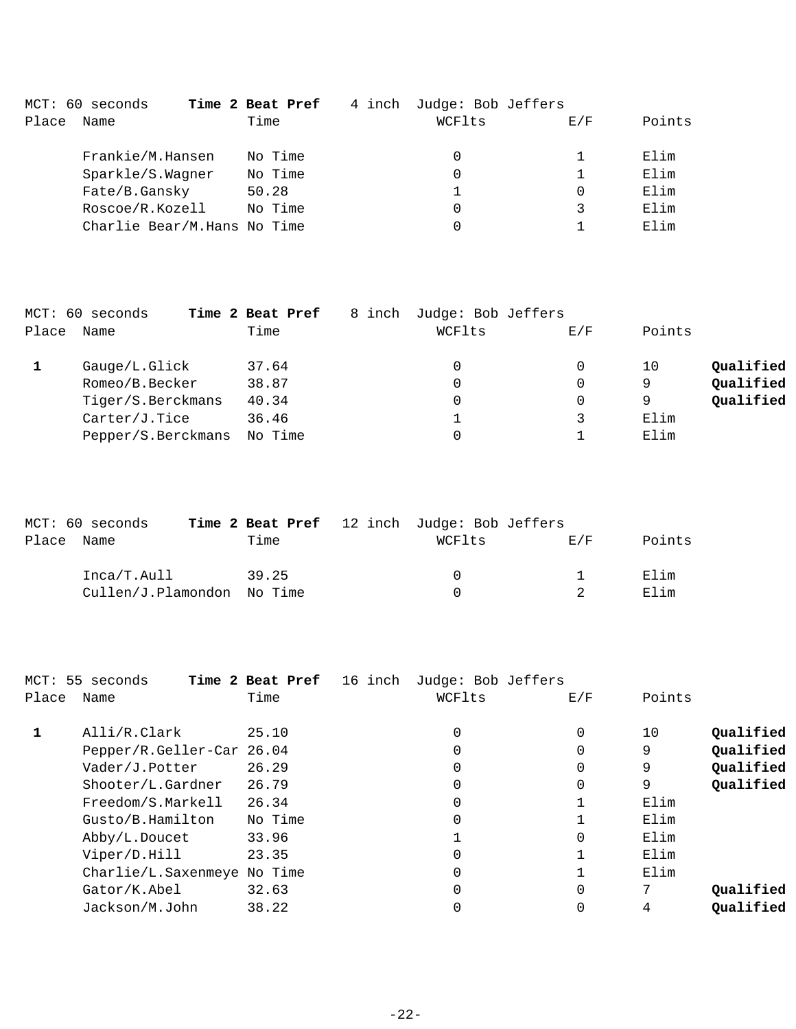|       | MCT: 60 seconds             | Time 2 Beat Pref |         | 4 inch | Judge: Bob Jeffers |     |        |
|-------|-----------------------------|------------------|---------|--------|--------------------|-----|--------|
| Place | Name                        |                  | Time    |        | WCFlts             | E/F | Points |
|       | Frankie/M.Hansen            |                  | No Time |        | 0                  |     | Elim   |
|       | Sparkle/S.Wagner            |                  | No Time |        | 0                  |     | Elim   |
|       | Fate/B.Gansky               |                  | 50.28   |        |                    |     | Elim   |
|       | Roscoe/R.Kozell             |                  | No Time |        | 0                  | 3   | Elim   |
|       | Charlie Bear/M.Hans No Time |                  |         |        | 0                  |     | Elim   |

|       | MCT: 60 seconds    | Time 2 Beat Pref<br>8 inch | Judge: Bob Jeffers |     |        |           |
|-------|--------------------|----------------------------|--------------------|-----|--------|-----------|
| Place | Name               | Time                       | WCFlts             | E/F | Points |           |
|       | Gauge/L.Glick      | 37.64                      | 0                  | 0   | 10     | Qualified |
|       | Romeo/B.Becker     | 38.87                      | 0                  | 0   | 9      | Qualified |
|       | Tiger/S.Berckmans  | 40.34                      | 0                  | 0   | 9      | Qualified |
|       | Carter/J.Tice      | 36.46                      |                    |     | Elim   |           |
|       | Pepper/S.Berckmans | No Time                    |                    |     | Elim   |           |

|       | MCT: 60 seconds            |       | Time 2 Beat Pref 12 inch Judge: Bob Jeffers |     |        |
|-------|----------------------------|-------|---------------------------------------------|-----|--------|
| Place | Name                       | Time  | WCFlts                                      | E/F | Points |
|       | Inca/T.Aull                | 39.25 | $\Omega$                                    |     | Elim   |
|       | Cullen/J.Plamondon No Time |       | <sup>n</sup>                                |     | Elim   |

|       | MCT: 55 seconds             | Time 2 Beat Pref<br>16 inch | Judge: Bob Jeffers |          |        |           |
|-------|-----------------------------|-----------------------------|--------------------|----------|--------|-----------|
| Place | Name                        | Time                        | WCFlts             | E/F      | Points |           |
|       | Alli/R.Clark                | 25.10                       | $\Omega$           | 0        | 10     | Qualified |
|       | Pepper/R.Geller-Car 26.04   |                             | $\Omega$           |          | 9      | Qualified |
|       | Vader/J.Potter              | 26.29                       |                    |          | 9      | Qualified |
|       | Shooter/L.Gardner           | 26.79                       | $\Omega$           | 0        | 9      | Qualified |
|       | Freedom/S.Markell           | 26.34                       | $\Omega$           |          | Elim   |           |
|       | Gusto/B.Hamilton            | No Time                     | $\Omega$           |          | Elim   |           |
|       | Abby/L.Doucet               | 33.96                       |                    | $\Omega$ | Elim   |           |
|       | Viper/D.Hill                | 23.35                       | $\Omega$           |          | Elim   |           |
|       | Charlie/L.Saxenmeye No Time |                             | 0                  |          | Elim   |           |
|       | Gator/K.Abel                | 32.63                       | $\Omega$           | $\Omega$ | 7      | Qualified |
|       | Jackson/M.John              | 38.22                       |                    |          | 4      | Qualified |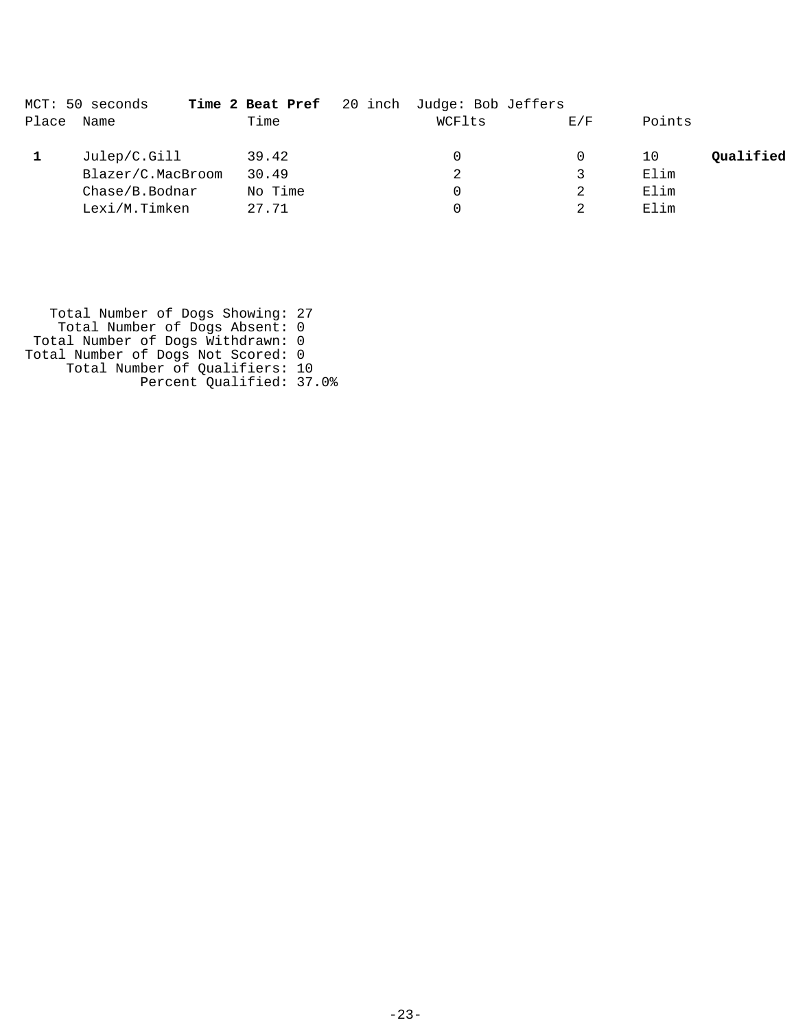|       | MCT: 50 seconds   |         | Time 2 Beat Pref 20 inch Judge: Bob Jeffers |     |        |           |
|-------|-------------------|---------|---------------------------------------------|-----|--------|-----------|
| Place | Name              | Time    | WCFlts                                      | E/F | Points |           |
|       | Julep/C.Gill      | 39.42   | 0                                           |     | 10     | Qualified |
|       | Blazer/C.MacBroom | 30.49   | 2                                           |     | Elim   |           |
|       | Chase/B.Bodnar    | No Time | 0                                           |     | Elim   |           |
|       | Lexi/M.Timken     | 27.71   |                                             |     | Elim   |           |

 Total Number of Dogs Showing: 27 Total Number of Dogs Absent: 0 Total Number of Dogs Withdrawn: 0 Total Number of Dogs Not Scored: 0 Total Number of Qualifiers: 10 Percent Qualified: 37.0%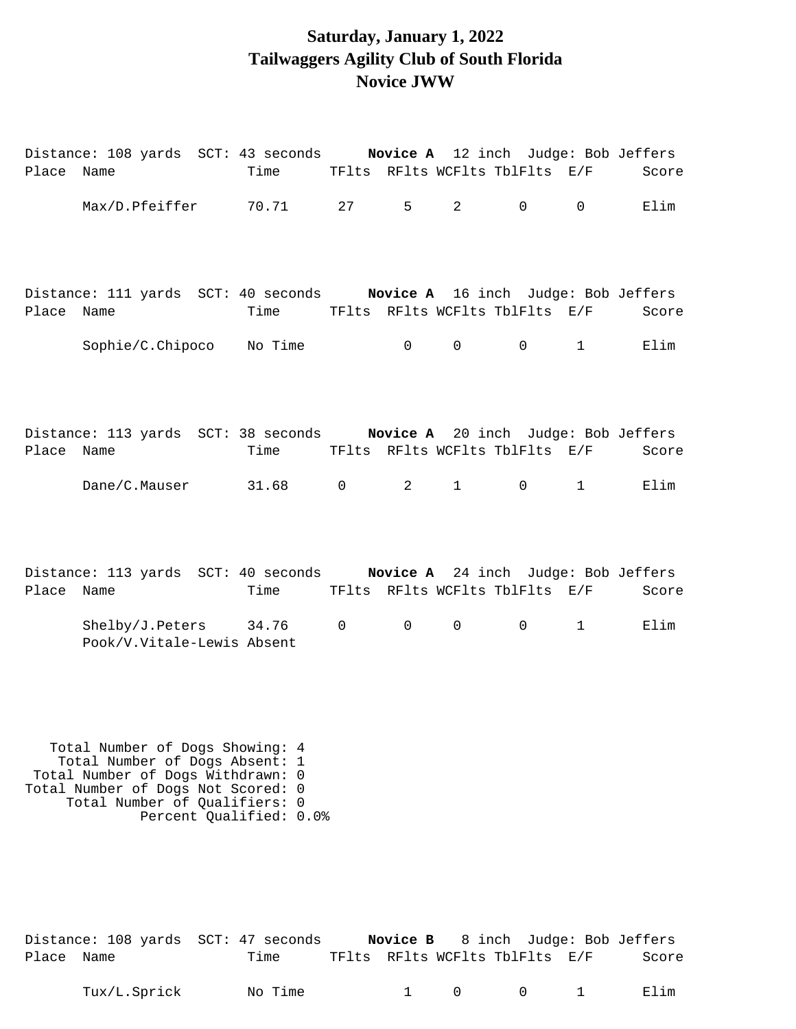### **Saturday, January 1, 2022 Tailwaggers Agility Club of South Florida Novice JWW**

| Place | Name                                                                |  | Distance: 108 yards SCT: 43 seconds Novice A 12 inch Judge: Bob Jeffers<br>Time TFlts RFlts WCFlts TblFlts E/F                                 |                |                                |                |              | Score |
|-------|---------------------------------------------------------------------|--|------------------------------------------------------------------------------------------------------------------------------------------------|----------------|--------------------------------|----------------|--------------|-------|
|       |                                                                     |  | Max/D.Pfeiffer 70.71 27                                                                                                                        | $5^{\circ}$    | $2 \left( \frac{1}{2} \right)$ | 0              | $\mathsf{O}$ | Elim  |
| Place | Name                                                                |  | Distance: 111 yards SCT: 40 seconds Novice A 16 inch Judge: Bob Jeffers<br>Time TFlts RFlts WCFlts TblFlts E/F                                 |                |                                |                |              | Score |
|       |                                                                     |  | Sophie/C.Chipoco No Time                                                                                                                       | 0              | $\overline{0}$                 | $\overline{0}$ | 1            | Elim  |
| Place | Name                                                                |  | Distance: 113 yards SCT: 38 seconds Novice A 20 inch Judge: Bob Jeffers<br>Time TFlts RFlts WCFlts TblFlts E/F                                 |                |                                |                |              | Score |
|       |                                                                     |  | Dane/C.Mauser 31.68 0                                                                                                                          | $\overline{2}$ | $1 \quad \blacksquare$         | 0              | 1            | Elim  |
| Place | Name                                                                |  | Distance: 113 yards SCT: 40 seconds Novice A 24 inch Judge: Bob Jeffers<br>Time TFlts RFlts WCFlts TblFlts E/F                                 |                |                                |                |              | Score |
|       |                                                                     |  | Shelby/J.Peters 34.76 0<br>Pook/V.Vitale-Lewis Absent                                                                                          | $\mathsf{O}$   | $\overline{0}$                 | $\mathsf{O}$   | 1            | Elim  |
|       | Total Number of Dogs Withdrawn:<br>Total Number of Dogs Not Scored: |  | Total Number of Dogs Showing: 4<br>Total Number of Dogs Absent: 1<br>0<br>$\Omega$<br>Total Number of Qualifiers: 0<br>Percent Qualified: 0.0% |                |                                |                |              |       |

| Distance: 108 yards SCT: 47 seconds |      |                                |  | <b>Novice B</b> 8 inch Judge: Bob Jeffers |
|-------------------------------------|------|--------------------------------|--|-------------------------------------------|
| Place Name                          | Time | TFlts RFlts WCFlts TblFlts E/F |  | Score                                     |

Tux/L.Sprick Mo Time 1 0 0 1 Elim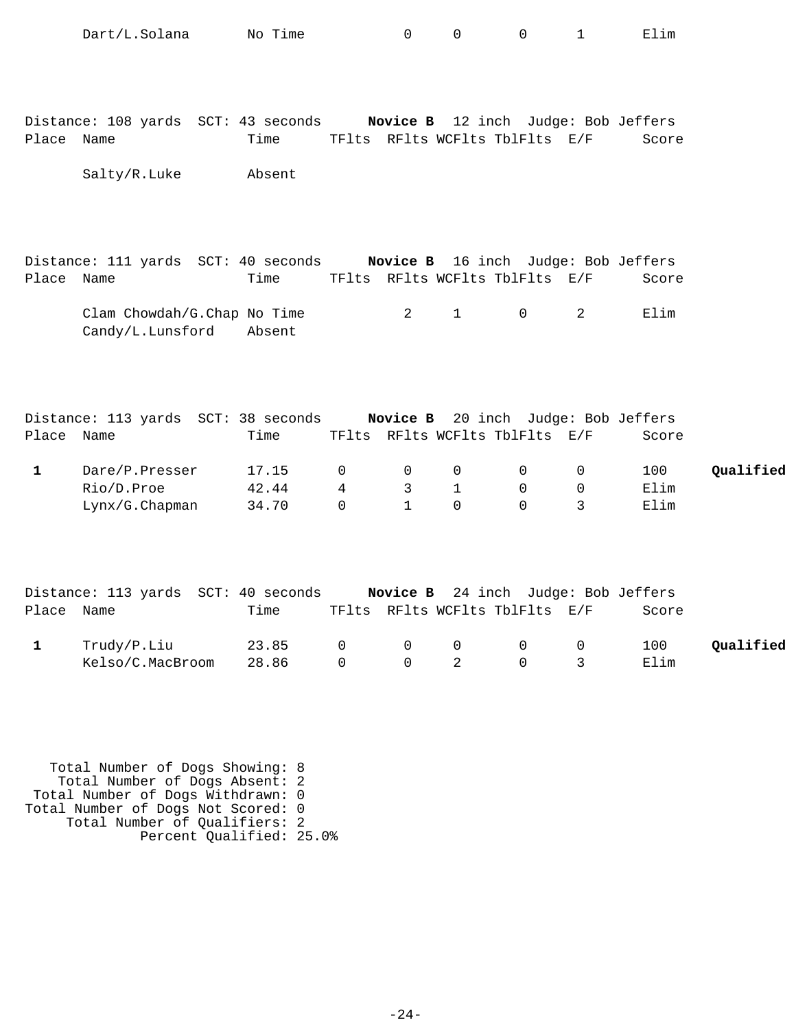|              | Dart/L.Solana                                   | No Time |             | $\Omega$       | $\Omega$                       | 0           | $\mathbf{1}$                        | Elim  |           |
|--------------|-------------------------------------------------|---------|-------------|----------------|--------------------------------|-------------|-------------------------------------|-------|-----------|
| Place Name   | Distance: 108 yards SCT: 43 seconds             | Time    |             |                | TFlts RFlts WCFlts TblFlts E/F |             | Novice B 12 inch Judge: Bob Jeffers | Score |           |
|              | Salty/R.Luke                                    | Absent  |             |                |                                |             |                                     |       |           |
| Place Name   | Distance: 111 yards SCT: 40 seconds             | Time    |             |                | TFlts RFlts WCFlts TblFlts E/F |             | Novice B 16 inch Judge: Bob Jeffers | Score |           |
|              | Clam Chowdah/G.Chap No Time<br>Candy/L.Lunsford | Absent  |             | $\overline{2}$ | $\mathbf{1}$                   | $\mathbf 0$ | 2                                   | Elim  |           |
|              | Distance: 113 yards SCT: 38 seconds             |         |             |                |                                |             | Novice B 20 inch Judge: Bob Jeffers |       |           |
| Place Name   |                                                 | Time    |             |                | TFlts RFlts WCFlts TblFlts E/F |             |                                     | Score |           |
| $\mathbf{1}$ | Dare/P.Presser                                  | 17.15   | $\mathbf 0$ | $\mathbf 0$    | $\mathsf{O}$                   | $\mathbf 0$ | $\mathbf 0$                         | 100   | Qualified |
|              | Rio/D.Proe                                      | 42.44   | 4           | 3              | $\mathbf{1}$                   | 0           | 0                                   | Elim  |           |
|              | Lynx/G.Chapman                                  | 34.70   | $\mathbf 0$ | $\mathbf{1}$   | $\Omega$                       | $\Omega$    | 3                                   | Elim  |           |
|              | Distance: 113 yards SCT: 40 seconds             |         |             |                |                                |             | Novice B 24 inch Judge: Bob Jeffers |       |           |
| Place Name   |                                                 | Time    |             |                | TFlts RFlts WCFlts TblFlts E/F |             |                                     | Score |           |
| $\mathbf{1}$ | Trudy/P.Liu                                     | 23.85   | 0           | 0              | 0                              | 0           | 0                                   | 100   | Qualified |
|              | Kelso/C.MacBroom                                | 28.86   | $\mathbf 0$ | 0              | $\overline{2}$                 | $\mathbf 0$ | 3                                   | Elim  |           |

 Total Number of Dogs Showing: 8 Total Number of Dogs Absent: 2 Total Number of Dogs Withdrawn: 0 Total Number of Dogs Not Scored: 0 Total Number of Qualifiers: 2 Percent Qualified: 25.0%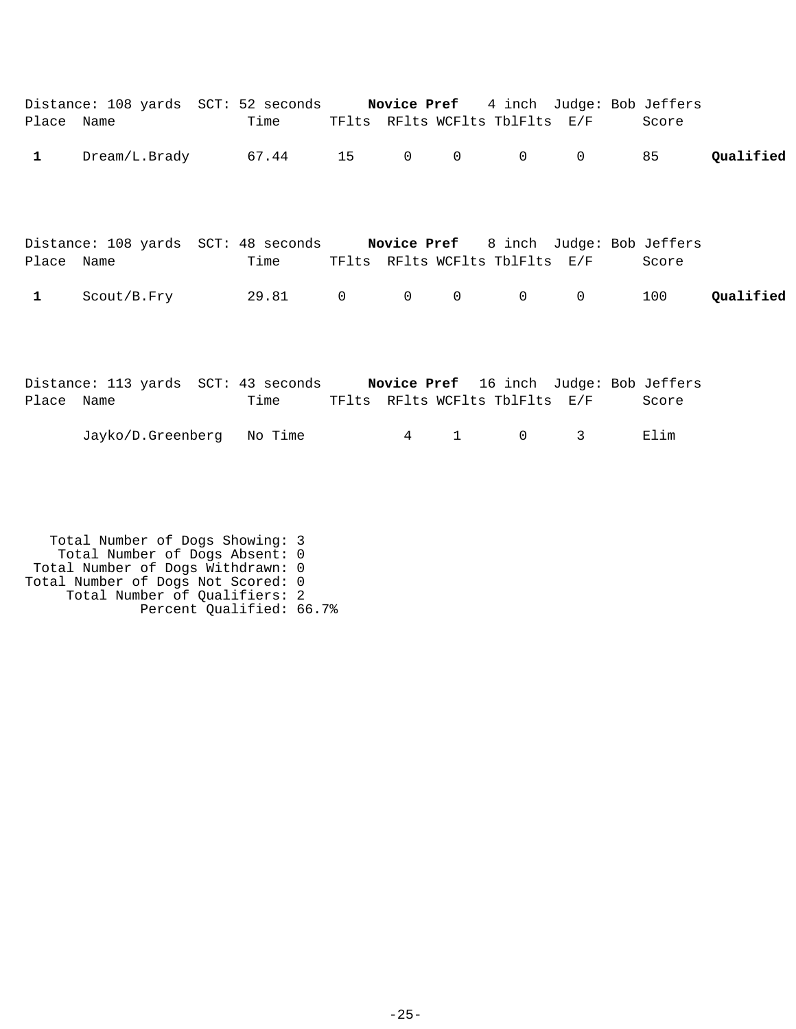| Place Name   | Distance: 108 yards SCT: 52 seconds Novice Pref 4 inch Judge: Bob Jeffers  | Time |                 |              | TFlts RFlts WCFlts TblFlts E/F |              | Score |           |
|--------------|----------------------------------------------------------------------------|------|-----------------|--------------|--------------------------------|--------------|-------|-----------|
| $\mathbf{1}$ | $Dream/L.Brady$ 67.44 15 0                                                 |      |                 | $\mathsf{O}$ | $\overline{0}$                 | $\mathsf{O}$ | 85    | Qualified |
| Place Name   | Distance: 108 yards SCT: 48 seconds Novice Pref 8 inch Judge: Bob Jeffers  | Time |                 |              | TFlts RFlts WCFlts TblFlts E/F |              | Score |           |
| $\mathbf{1}$ | $Scott/B.Fry$ 29.81 0 0                                                    |      |                 | $\mathbf 0$  | $0 \qquad \qquad$              | $\mathbf 0$  | 100   | Qualified |
| Place Name   | Distance: 113 yards SCT: 43 seconds Novice Pref 16 inch Judge: Bob Jeffers | Time |                 |              | TFlts RFlts WCFlts TblFlts E/F |              | Score |           |
|              | Jayko/D.Greenberg No Time                                                  |      | $4\overline{ }$ | $\mathbf{1}$ | $\mathbf 0$                    | 3            | Elim  |           |

 Total Number of Dogs Showing: 3 Total Number of Dogs Absent: 0 Total Number of Dogs Withdrawn: 0 Total Number of Dogs Not Scored: 0 Total Number of Qualifiers: 2 Percent Qualified: 66.7%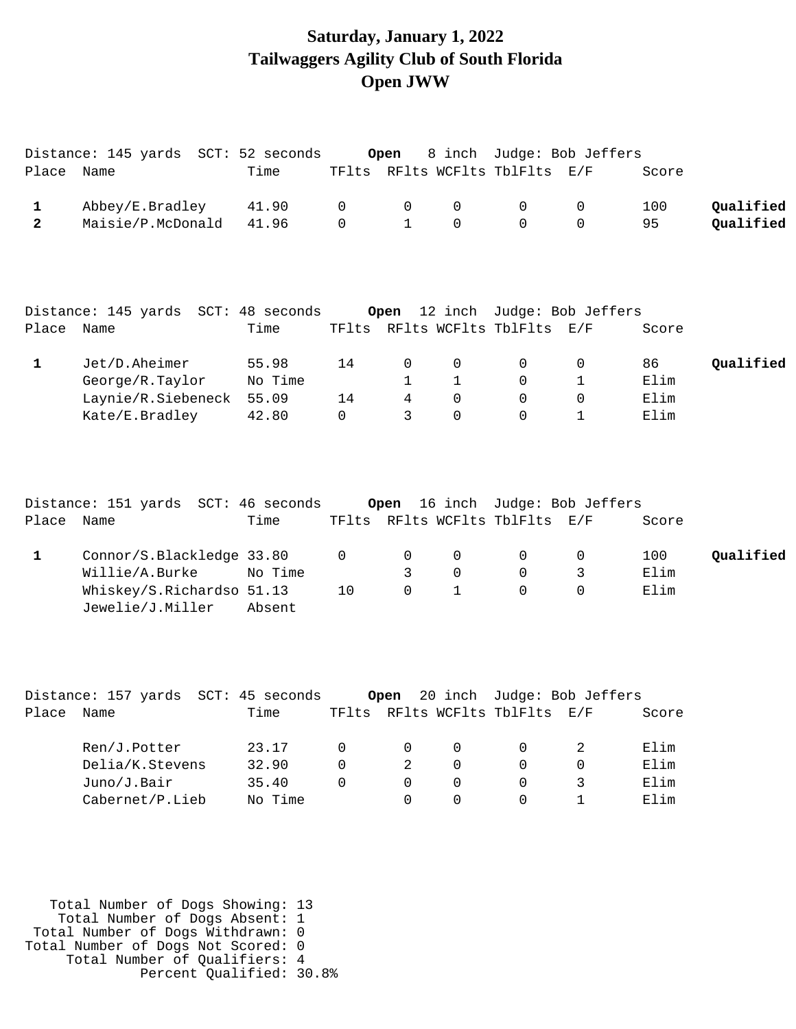### **Saturday, January 1, 2022 Tailwaggers Agility Club of South Florida Open JWW**

|                | Distance: 145 yards SCT: 52 seconds           |         |    | Open           |              |                                | 8 inch Judge: Bob Jeffers  |       |           |
|----------------|-----------------------------------------------|---------|----|----------------|--------------|--------------------------------|----------------------------|-------|-----------|
| Place Name     |                                               | Time    |    |                |              | TFlts RFlts WCFlts TblFlts E/F |                            | Score |           |
| $\mathbf{1}$   | Abbey/E.Bradley                               | 41.90   | 0  | 0              | 0            | $\mathbf 0$                    | 0                          | 100   | Qualified |
| $\overline{a}$ | Maisie/P.McDonald                             | 41.96   | 0  | $\mathbf{1}$   | $\Omega$     | $\Omega$                       | $\Omega$                   | 95    | Qualified |
|                | Distance: 145 yards SCT: 48 seconds           |         |    | Open           |              |                                | 12 inch Judge: Bob Jeffers |       |           |
| Place Name     |                                               | Time    |    |                |              | TFlts RFlts WCFlts TblFlts E/F |                            | Score |           |
| 1              | Jet/D.Aheimer                                 | 55.98   | 14 | 0              | 0            | 0                              | 0                          | 86    | Qualified |
|                | George/R.Taylor                               | No Time |    | $\mathbf{1}$   | $\mathbf 1$  | 0                              | 1                          | Elim  |           |
|                | Laynie/R.Siebeneck                            | 55.09   | 14 | $\overline{4}$ | $\Omega$     | $\Omega$                       | $\mathbf 0$                | Elim  |           |
|                | Kate/E.Bradley                                | 42.80   | 0  | 3              | $\Omega$     | $\Omega$                       | $\mathbf{1}$               | Elim  |           |
|                | Distance: 151 yards SCT: 46 seconds           |         |    | Open           |              |                                | 16 inch Judge: Bob Jeffers |       |           |
| Place          | Name                                          | Time    |    |                |              | TFlts RFlts WCFlts TblFlts E/F |                            | Score |           |
| $\mathbf 1$    | Connor/S.Blackledge 33.80                     |         | 0  | $\mathbf 0$    | 0            | $\mathbf 0$                    | 0                          | 100   | Qualified |
|                | Willie/A.Burke                                | No Time |    | 3              | 0            | 0                              | 3                          | Elim  |           |
|                | Whiskey/S.Richardso 51.13<br>Jewelie/J.Miller | Absent  | 10 | $\Omega$       | $\mathbf{1}$ | $\Omega$                       | $\Omega$                   | Elim  |           |
|                |                                               |         |    |                |              |                                |                            |       |           |
|                | Distance: 157 yards SCT: 45 seconds           |         |    | Open           |              |                                | 20 inch Judge: Bob Jeffers |       |           |
| Place          | Name                                          | Time    |    |                |              | TFlts RFlts WCFlts TblFlts E/F |                            | Score |           |
|                | Ren/J.Potter                                  | 23.17   | 0  | 0              | 0            | 0                              | 2                          | Elim  |           |
|                | Delia/K.Stevens                               | 32.90   | 0  | 2              | 0            | 0                              | 0                          | Elim  |           |
|                | Juno/J.Bair                                   | 35.40   | 0  | $\mathbf 0$    | 0            | 0                              | 3                          | Elim  |           |
|                | Cabernet/P.Lieb                               | No Time |    | $\Omega$       | $\Omega$     | $\Omega$                       | $\mathbf{1}$               | Elim  |           |

 Total Number of Dogs Showing: 13 Total Number of Dogs Absent: 1 Total Number of Dogs Withdrawn: 0 Total Number of Dogs Not Scored: 0 Total Number of Qualifiers: 4 Percent Qualified: 30.8%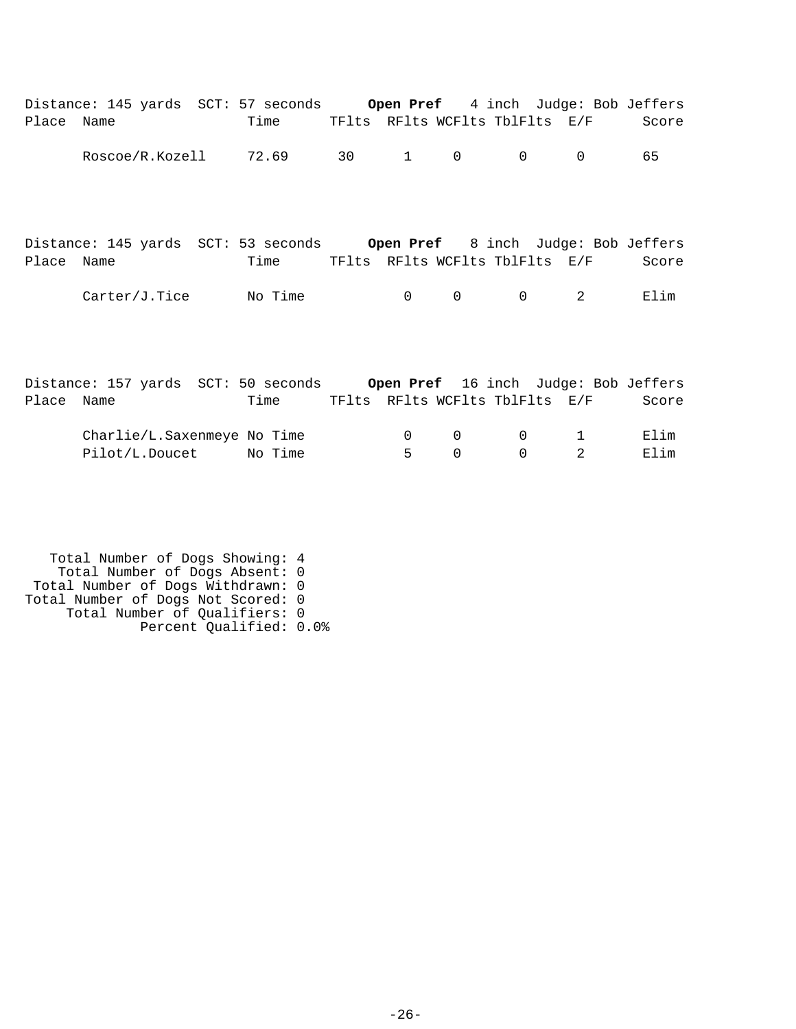|            | Distance: 145 yards SCT: 57 seconds Open Pref 4 inch Judge: Bob Jeffers |         |                |                |                                |          |       |
|------------|-------------------------------------------------------------------------|---------|----------------|----------------|--------------------------------|----------|-------|
| Place Name |                                                                         | Time    |                |                | TFlts RFlts WCFlts TblFlts E/F |          | Score |
|            | Roscoe/R.Kozell                                                         | 72.69   | 30 1 0         |                | $\overline{0}$                 | $\Omega$ | 65    |
|            | Distance: 145 yards SCT: 53 seconds Open Pref 8 inch Judge: Bob Jeffers |         |                |                |                                |          |       |
| Place Name |                                                                         | Time    |                |                | TFlts RFlts WCFlts TblFlts E/F |          | Score |
|            | Carter/J.Tice                                                           | No Time | $\overline{0}$ | $\overline{0}$ | $\mathbf 0$                    | 2        | Elim  |

|            | Distance: 157 yards SCT: 50 seconds |         |                                |       |               |                                        | Open Pref 16 inch Judge: Bob Jeffers |
|------------|-------------------------------------|---------|--------------------------------|-------|---------------|----------------------------------------|--------------------------------------|
| Place Name |                                     | Time    | TFlts RFlts WCFlts TblFlts E/F |       |               |                                        | Score                                |
|            | Charlie/L.Saxenmeye No Time         |         |                                |       | $\cap$ $\cap$ | $\begin{array}{ccc} 0 & 1 \end{array}$ | Elim                                 |
|            | Pilot/L.Doucet                      | No Time |                                | $5 -$ | $\cap$        | $\begin{array}{ccc} 0 & 2 \end{array}$ | Elim                                 |

 Total Number of Dogs Showing: 4 Total Number of Dogs Absent: 0 Total Number of Dogs Withdrawn: 0 Total Number of Dogs Not Scored: 0 Total Number of Qualifiers: 0 Percent Qualified: 0.0%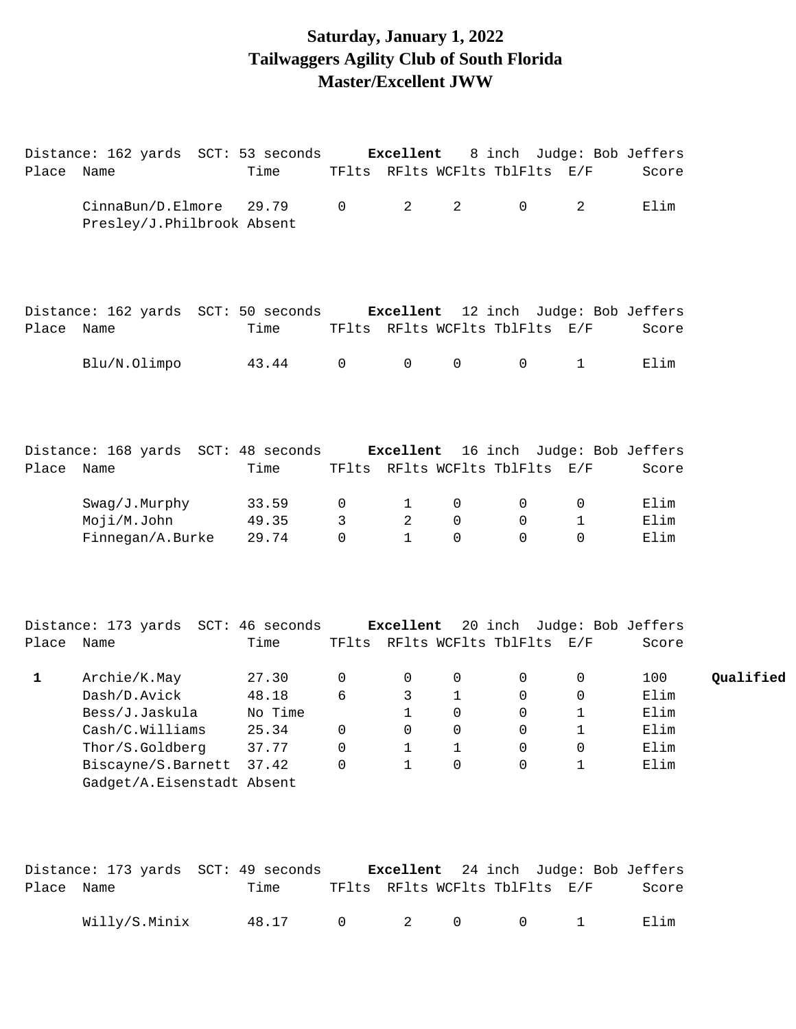## **Saturday, January 1, 2022 Tailwaggers Agility Club of South Florida Master/Excellent JWW**

|              | Distance: 162 yards SCT: 53 seconds Excellent                            |         |                |                |                | 8 inch Judge: Bob Jeffers      |              |       |           |
|--------------|--------------------------------------------------------------------------|---------|----------------|----------------|----------------|--------------------------------|--------------|-------|-----------|
| Place Name   |                                                                          | Time    |                |                |                | TFlts RFlts WCFlts TblFlts E/F |              | Score |           |
|              | CinnaBun/D.Elmore<br>Presley/J.Philbrook Absent                          | 29.79   | $\overline{0}$ | 2              | $\overline{2}$ | $\mathbf 0$                    | 2            | Elim  |           |
| Place Name   | Distance: 162 yards SCT: 50 seconds Excellent 12 inch Judge: Bob Jeffers | Time    |                |                |                | TFlts RFlts WCFlts TblFlts E/F |              | Score |           |
|              | Blu/N.Olimpo                                                             | 43.44   | $\mathsf{O}$   | $\overline{0}$ | $\mathsf{O}$   | 0                              | $\mathbf{1}$ | Elim  |           |
| Place Name   | Distance: 168 yards SCT: 48 seconds Excellent 16 inch Judge: Bob Jeffers | Time    |                |                |                | TFlts RFlts WCFlts TblFlts E/F |              | Score |           |
|              |                                                                          |         |                |                |                |                                |              |       |           |
|              | Swag/J.Murphy                                                            | 33.59   | 0              | $\mathbf{1}$   | 0              | 0                              | 0            | Elim  |           |
|              | Moji/M.John                                                              | 49.35   | 3              | 2              | 0              | $\mathbf 0$                    | $\mathbf{1}$ | Elim  |           |
|              | Finnegan/A.Burke                                                         | 29.74   | $\mathbf 0$    | $\mathbf{1}$   | 0              | $\Omega$                       | 0            | Elim  |           |
|              | Distance: 173 yards SCT: 46 seconds Excellent 20 inch Judge: Bob Jeffers |         |                |                |                |                                |              |       |           |
| Place Name   |                                                                          | Time    |                |                |                | TFlts RFlts WCFlts TblFlts E/F |              | Score |           |
| $\mathbf{1}$ | Archie/K.May                                                             | 27.30   | 0              | 0              | 0              | 0                              | 0            | 100   | Qualified |
|              | Dash/D.Avick                                                             | 48.18   | 6              | 3              | 1              | 0                              | 0            | Elim  |           |
|              | Bess/J.Jaskula                                                           | No Time |                | $\mathbf{1}$   | 0              | $\mathbf 0$                    | 1            | Elim  |           |
|              | Cash/C.Williams                                                          | 25.34   | $\overline{0}$ | $\overline{0}$ | $\overline{0}$ | $\overline{0}$                 | $\mathbf{1}$ | Elim  |           |
|              | Thor/S.Goldberg                                                          | 37.77   | 0              | 1              | 1              | 0                              | 0            | Elim  |           |
|              | Biscayne/S.Barnett                                                       | 37.42   | 0              | $\mathbf 1$    | 0              | $\mathbf 0$                    | 1            | Elim  |           |
|              | Gadget/A.Eisenstadt Absent                                               |         |                |                |                |                                |              |       |           |
|              |                                                                          |         |                |                |                |                                |              |       |           |
|              |                                                                          |         |                |                |                |                                |              |       |           |

|            | Distance: 173 yards  SCT: 49 seconds |       |  |  |                                         | <b>Excellent</b> 24 inch Judge: Bob Jeffers |       |
|------------|--------------------------------------|-------|--|--|-----------------------------------------|---------------------------------------------|-------|
| Place Name |                                      | Time  |  |  | TFlts RFlts WCFlts TblFlts E/F          |                                             | Score |
|            | Willy/S.Minix                        | 48.17 |  |  | $0 \qquad 2 \qquad 0 \qquad 0 \qquad 1$ |                                             | Elim  |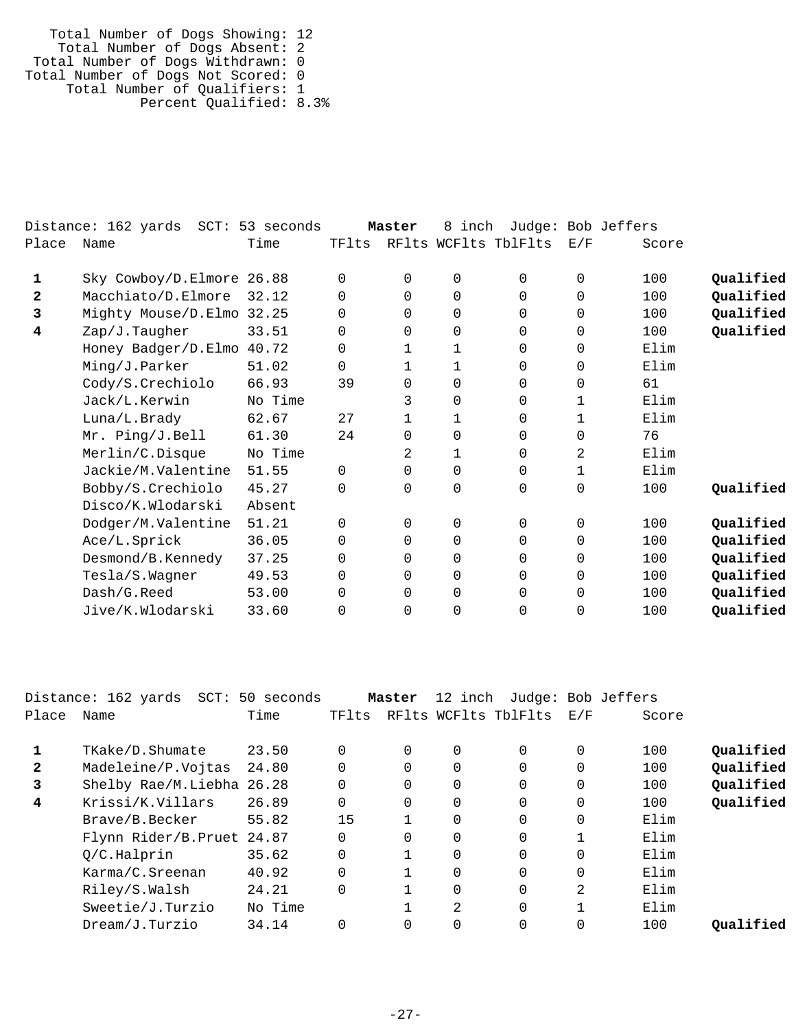| Total Number of Dogs Showing: 12   |  |
|------------------------------------|--|
| Total Number of Dogs Absent: 2     |  |
| Total Number of Dogs Withdrawn: 0  |  |
| Total Number of Dogs Not Scored: 0 |  |
| Total Number of Qualifiers: 1      |  |
| Percent Qualified: 8.3%            |  |

|       | Distance: 162 yards       | SCT: 53 seconds |          | Master       | 8 inch       |                      |              | Judge: Bob Jeffers |           |
|-------|---------------------------|-----------------|----------|--------------|--------------|----------------------|--------------|--------------------|-----------|
| Place | Name                      | Time            | TFlts    |              |              | RFlts WCFlts TblFlts | E/F          | Score              |           |
| 1     | Sky Cowboy/D.Elmore 26.88 |                 | $\Omega$ | $\Omega$     | $\Omega$     | 0                    | $\Omega$     | 100                | Qualified |
| 2     | Macchiato/D.Elmore        | 32.12           | 0        | $\Omega$     | $\Omega$     | 0                    | $\Omega$     | 100                | Qualified |
| 3     | Mighty Mouse/D.Elmo 32.25 |                 | 0        | $\Omega$     | 0            | 0                    | $\Omega$     | 100                | Qualified |
| 4     | Zap/J.Taugher             | 33.51           | $\Omega$ | $\Omega$     | $\Omega$     | $\Omega$             | $\Omega$     | 100                | Qualified |
|       | Honey Badger/D.Elmo 40.72 |                 | 0        |              | 1            | 0                    | 0            | Elim               |           |
|       | Ming/J.Parker             | 51.02           | $\Omega$ | $\mathbf 1$  | $\mathbf{1}$ | 0                    | $\Omega$     | Elim               |           |
|       | Cody/S.Crechiolo          | 66.93           | 39       | 0            | $\Omega$     | 0                    | $\Omega$     | 61                 |           |
|       | Jack/L.Kerwin             | No Time         |          | 3            | $\Omega$     | $\Omega$             | 1            | $F.1$ im           |           |
|       | Luna/L.Brady              | 62.67           | 27       | $\mathbf{1}$ | $\mathbf{1}$ | 0                    | 1            | Elim               |           |
|       | Mr. Ping/J.Bell           | 61.30           | 24       | 0            | $\mathbf 0$  | $\Omega$             | $\Omega$     | 76                 |           |
|       | Merlin/C.Disque           | No Time         |          | 2            | 1            | 0                    | 2            | Elim               |           |
|       | Jackie/M.Valentine        | 51.55           | 0        | 0            | $\Omega$     | 0                    | $\mathbf{1}$ | Elim               |           |
|       | Bobby/S.Crechiolo         | 45.27           | $\Omega$ | $\Omega$     | $\Omega$     | 0                    | $\Omega$     | 100                | Oualified |
|       | Disco/K.Wlodarski         | Absent          |          |              |              |                      |              |                    |           |
|       | Dodger/M.Valentine        | 51.21           | $\Omega$ | $\Omega$     | $\Omega$     | $\Omega$             | $\Omega$     | 100                | Qualified |
|       | Ace/L.Sprick              | 36.05           | $\Omega$ | $\Omega$     | $\Omega$     | $\Omega$             | $\Omega$     | 100                | Qualified |
|       | Desmond/B.Kennedy         | 37.25           | 0        | $\Omega$     | $\Omega$     | 0                    | $\Omega$     | 100                | Qualified |
|       | Tesla/S.Wagner            | 49.53           | 0        | $\Omega$     | $\Omega$     | 0                    | $\Omega$     | 100                | Qualified |
|       | Dash/G.Reed               | 53.00           | 0        | 0            | 0            | 0                    | $\mathbf 0$  | 100                | Qualified |
|       | Jive/K.Wlodarski          | 33.60           | $\Omega$ | 0            | $\Omega$     | 0                    | $\Omega$     | 100                | Qualified |
|       |                           |                 |          |              |              |                      |              |                    |           |

| Distance: 162 yards  SCT: |         |                                                                      |          |          |          |                                 |       |                    |
|---------------------------|---------|----------------------------------------------------------------------|----------|----------|----------|---------------------------------|-------|--------------------|
| Name                      | Time    | TFlts                                                                |          |          |          | E/F                             | Score |                    |
| TKake/D.Shumate           | 23.50   |                                                                      | $\Omega$ | $\Omega$ | $\Omega$ | 0                               | 100   | Qualified          |
| Madeleine/P.Vojtas        | 24.80   |                                                                      | 0        | 0        | $\Omega$ | 0                               | 100   | Oualified          |
|                           |         |                                                                      | $\Omega$ | $\Omega$ | $\Omega$ | $\Omega$                        | 100   | Qualified          |
| Krissi/K.Villars          | 26.89   | $\Omega$                                                             | $\Omega$ | $\Omega$ | $\Omega$ | $\Omega$                        | 100   | Qualified          |
| Brave/B.Becker            | 55.82   | 15                                                                   |          | $\Omega$ | $\Omega$ | $\Omega$                        | Elim  |                    |
|                           |         |                                                                      | 0        | 0        | 0        |                                 | Elim  |                    |
| Q/C.Halprin               | 35.62   |                                                                      |          | $\Omega$ | $\Omega$ | $\Omega$                        | Elim  |                    |
| Karma/C.Sreenan           | 40.92   | $\Omega$                                                             |          | $\Omega$ | $\Omega$ | $\Omega$                        | Elim  |                    |
| Riley/S.Walsh             | 24.21   |                                                                      |          | $\Omega$ | $\Omega$ | 2                               | Elim  |                    |
| Sweetie/J.Turzio          | No Time |                                                                      |          | 2        | $\Omega$ |                                 | Elim  |                    |
| Dream/J.Turzio            | 34.14   |                                                                      | $\Omega$ | $\Omega$ | $\Omega$ | $\Omega$                        | 100   | Oualified          |
|                           |         | 50 seconds<br>Shelby Rae/M.Liebha 26.28<br>Flynn Rider/B.Pruet 24.87 |          | Master   |          | 12 inch<br>RFlts WCFlts TblFlts |       | Judge: Bob Jeffers |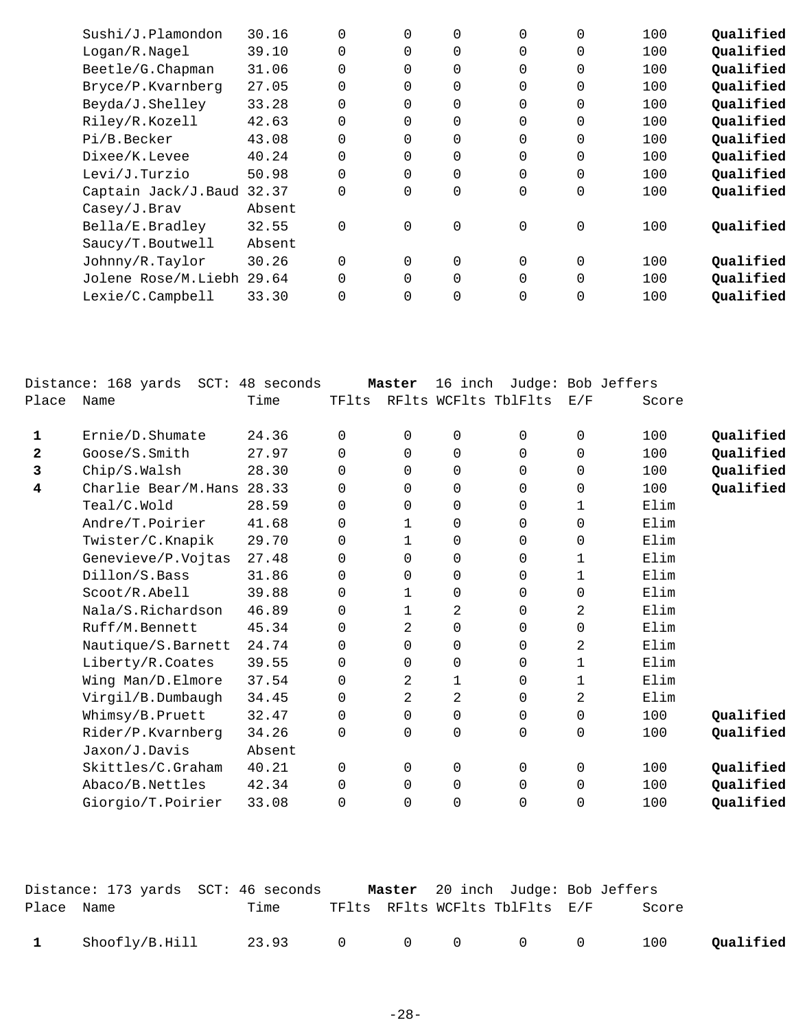| Sushi/J.Plamondon   | 30.16  | $\Omega$    | $\Omega$ | $\Omega$    | $\Omega$       | 0 | 100 | Qualified |
|---------------------|--------|-------------|----------|-------------|----------------|---|-----|-----------|
| Logan/R.Nagel       | 39.10  | $\mathbf 0$ | 0        | 0           | 0              | 0 | 100 | Qualified |
| Beetle/G.Chapman    | 31.06  | $\mathbf 0$ | 0        | $\Omega$    | $\Omega$       | 0 | 100 | Qualified |
| Bryce/P.Kvarnberg   | 27.05  | $\Omega$    | 0        | 0           | $\Omega$       | 0 | 100 | Qualified |
| Beyda/J.Shelley     | 33.28  | $\mathbf 0$ | 0        | 0           | 0              | 0 | 100 | Qualified |
| Riley/R.Kozell      | 42.63  | $\mathbf 0$ | $\Omega$ | 0           | $\Omega$       | 0 | 100 | Qualified |
| Pi/B.Becker         | 43.08  | $\mathbf 0$ | 0        | 0           | $\Omega$       | 0 | 100 | Qualified |
| Dixee/K.Levee       | 40.24  | $\mathbf 0$ | 0        | $\Omega$    | $\overline{0}$ | 0 | 100 | Qualified |
| Levi/J.Turzio       | 50.98  | $\mathbf 0$ | $\Omega$ | $\Omega$    | 0              | 0 | 100 | Qualified |
| Captain Jack/J.Baud | 32.37  | $\mathbf 0$ | $\Omega$ | 0           | $\overline{0}$ | 0 | 100 | Qualified |
| Casey/J.Brav        | Absent |             |          |             |                |   |     |           |
| Bella/E.Bradley     | 32.55  | $\mathbf 0$ | 0        | $\mathbf 0$ | 0              | 0 | 100 | Qualified |
| Saucy/T.Boutwell    | Absent |             |          |             |                |   |     |           |
| Johnny/R.Taylor     | 30.26  | $\Omega$    | $\Omega$ | 0           | $\Omega$       | 0 | 100 | Qualified |
| Jolene Rose/M.Liebh | 29.64  | $\Omega$    | $\Omega$ | $\Omega$    | 0              | 0 | 100 | Qualified |
| Lexie/C.Campbell    | 33.30  | $\Omega$    | 0        | 0           | 0              | 0 | 100 | Qualified |
|                     |        |             |          |             |                |   |     |           |

|                | Distance: 168 yards<br>$SCT$ : | 48 seconds |             | Master      | 16 inch              | Judge: Bob Jeffers |             |       |           |
|----------------|--------------------------------|------------|-------------|-------------|----------------------|--------------------|-------------|-------|-----------|
| Place          | Name                           | Time       | TFlts       |             | RFlts WCFlts TblFlts |                    | E/F         | Score |           |
| 1              | Ernie/D.Shumate                | 24.36      | 0           | $\Omega$    | 0                    | 0                  | $\mathbf 0$ | 100   | Qualified |
| $\overline{2}$ | Goose/S.Smith                  | 27.97      | $\Omega$    | $\Omega$    | $\Omega$             | 0                  | $\Omega$    | 100   | Qualified |
| 3              | Chip/S.Walsh                   | 28.30      | 0           | 0           | 0                    | 0                  | $\mathbf 0$ | 100   | Qualified |
| 4              | Charlie Bear/M.Hans            | 28.33      | $\Omega$    | $\Omega$    | 0                    | 0                  | $\mathbf 0$ | 100   | Qualified |
|                | Teal/C.Wold                    | 28.59      | $\Omega$    | $\Omega$    | 0                    | 0                  | 1           | Elim  |           |
|                | Andre/T.Poirier                | 41.68      | $\Omega$    | $\mathbf 1$ | 0                    | 0                  | $\mathbf 0$ | Elim  |           |
|                | Twister/C.Knapik               | 29.70      | $\Omega$    | 1           | 0                    | 0                  | $\mathbf 0$ | Elim  |           |
|                | Genevieve/P.Vojtas             | 27.48      | $\Omega$    | $\Omega$    | 0                    | 0                  | 1           | Elim  |           |
|                | Dillon/S.Bass                  | 31.86      | $\Omega$    | 0           | 0                    | 0                  | 1           | Elim  |           |
|                | Scoot/R.Abell                  | 39.88      | $\Omega$    | 1           | 0                    | 0                  | $\mathbf 0$ | Elim  |           |
|                | Nala/S.Richardson              | 46.89      | $\Omega$    | $\mathbf 1$ | 2                    | 0                  | 2           | Elim  |           |
|                | Ruff/M.Bennett                 | 45.34      | $\Omega$    | 2           | $\mathsf{O}\xspace$  | 0                  | 0           | Elim  |           |
|                | Nautique/S. Barnett            | 24.74      | $\Omega$    | 0           | 0                    | 0                  | 2           | Elim  |           |
|                | Liberty/R.Coates               | 39.55      | $\Omega$    | $\Omega$    | 0                    | 0                  | $\mathbf 1$ | Elim  |           |
|                | Wing Man/D.Elmore              | 37.54      | 0           | 2           | $\mathbf 1$          | 0                  | $\mathbf 1$ | Elim  |           |
|                | Virgil/B.Dumbaugh              | 34.45      | 0           | 2           | 2                    | 0                  | 2           | Elim  |           |
|                | Whimsy/B.Pruett                | 32.47      | $\mathbf 0$ | 0           | 0                    | 0                  | 0           | 100   | Qualified |
|                | Rider/P.Kvarnberg              | 34.26      | 0           | 0           | 0                    | 0                  | 0           | 100   | Qualified |
|                | Jaxon/J.Davis                  | Absent     |             |             |                      |                    |             |       |           |
|                | Skittles/C.Graham              | 40.21      | $\Omega$    | $\Omega$    | 0                    | 0                  | $\mathbf 0$ | 100   | Qualified |
|                | Abaco/B.Nettles                | 42.34      | 0           | 0           | 0                    | $\mathbf 0$        | 0           | 100   | Qualified |
|                | Giorgio/T.Poirier              | 33.08      | 0           | 0           | $\mathbf 0$          | 0                  | $\mathbf 0$ | 100   | Qualified |
|                |                                |            |             |             |                      |                    |             |       |           |

|              | Distance: 173 yards  SCT: 46 seconds |                 |  | <b>Master</b> 20 inch Judge: Bob Jeffers |       |           |
|--------------|--------------------------------------|-----------------|--|------------------------------------------|-------|-----------|
| Place Name   |                                      | Time            |  | TFlts RFlts WCFlts TblFlts E/F           | Score |           |
| $\mathbf{1}$ | Shoofly/B.Hill                       | 23.93 0 0 0 0 0 |  |                                          | 100   | Qualified |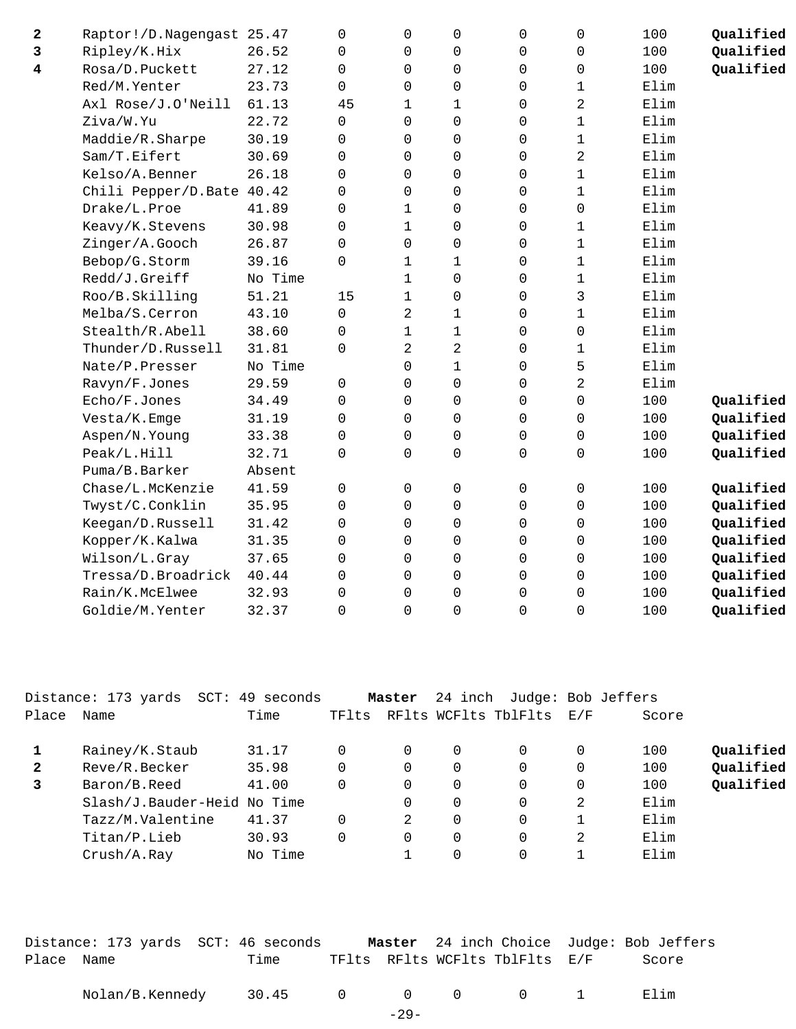| 2                       | Raptor!/D.Nagengast 25.47 |         | 0           | $\mathbf 0$    | 0                   | 0                   | $\mathbf 0$         | 100  | Qualified |
|-------------------------|---------------------------|---------|-------------|----------------|---------------------|---------------------|---------------------|------|-----------|
| 3                       | Ripley/K.Hix              | 26.52   | 0           | $\mathsf 0$    | 0                   | $\mathsf{O}\xspace$ | $\mathsf{O}\xspace$ | 100  | Qualified |
| $\overline{\mathbf{4}}$ | Rosa/D.Puckett            | 27.12   | 0           | $\mathbf 0$    | 0                   | 0                   | $\mathsf 0$         | 100  | Qualified |
|                         | Red/M.Yenter              | 23.73   | $\Omega$    | $\Omega$       | $\mathbf 0$         | $\Omega$            | $\mathbf 1$         | Elim |           |
|                         | Axl Rose/J.O'Neill        | 61.13   | 45          | $\mathbf{1}$   | $\mathbf{1}$        | $\Omega$            | 2                   | Elim |           |
|                         | Ziva/W.Yu                 | 22.72   | $\Omega$    | $\Omega$       | 0                   | $\Omega$            | $\mathbf 1$         | Elim |           |
|                         | Maddie/R.Sharpe           | 30.19   | $\Omega$    | $\Omega$       | 0                   | $\Omega$            | $\mathbf 1$         | Elim |           |
|                         | Sam/T.Eifert              | 30.69   | 0           | $\mathbf 0$    | 0                   | $\mathsf{O}\xspace$ | 2                   | Elim |           |
|                         | Kelso/A.Benner            | 26.18   | 0           | $\mathbf 0$    | 0                   | 0                   | $\mathbf 1$         | Elim |           |
|                         | Chili Pepper/D.Bate 40.42 |         | $\Omega$    | $\Omega$       | 0                   | $\Omega$            | $\mathbf 1$         | Elim |           |
|                         | Drake/L.Proe              | 41.89   | $\Omega$    | $\mathbf{1}$   | 0                   | $\Omega$            | 0                   | Elim |           |
|                         | Keavy/K.Stevens           | 30.98   | $\Omega$    | $\mathbf 1$    | $\mathbf 0$         | 0                   | 1                   | Elim |           |
|                         | Zinger/A.Gooch            | 26.87   | $\Omega$    | $\Omega$       | 0                   | 0                   | $\mathbf 1$         | Elim |           |
|                         | Bebop/G.Storm             | 39.16   | $\Omega$    | $\mathbf 1$    | $\mathbf{1}$        | 0                   | $\mathbf 1$         | Elim |           |
|                         | Redd/J.Greiff             | No Time |             | $\mathbf 1$    | 0                   | 0                   | $\mathbf 1$         | Elim |           |
|                         | Roo/B.Skilling            | 51.21   | 15          | $\mathbf{1}$   | 0                   | 0                   | 3                   | Elim |           |
|                         | Melba/S.Cerron            | 43.10   | $\Omega$    | $\overline{2}$ | $\mathbf 1$         | 0                   | 1                   | Elim |           |
|                         | Stealth/R.Abell           | 38.60   | 0           | $\mathbf 1$    | $\mathbf 1$         | 0                   | $\mathbf 0$         | Elim |           |
|                         | Thunder/D.Russell         | 31.81   | 0           | $\overline{2}$ | $\overline{a}$      | 0                   | $\mathbf 1$         | Elim |           |
|                         | Nate/P.Presser            | No Time |             | 0              | $\mathbf{1}$        | 0                   | 5                   | Elim |           |
|                         | Ravyn/F.Jones             | 29.59   | 0           | $\Omega$       | $\mathbf 0$         | $\Omega$            | $\overline{2}$      | Elim |           |
|                         | Echo/F.Jones              | 34.49   | $\Omega$    | $\Omega$       | $\mathbf 0$         | $\Omega$            | $\Omega$            | 100  | Qualified |
|                         | Vesta/K.Emge              | 31.19   | $\Omega$    | $\Omega$       | $\mathbf 0$         | 0                   | $\mathbf 0$         | 100  | Qualified |
|                         | Aspen/N.Young             | 33.38   | 0           | $\mathbf 0$    | 0                   | 0                   | 0                   | 100  | Qualified |
|                         | Peak/L.Hill               | 32.71   | $\mathbf 0$ | 0              | $\mathsf{O}\xspace$ | $\mathsf{O}\xspace$ | $\mathsf{O}\xspace$ | 100  | Qualified |
|                         | Puma/B.Barker             | Absent  |             |                |                     |                     |                     |      |           |
|                         | Chase/L.McKenzie          | 41.59   | 0           | $\mathbf 0$    | 0                   | 0                   | $\mathsf{O}\xspace$ | 100  | Qualified |
|                         | Twyst/C.Conklin           | 35.95   | $\Omega$    | $\Omega$       | 0                   | 0                   | 0                   | 100  | Qualified |
|                         | Keegan/D.Russell          | 31.42   | $\Omega$    | $\Omega$       | $\mathbf 0$         | $\Omega$            | $\mathbf 0$         | 100  | Qualified |
|                         | Kopper/K.Kalwa            | 31.35   | $\Omega$    | $\Omega$       | 0                   | 0                   | $\mathbf 0$         | 100  | Qualified |
|                         | Wilson/L.Gray             | 37.65   | 0           | $\mathbf 0$    | 0                   | 0                   | 0                   | 100  | Qualified |
|                         | Tressa/D.Broadrick        | 40.44   | 0           | $\mathbf 0$    | 0                   | 0                   | $\mathsf 0$         | 100  | Qualified |
|                         | Rain/K.McElwee            | 32.93   | 0           | $\mathbf 0$    | $\mathsf{O}\xspace$ | 0                   | $\mathbf 0$         | 100  | Qualified |
|                         | Goldie/M.Yenter           | 32.37   | $\Omega$    | $\Omega$       | 0                   | $\Omega$            | 0                   | 100  | Qualified |
|                         |                           |         |             |                |                     |                     |                     |      |           |

|              | Distance: 173 yards SCT:    | 49 seconds |       | Master   | 24 inch     |                      | Judge: Bob Jeffers |       |           |
|--------------|-----------------------------|------------|-------|----------|-------------|----------------------|--------------------|-------|-----------|
| Place        | Name                        | Time       | TFlts |          |             | RFlts WCFlts TblFlts | E/F                | Score |           |
|              | Rainey/K.Staub              | 31.17      |       | $\Omega$ | 0           | 0                    | $\Omega$           | 100   | Qualified |
| $\mathbf{2}$ | Reve/R.Becker               | 35.98      |       | $\Omega$ | $\mathbf 0$ | 0                    | $\Omega$           | 100   | Qualified |
| 3            | Baron/B.Reed                | 41.00      |       | 0        | 0           | $\Omega$             | 0                  | 100   | Qualified |
|              | Slash/J.Bauder-Heid No Time |            |       | 0        | 0           | 0                    | 2                  | Elim  |           |
|              | Tazz/M.Valentine            | 41.37      |       | 2        | 0           | $\Omega$             |                    | Elim  |           |
|              | Titan/P.Lieb                | 30.93      |       | $\Omega$ | $\Omega$    | $\Omega$             | 2                  | Elim  |           |
|              | Crush/A.Ray                 | No Time    |       |          | 0           | 0                    |                    | Elim  |           |
|              |                             |            |       |          |             |                      |                    |       |           |

|            | Distance: 173 yards SCT: 46 seconds |      |  |                                | <b>Master</b> 24 inch Choice Judge: Bob Jeffers |
|------------|-------------------------------------|------|--|--------------------------------|-------------------------------------------------|
| Place Name |                                     | Time |  | TFlts RFlts WCFlts TblFlts E/F | Score                                           |
|            | Nolan/B.Kennedy 30.45 0 0 0 0 1     |      |  |                                | Filim                                           |

-29-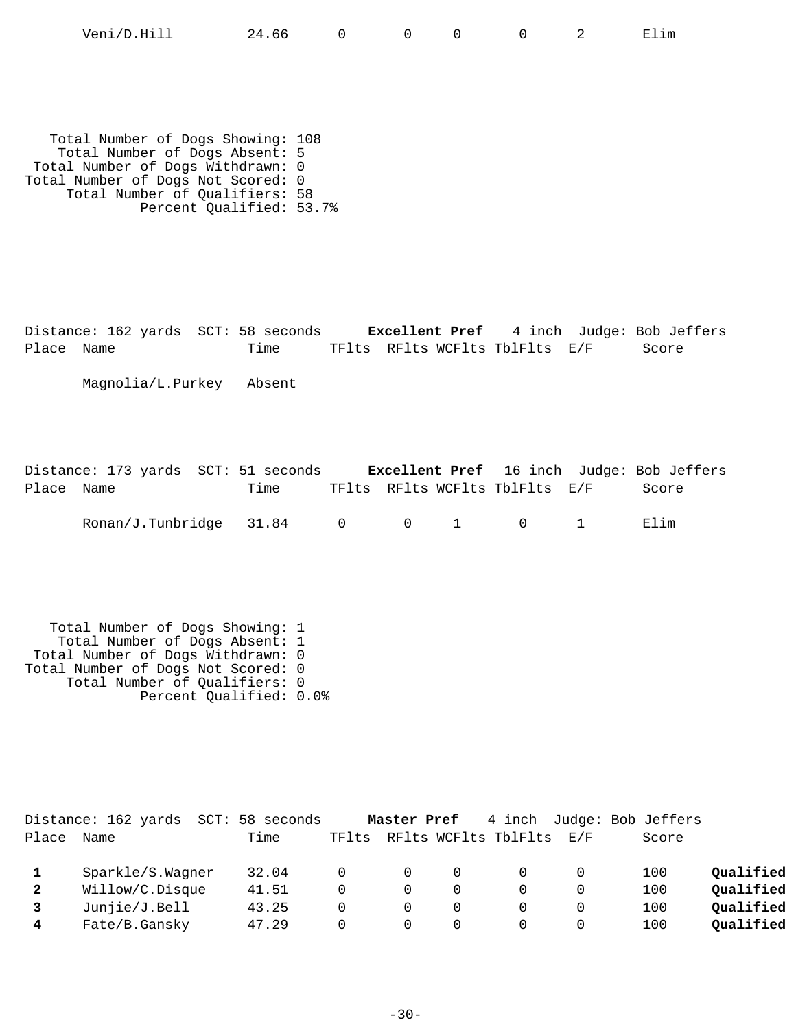| Veni<br>$-1$<br>$/ \Gamma$<br>'enı/D.Hıll | 66<br>, . |  |  |  |  | . .<br>- | …⊥m |
|-------------------------------------------|-----------|--|--|--|--|----------|-----|
|-------------------------------------------|-----------|--|--|--|--|----------|-----|

 Total Number of Dogs Showing: 108 Total Number of Dogs Absent: 5 Total Number of Dogs Withdrawn: 0 Total Number of Dogs Not Scored: 0 Total Number of Qualifiers: 58 Percent Qualified: 53.7%

Distance: 162 yards SCT: 58 seconds **Excellent Pref** 4 inch Judge: Bob Jeffers Place Name Time TFlts RFlts WCFlts TblFlts E/F Score

Magnolia/L.Purkey Absent

Distance: 173 yards SCT: 51 seconds **Excellent Pref** 16 inch Judge: Bob Jeffers Place Name Time TFlts RFlts WCFlts TblFlts E/F Score Ronan/J.Tunbridge 31.84 0 0 1 0 1 Elim

 Total Number of Dogs Showing: 1 Total Number of Dogs Absent: 1 Total Number of Dogs Withdrawn: 0 Total Number of Dogs Not Scored: 0 Total Number of Qualifiers: 0 Percent Qualified: 0.0%

|       | Distance: 162 yards<br>SCT: | 58 seconds |          | Master Pref |   |                      |      | 4 inch Judge: Bob Jeffers |           |
|-------|-----------------------------|------------|----------|-------------|---|----------------------|------|---------------------------|-----------|
| Place | Name                        | Time       | TFlts    |             |   | RFlts WCFlts TblFlts | F./F | Score                     |           |
|       | Sparkle/S.Wagner            | 32.04      |          |             | 0 |                      |      | 100                       | Oualified |
| 2     | Willow/C.Disque             | 41.51      | $\Omega$ |             | 0 |                      |      | 100                       | Qualified |
|       | Junjie/J.Bell1              | 43.25      |          |             | 0 |                      |      | 100                       | Oualified |
| 4     | Fate/B.Gansky               | 47.29      |          |             | 0 |                      |      | 100                       | Qualified |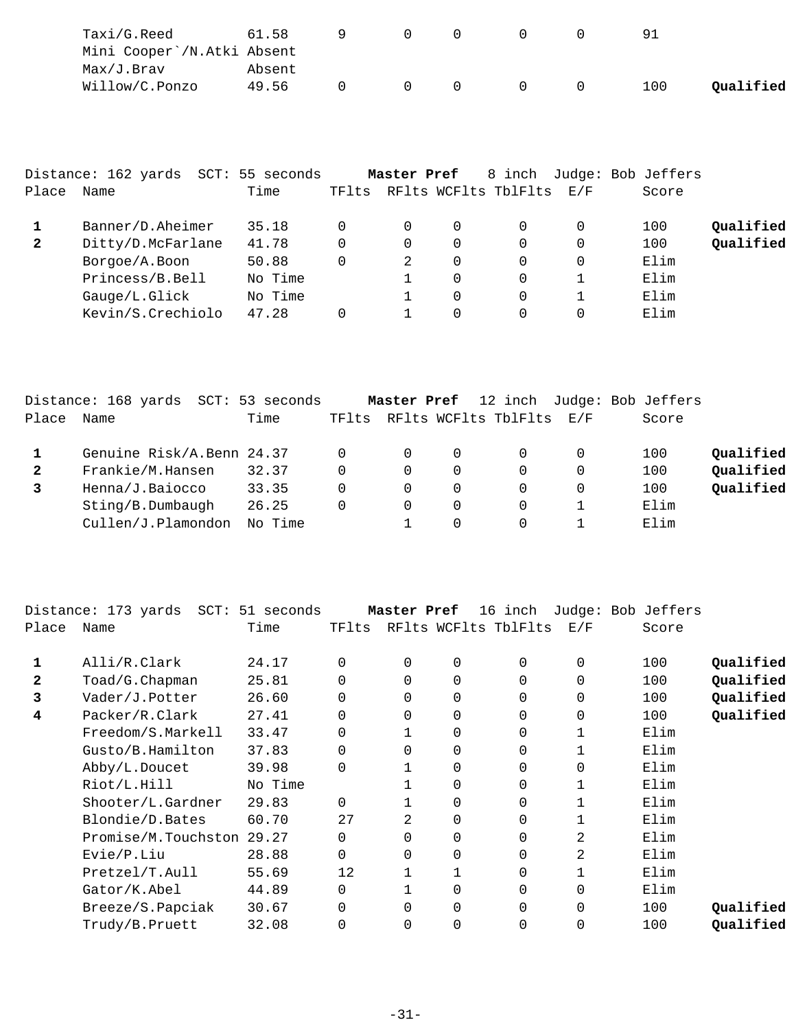| Taxi/G.Reed                | 61.58  |  |   |  |     |           |
|----------------------------|--------|--|---|--|-----|-----------|
| Mini Cooper`/N.Atki Absent |        |  |   |  |     |           |
| Max/J.Brav                 | Absent |  |   |  |     |           |
| Willow/C.Ponzo             | 49.56  |  | 0 |  | 100 | Oualified |

|              | Distance: 162 yards SCT: 55 seconds |         |       | Master Pref |          | 8 inch               |     | Judge: Bob Jeffers |           |
|--------------|-------------------------------------|---------|-------|-------------|----------|----------------------|-----|--------------------|-----------|
| Place        | Name                                | Time    | TFlts |             |          | RFlts WCFlts TblFlts | E/F | Score              |           |
|              | Banner/D.Aheimer                    | 35.18   | 0     | 0           | $\Omega$ | $\Omega$             |     | 100                | Qualified |
| $\mathbf{2}$ | Ditty/D.McFarlane                   | 41.78   | 0     | 0           | $\Omega$ | $\Omega$             |     | 100                | Qualified |
|              | Borgoe/A.Boon                       | 50.88   | 0     | 2           | $\Omega$ | $\Omega$             |     | Elim               |           |
|              | Princess/B.Bell                     | No Time |       |             | $\Omega$ | $\Omega$             |     | Elim               |           |
|              | Gauge/L.Glick                       | No Time |       |             | $\Omega$ | $\Omega$             |     | Elim               |           |
|              | Kevin/S.Crechiolo                   | 47.28   |       |             | $\Omega$ | $\Omega$             |     | Elim               |           |

|       | Distance: 168 yards SCT: 53 seconds |         |          | Master Pref |          |                          |   | 12 inch Judge: Bob Jeffers |           |
|-------|-------------------------------------|---------|----------|-------------|----------|--------------------------|---|----------------------------|-----------|
| Place | Name                                | Time    | TFlts    |             |          | RFlts WCFlts TblFlts E/F |   | Score                      |           |
|       | Genuine Risk/A.Benn 24.37           |         | $\Omega$ | $\Omega$    | $\Omega$ |                          |   | 100                        | Qualified |
|       | Frankie/M.Hansen                    | 32.37   | 0        | $\Omega$    | $\Omega$ | 0                        | 0 | 100                        | Qualified |
|       | Henna/J.Baiocco                     | 33.35   | 0        | $\Omega$    | 0        | 0                        | 0 | 100                        | Qualified |
|       | Sting/B.Dumbaugh                    | 26.25   | $\Omega$ | $\Omega$    | 0        | 0                        |   | Elim                       |           |
|       | Cullen/J.Plamondon                  | No Time |          |             |          | 0                        |   | Elim                       |           |

|       | Distance: 173 yards SCT: 51 seconds |         |          | Master Pref  |          | 16 inch              |          | Judge: Bob Jeffers |           |
|-------|-------------------------------------|---------|----------|--------------|----------|----------------------|----------|--------------------|-----------|
| Place | Name                                | Time    | TFlts    |              |          | RFlts WCFlts TblFlts | E/F      | Score              |           |
| 1     | Alli/R.Clark                        | 24.17   | $\Omega$ | 0            | $\Omega$ | 0                    | $\Omega$ | 100                | Qualified |
| 2     | Toad/G.Chapman                      | 25.81   | 0        | 0            | 0        | 0                    | 0        | 100                | Qualified |
| 3     | Vader/J.Potter                      | 26.60   | $\Omega$ | 0            | 0        | 0                    | $\Omega$ | 100                | Qualified |
| 4     | Packer/R.Clark                      | 27.41   | $\Omega$ | 0            |          | 0                    | $\Omega$ | 100                | Qualified |
|       | Freedom/S.Markell                   | 33.47   | $\Omega$ | $\mathbf 1$  | 0        | 0                    |          | Elim               |           |
|       | Gusto/B.Hamilton                    | 37.83   | $\Omega$ | $\Omega$     | $\Omega$ | 0                    |          | Elim               |           |
|       | Abby/L.Doucet                       | 39.98   | $\Omega$ | $\mathbf{1}$ | $\Omega$ | 0                    | $\Omega$ | Elim               |           |
|       | Riot/L.Hill                         | No Time |          | 1            | 0        | 0                    |          | Elim               |           |
|       | Shooter/L.Gardner                   | 29.83   | $\Omega$ | 1            | 0        | 0                    |          | Elim               |           |
|       | Blondie/D.Bates                     | 60.70   | 27       | 2            | 0        | 0                    |          | Elim               |           |
|       | Promise/M.Touchston                 | 29.27   | $\Omega$ | 0            | 0        | 0                    | 2        | Elim               |           |
|       | Evie/P.Liu                          | 28.88   | 0        | 0            | 0        | 0                    | 2        | Elim               |           |
|       | Pretzel/T.Aull                      | 55.69   | 12       |              |          | 0                    |          | Elim               |           |
|       | Gator/K.Abel                        | 44.89   | $\Omega$ | $\mathbf{1}$ |          | 0                    | $\Omega$ | Elim               |           |
|       | Breeze/S.Papciak                    | 30.67   | $\Omega$ | $\Omega$     | 0        | 0                    | $\Omega$ | 100                | Oualified |
|       | Trudy/B.Pruett                      | 32.08   | $\Omega$ | 0            |          | 0                    | 0        | 100                | Qualified |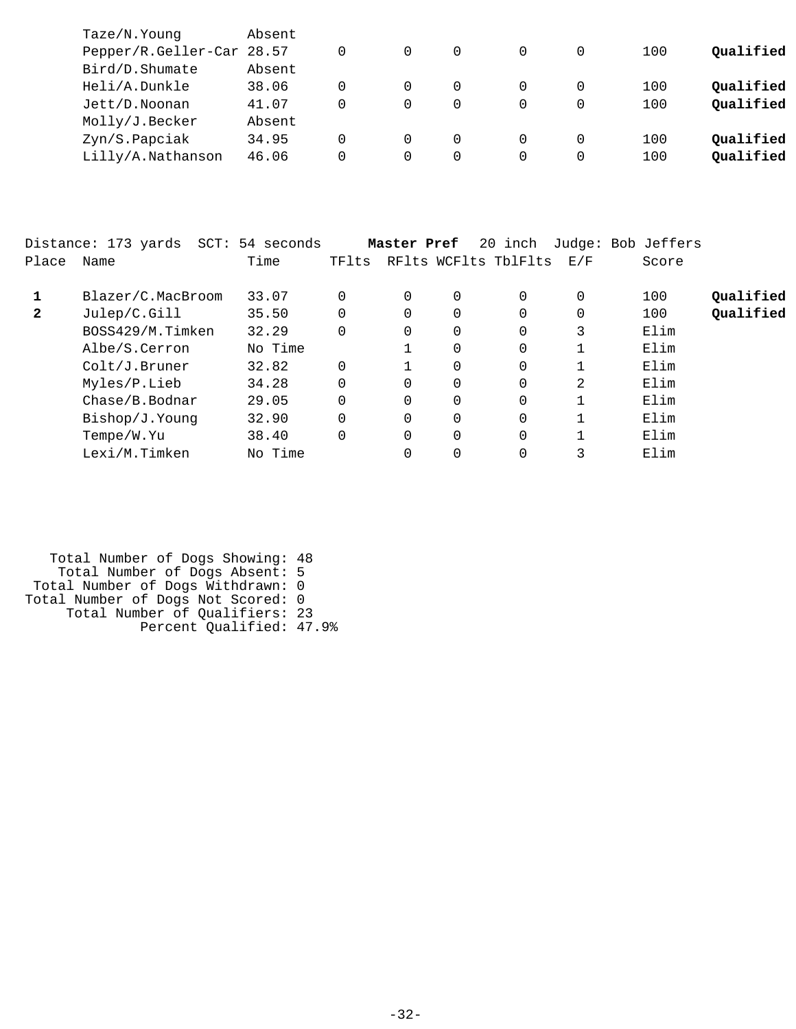| Taze/N.Young              | Absent |   |          |  |   |     |           |
|---------------------------|--------|---|----------|--|---|-----|-----------|
| Pepper/R.Geller-Car 28.57 |        |   |          |  | 0 | 100 | Oualified |
| Bird/D.Shumate            | Absent |   |          |  |   |     |           |
| Heli/A.Dunkle             | 38.06  |   |          |  | 0 | 100 | Qualified |
| Jett/D.Noonan             | 41.07  |   | 0        |  | 0 | 100 | Qualified |
| Molly/J.Becker            | Absent |   |          |  |   |     |           |
| Zyn/S.Papciak             | 34.95  |   |          |  | 0 | 100 | Oualified |
| Lilly/A.Nathanson         | 46.06  | 0 | $\Omega$ |  | 0 | 100 | Qualified |
|                           |        |   |          |  |   |     |           |

|              | Distance: 173 yards<br>SCT: | 54 seconds |       | Master Pref |          | 20 inch              |     | Judge: Bob Jeffers |           |
|--------------|-----------------------------|------------|-------|-------------|----------|----------------------|-----|--------------------|-----------|
| Place        | Name                        | Time       | TFlts |             |          | RFlts WCFlts TblFlts | E/F | Score              |           |
|              | Blazer/C.MacBroom           | 33.07      |       | $\Omega$    | 0        | 0                    | 0   | 100                | Qualified |
| $\mathbf{2}$ | Julep/C.Gill                | 35.50      |       | $\Omega$    | 0        | 0                    | 0   | 100                | Qualified |
|              | BOSS429/M.Timken            | 32.29      |       | 0           | 0        | 0                    | 3   | Elim               |           |
|              | Albe/S.Cerron               | No Time    |       |             | 0        | 0                    |     | Elim               |           |
|              | Colt/J.Bruner               | 32.82      |       |             | 0        | 0                    |     | Elim               |           |
|              | Myles/P.Lieb                | 34.28      |       | $\Omega$    | 0        | 0                    | 2   | Elim               |           |
|              | Chase/B.Bodnar              | 29.05      |       | $\Omega$    | $\Omega$ | 0                    |     | Elim               |           |
|              | Bishop/J.Younq              | 32.90      |       | $\Omega$    | $\Omega$ | 0                    |     | Elim               |           |
|              | Tempe/W.Yu                  | 38.40      |       | $\Omega$    | $\Omega$ | 0                    |     | Elim               |           |
|              | Lexi/M.Timken               | No Time    |       |             | 0        | 0                    |     | Elim               |           |

 Total Number of Dogs Showing: 48 Total Number of Dogs Absent: 5 Total Number of Dogs Withdrawn: 0 Total Number of Dogs Not Scored: 0 Total Number of Qualifiers: 23 Percent Qualified: 47.9%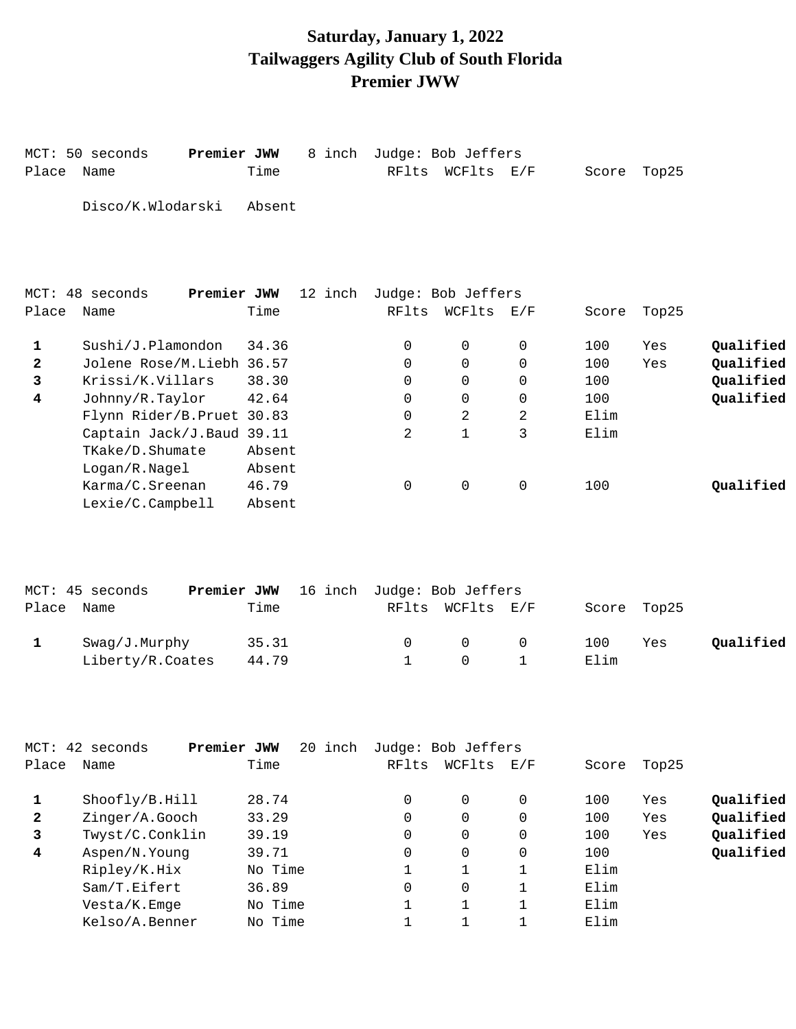## **Saturday, January 1, 2022 Tailwaggers Agility Club of South Florida Premier JWW**

|                | MCT: 50 seconds<br>Premier JWW                |         | 8 inch Judge: Bob Jeffers |                    |              |             |       |           |
|----------------|-----------------------------------------------|---------|---------------------------|--------------------|--------------|-------------|-------|-----------|
| Place          | Name                                          | Time    | RFlts                     | WCFlts E/F         |              | Score       | Top25 |           |
|                | Disco/K.Wlodarski                             | Absent  |                           |                    |              |             |       |           |
|                | Premier JWW<br>MCT: 48 seconds                | 12 inch |                           | Judge: Bob Jeffers |              |             |       |           |
| Place          | Name                                          | Time    | RFlts                     | WCFlts E/F         |              | Score       | Top25 |           |
| 1              | Sushi/J.Plamondon                             | 34.36   | 0                         | $\mathbf 0$        | $\mathbf 0$  | 100         | Yes   | Qualified |
| $\overline{2}$ | Jolene Rose/M.Liebh 36.57                     |         | 0                         | $\Omega$           | $\Omega$     | 100         | Yes   | Qualified |
| 3              | Krissi/K.Villars                              | 38.30   | $\Omega$                  | $\mathbf 0$        | $\mathbf 0$  | 100         |       | Qualified |
| 4              | Johnny/R.Taylor<br>Flynn Rider/B. Pruet 30.83 | 42.64   | 0<br>0                    | 0<br>2             | 0<br>2       | 100<br>Elim |       | Qualified |
|                | Captain Jack/J.Baud 39.11                     |         | 2                         | $\mathbf{1}$       | 3            | Elim        |       |           |
|                | TKake/D.Shumate                               | Absent  |                           |                    |              |             |       |           |
|                | Logan/R.Nagel                                 | Absent  |                           |                    |              |             |       |           |
|                | Karma/C.Sreenan                               | 46.79   | 0                         | $\mathsf{O}$       | $\mathsf{O}$ | 100         |       | Qualified |
|                | Lexie/C.Campbell                              | Absent  |                           |                    |              |             |       |           |
|                |                                               |         |                           |                    |              |             |       |           |
|                | Premier JWW<br>MCT: 45 seconds                | 16 inch |                           | Judge: Bob Jeffers |              |             |       |           |
| Place          | Name                                          | Time    | RFlts                     | WCFlts E/F         |              | Score       | Top25 |           |
| 1              | Swag/J.Murphy                                 | 35.31   | 0                         | 0                  | 0            | 100         | Yes   | Qualified |
|                | Liberty/R.Coates                              | 44.79   | $\mathbf{1}$              | $\Omega$           | $\mathbf{1}$ | Elim        |       |           |
|                |                                               |         |                           |                    |              |             |       |           |
|                |                                               |         |                           |                    |              |             |       |           |
|                |                                               |         |                           |                    |              |             |       |           |

|              | MCT: 42 seconds | Premier JWW<br>20 inch | Judge: Bob Jeffers |          |     |       |       |           |
|--------------|-----------------|------------------------|--------------------|----------|-----|-------|-------|-----------|
| Place        | Name            | Time                   | RFlts              | WCFlts   | E/F | Score | Top25 |           |
|              | Shoofly/B.Hill  | 28.74                  | 0                  | $\Omega$ | 0   | 100   | Yes   | Qualified |
| $\mathbf{2}$ | Zinger/A.Gooch  | 33.29                  | 0                  | $\Omega$ | 0   | 100   | Yes   | Qualified |
| 3            | Twyst/C.Conklin | 39.19                  | 0                  | $\Omega$ | 0   | 100   | Yes   | Qualified |
| 4            | Aspen/N.Young   | 39.71                  | 0                  | $\Omega$ | 0   | 100   |       | Qualified |
|              | Ripley/K.Hix    | No Time                |                    |          |     | Elim  |       |           |
|              | Sam/T.Eifert    | 36.89                  | 0                  | $\Omega$ |     | Elim  |       |           |
|              | Vesta/K.Emge    | No Time                |                    |          |     | Elim  |       |           |
|              | Kelso/A.Benner  | No Time                |                    |          |     | Elim  |       |           |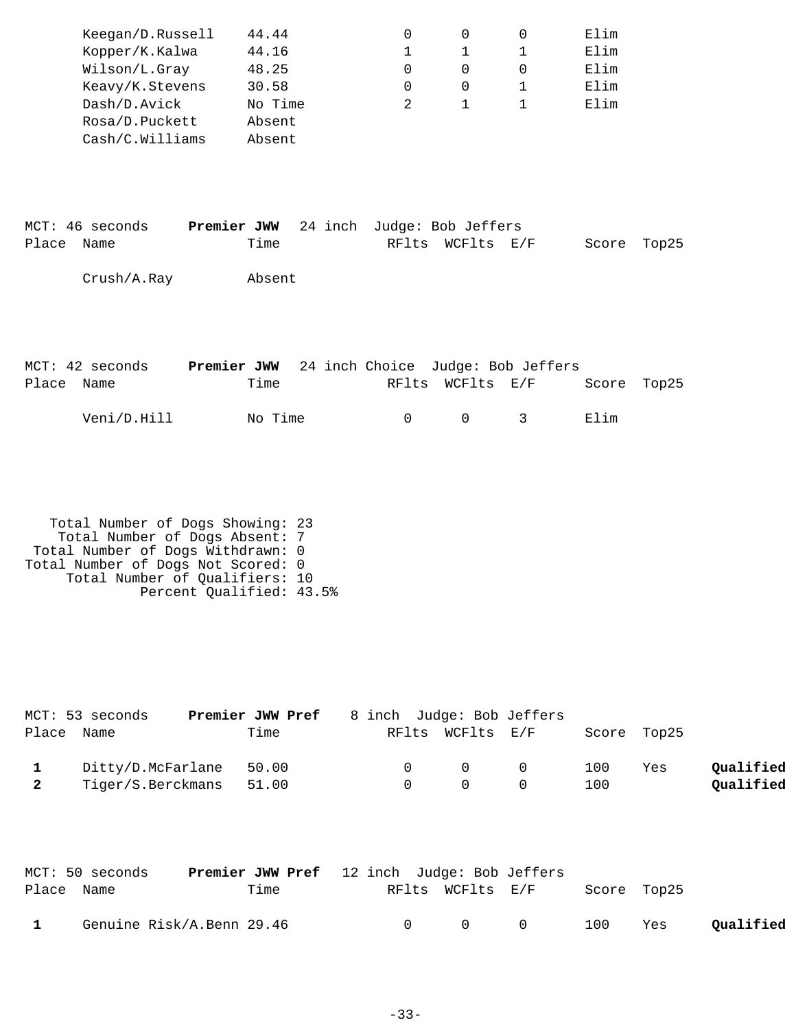|       | Keegan/D.Russell | 44.44   |  | 0                                             | $\Omega$         | 0            | Elim  |       |
|-------|------------------|---------|--|-----------------------------------------------|------------------|--------------|-------|-------|
|       | Kopper/K.Kalwa   | 44.16   |  | $\mathbf 1$                                   | 1                | 1            | Elim  |       |
|       | Wilson/L.Gray    | 48.25   |  | 0                                             | $\Omega$         | 0            | Elim  |       |
|       | Keavy/K.Stevens  | 30.58   |  | 0                                             | 0                | 1            | Elim  |       |
|       | Dash/D.Avick     | No Time |  | 2                                             | $\mathbf{1}$     | $\mathbf{1}$ | Elim  |       |
|       | Rosa/D.Puckett   | Absent  |  |                                               |                  |              |       |       |
|       | Cash/C.Williams  | Absent  |  |                                               |                  |              |       |       |
|       |                  |         |  |                                               |                  |              |       |       |
|       |                  |         |  |                                               |                  |              |       |       |
|       |                  |         |  |                                               |                  |              |       |       |
|       | MCT: 46 seconds  |         |  | Premier JWW 24 inch Judge: Bob Jeffers        |                  |              |       |       |
| Place | Name             | Time    |  |                                               | RFlts WCFlts E/F |              | Score | Top25 |
|       |                  |         |  |                                               |                  |              |       |       |
|       | Crush/A.Ray      | Absent  |  |                                               |                  |              |       |       |
|       |                  |         |  |                                               |                  |              |       |       |
|       |                  |         |  |                                               |                  |              |       |       |
|       |                  |         |  |                                               |                  |              |       |       |
|       | MCT: 42 seconds  |         |  | Premier JWW 24 inch Choice Judge: Bob Jeffers |                  |              |       |       |
| Place | Name             | Time    |  | RFlts                                         |                  | WCFlts E/F   | Score | Top25 |
|       | Veni/D.Hill      | No Time |  | $\mathbf 0$                                   | $\mathbf 0$      | 3            | Elim  |       |
|       |                  |         |  |                                               |                  |              |       |       |
|       |                  |         |  |                                               |                  |              |       |       |

 Total Number of Dogs Showing: 23 Total Number of Dogs Absent: 7 Total Number of Dogs Withdrawn: 0 Total Number of Dogs Not Scored: 0 Total Number of Qualifiers: 10 Percent Qualified: 43.5%

|              | MCT: 53 seconds         | Premier JWW Pref | 8 inch Judge: Bob Jeffers |                                         |     |             |           |
|--------------|-------------------------|------------------|---------------------------|-----------------------------------------|-----|-------------|-----------|
| Place Name   |                         | Time             |                           | RFlts WCFlts E/F                        |     | Score Top25 |           |
| $\mathbf{1}$ | Ditty/D.McFarlane 50.00 |                  |                           | $\begin{matrix} 0 & 0 & 0 \end{matrix}$ | 100 | Yes         | Qualified |
|              | Tiger/S.Berckmans 51.00 |                  |                           | $\Omega$                                | 100 |             | Qualified |

|              | MCT: 50 seconds           | <b>Premier JWW Pref</b> 12 inch Judge: Bob Jeffers |                  |           |             |     |           |
|--------------|---------------------------|----------------------------------------------------|------------------|-----------|-------------|-----|-----------|
| Place Name   |                           | Time                                               | RFlts WCFlts E/F |           | Score Top25 |     |           |
| $\mathbf{1}$ | Genuine Risk/A.Benn 29.46 |                                                    |                  | 0 0 0 100 |             | Yes | Qualified |